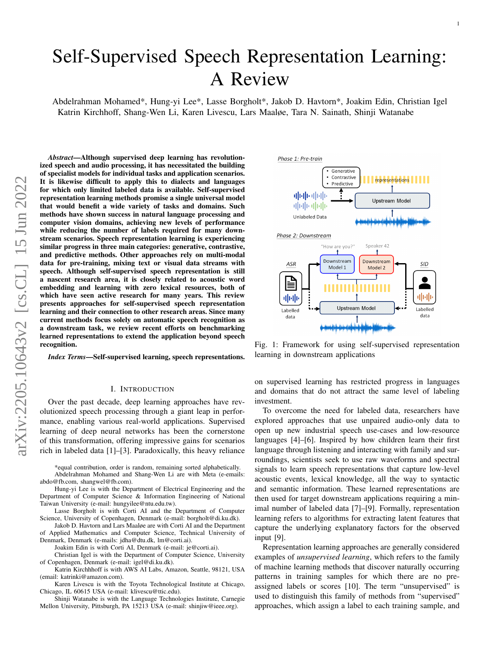# <span id="page-0-1"></span>Self-Supervised Speech Representation Learning: A Review

Abdelrahman Mohamed\*, Hung-yi Lee\*, Lasse Borgholt\*, Jakob D. Havtorn\*, Joakim Edin, Christian Igel Katrin Kirchhoff, Shang-Wen Li, Karen Livescu, Lars Maaløe, Tara N. Sainath, Shinji Watanabe

*Abstract*—Although supervised deep learning has revolutionized speech and audio processing, it has necessitated the building of specialist models for individual tasks and application scenarios. It is likewise difficult to apply this to dialects and languages for which only limited labeled data is available. Self-supervised representation learning methods promise a single universal model that would benefit a wide variety of tasks and domains. Such methods have shown success in natural language processing and computer vision domains, achieving new levels of performance while reducing the number of labels required for many downstream scenarios. Speech representation learning is experiencing similar progress in three main categories: generative, contrastive, and predictive methods. Other approaches rely on multi-modal data for pre-training, mixing text or visual data streams with speech. Although self-supervised speech representation is still a nascent research area, it is closely related to acoustic word embedding and learning with zero lexical resources, both of which have seen active research for many years. This review presents approaches for self-supervised speech representation learning and their connection to other research areas. Since many current methods focus solely on automatic speech recognition as a downstream task, we review recent efforts on benchmarking learned representations to extend the application beyond speech recognition.

*Index Terms*—Self-supervised learning, speech representations.

## I. INTRODUCTION

Over the past decade, deep learning approaches have revolutionized speech processing through a giant leap in performance, enabling various real-world applications. Supervised learning of deep neural networks has been the cornerstone of this transformation, offering impressive gains for scenarios rich in labeled data [\[1\]](#page-22-0)–[\[3\]](#page-22-1). Paradoxically, this heavy reliance

\*equal contribution, order is random, remaining sorted alphabetically. Abdelrahman Mohamed and Shang-Wen Li are with Meta (e-emails: abdo@fb.com, shangwel@fb.com).

Hung-yi Lee is with the Department of Electrical Engineering and the Department of Computer Science & Information Engineering of National Taiwan University (e-mail: hungyilee@ntu.edu.tw).

Lasse Borgholt is with Corti AI and the Department of Computer Science, University of Copenhagen, Denmark (e-mail: borgholt@di.ku.dk).

Jakob D. Havtorn and Lars Maaløe are with Corti AI and the Department of Applied Mathematics and Computer Science, Technical University of Denmark, Denmark (e-mails: jdha@dtu.dk, lm@corti.ai).

Joakim Edin is with Corti AI, Denmark (e-mail: je@corti.ai).

Christian Igel is with the Department of Computer Science, University of Copenhagen, Denmark (e-mail: igel@di.ku.dk).

Katrin Kirchhhoff is with AWS AI Labs, Amazon, Seattle, 98121, USA (email: katrinki@amazon.com).

Karen Livescu is with the Toyota Technological Institute at Chicago, Chicago, IL 60615 USA (e-mail: klivescu@ttic.edu).

Shinji Watanabe is with the Language Technologies Institute, Carnegie Mellon University, Pittsburgh, PA 15213 USA (e-mail: shinjiw@ieee.org).

<span id="page-0-0"></span>

Fig. 1: Framework for using self-supervised representation learning in downstream applications

on supervised learning has restricted progress in languages and domains that do not attract the same level of labeling investment.

To overcome the need for labeled data, researchers have explored approaches that use unpaired audio-only data to open up new industrial speech use-cases and low-resource languages [\[4\]](#page-22-2)–[\[6\]](#page-22-3). Inspired by how children learn their first language through listening and interacting with family and surroundings, scientists seek to use raw waveforms and spectral signals to learn speech representations that capture low-level acoustic events, lexical knowledge, all the way to syntactic and semantic information. These learned representations are then used for target downstream applications requiring a minimal number of labeled data [\[7\]](#page-22-4)–[\[9\]](#page-22-5). Formally, representation learning refers to algorithms for extracting latent features that capture the underlying explanatory factors for the observed input [\[9\]](#page-22-5).

Representation learning approaches are generally considered examples of *unsupervised learning*, which refers to the family of machine learning methods that discover naturally occurring patterns in training samples for which there are no preassigned labels or scores [\[10\]](#page-22-6). The term "unsupervised" is used to distinguish this family of methods from "supervised" approaches, which assign a label to each training sample, and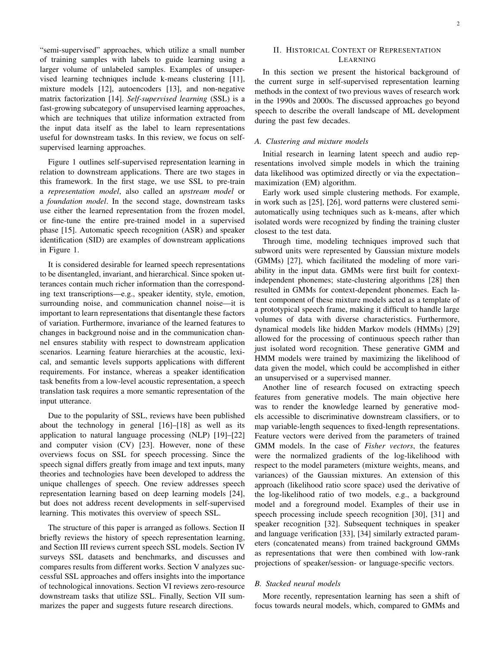"semi-supervised" approaches, which utilize a small number of training samples with labels to guide learning using a larger volume of unlabeled samples. Examples of unsupervised learning techniques include k-means clustering [\[11\]](#page-22-7), mixture models [\[12\]](#page-22-8), autoencoders [\[13\]](#page-22-9), and non-negative matrix factorization [\[14\]](#page-22-10). *Self-supervised learning* (SSL) is a fast-growing subcategory of unsupervised learning approaches, which are techniques that utilize information extracted from the input data itself as the label to learn representations useful for downstream tasks. In this review, we focus on selfsupervised learning approaches.

Figure [1](#page-0-0) outlines self-supervised representation learning in relation to downstream applications. There are two stages in this framework. In the first stage, we use SSL to pre-train a *representation model*, also called an *upstream model* or a *foundation model*. In the second stage, downstream tasks use either the learned representation from the frozen model, or fine-tune the entire pre-trained model in a supervised phase [\[15\]](#page-22-11). Automatic speech recognition (ASR) and speaker identification (SID) are examples of downstream applications in Figure [1.](#page-0-0)

It is considered desirable for learned speech representations to be disentangled, invariant, and hierarchical. Since spoken utterances contain much richer information than the corresponding text transcriptions—e.g., speaker identity, style, emotion, surrounding noise, and communication channel noise—it is important to learn representations that disentangle these factors of variation. Furthermore, invariance of the learned features to changes in background noise and in the communication channel ensures stability with respect to downstream application scenarios. Learning feature hierarchies at the acoustic, lexical, and semantic levels supports applications with different requirements. For instance, whereas a speaker identification task benefits from a low-level acoustic representation, a speech translation task requires a more semantic representation of the input utterance.

Due to the popularity of SSL, reviews have been published about the technology in general [\[16\]](#page-22-12)–[\[18\]](#page-22-13) as well as its application to natural language processing (NLP) [\[19\]](#page-22-14)–[\[22\]](#page-22-15) and computer vision (CV) [\[23\]](#page-22-16). However, none of these overviews focus on SSL for speech processing. Since the speech signal differs greatly from image and text inputs, many theories and technologies have been developed to address the unique challenges of speech. One review addresses speech representation learning based on deep learning models [\[24\]](#page-22-17), but does not address recent developments in self-supervised learning. This motivates this overview of speech SSL.

The structure of this paper is arranged as follows. Section [II](#page-1-0) briefly reviews the history of speech representation learning, and Section [III](#page-2-0) reviews current speech SSL models. Section [IV](#page-10-0) surveys SSL datasets and benchmarks, and discusses and compares results from different works. Section [V](#page-16-0) analyzes successful SSL approaches and offers insights into the importance of technological innovations. Section [VI](#page-18-0) reviews zero-resource downstream tasks that utilize SSL. Finally, Section [VII](#page-21-0) summarizes the paper and suggests future research directions.

# <span id="page-1-0"></span>II. HISTORICAL CONTEXT OF REPRESENTATION LEARNING

In this section we present the historical background of the current surge in self-supervised representation learning methods in the context of two previous waves of research work in the 1990s and 2000s. The discussed approaches go beyond speech to describe the overall landscape of ML development during the past few decades.

# *A. Clustering and mixture models*

Initial research in learning latent speech and audio representations involved simple models in which the training data likelihood was optimized directly or via the expectation– maximization (EM) algorithm.

Early work used simple clustering methods. For example, in work such as [\[25\]](#page-22-18), [\[26\]](#page-22-19), word patterns were clustered semiautomatically using techniques such as k-means, after which isolated words were recognized by finding the training cluster closest to the test data.

Through time, modeling techniques improved such that subword units were represented by Gaussian mixture models (GMMs) [\[27\]](#page-22-20), which facilitated the modeling of more variability in the input data. GMMs were first built for contextindependent phonemes; state-clustering algorithms [\[28\]](#page-22-21) then resulted in GMMs for context-dependent phonemes. Each latent component of these mixture models acted as a template of a prototypical speech frame, making it difficult to handle large volumes of data with diverse characteristics. Furthermore, dynamical models like hidden Markov models (HMMs) [\[29\]](#page-22-22) allowed for the processing of continuous speech rather than just isolated word recognition. These generative GMM and HMM models were trained by maximizing the likelihood of data given the model, which could be accomplished in either an unsupervised or a supervised manner.

Another line of research focused on extracting speech features from generative models. The main objective here was to render the knowledge learned by generative models accessible to discriminative downstream classifiers, or to map variable-length sequences to fixed-length representations. Feature vectors were derived from the parameters of trained GMM models. In the case of *Fisher vectors*, the features were the normalized gradients of the log-likelihood with respect to the model parameters (mixture weights, means, and variances) of the Gaussian mixtures. An extension of this approach (likelihood ratio score space) used the derivative of the log-likelihood ratio of two models, e.g., a background model and a foreground model. Examples of their use in speech processing include speech recognition [\[30\]](#page-23-0), [\[31\]](#page-23-1) and speaker recognition [\[32\]](#page-23-2). Subsequent techniques in speaker and language verification [\[33\]](#page-23-3), [\[34\]](#page-23-4) similarly extracted parameters (concatenated means) from trained background GMMs as representations that were then combined with low-rank projections of speaker/session- or language-specific vectors.

# *B. Stacked neural models*

More recently, representation learning has seen a shift of focus towards neural models, which, compared to GMMs and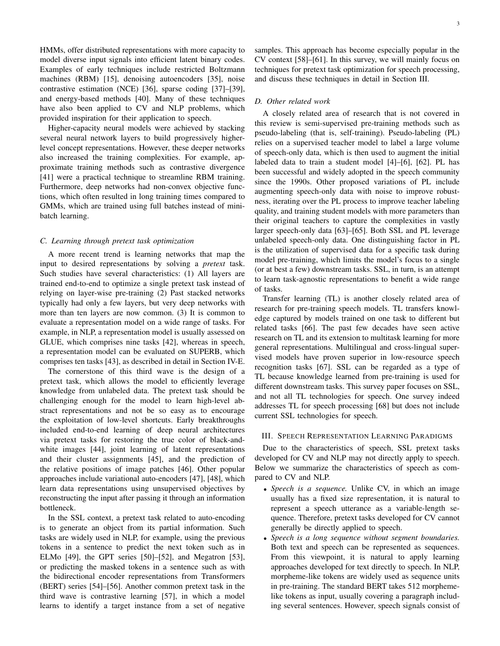HMMs, offer distributed representations with more capacity to model diverse input signals into efficient latent binary codes. Examples of early techniques include restricted Boltzmann machines (RBM) [\[15\]](#page-22-11), denoising autoencoders [\[35\]](#page-23-5), noise contrastive estimation (NCE) [\[36\]](#page-23-6), sparse coding [\[37\]](#page-23-7)–[\[39\]](#page-23-8), and energy-based methods [\[40\]](#page-23-9). Many of these techniques have also been applied to CV and NLP problems, which provided inspiration for their application to speech.

Higher-capacity neural models were achieved by stacking several neural network layers to build progressively higherlevel concept representations. However, these deeper networks also increased the training complexities. For example, approximate training methods such as contrastive divergence [\[41\]](#page-23-10) were a practical technique to streamline RBM training. Furthermore, deep networks had non-convex objective functions, which often resulted in long training times compared to GMMs, which are trained using full batches instead of minibatch learning.

## *C. Learning through pretext task optimization*

A more recent trend is learning networks that map the input to desired representations by solving a *pretext* task. Such studies have several characteristics: (1) All layers are trained end-to-end to optimize a single pretext task instead of relying on layer-wise pre-training (2) Past stacked networks typically had only a few layers, but very deep networks with more than ten layers are now common. (3) It is common to evaluate a representation model on a wide range of tasks. For example, in NLP, a representation model is usually assessed on GLUE, which comprises nine tasks [\[42\]](#page-23-11), whereas in speech, a representation model can be evaluated on SUPERB, which comprises ten tasks [\[43\]](#page-23-12), as described in detail in Section [IV-E.](#page-12-0)

The cornerstone of this third wave is the design of a pretext task, which allows the model to efficiently leverage knowledge from unlabeled data. The pretext task should be challenging enough for the model to learn high-level abstract representations and not be so easy as to encourage the exploitation of low-level shortcuts. Early breakthroughs included end-to-end learning of deep neural architectures via pretext tasks for restoring the true color of black-andwhite images [\[44\]](#page-23-13), joint learning of latent representations and their cluster assignments [\[45\]](#page-23-14), and the prediction of the relative positions of image patches [\[46\]](#page-23-15). Other popular approaches include variational auto-encoders [\[47\]](#page-23-16), [\[48\]](#page-23-17), which learn data representations using unsupervised objectives by reconstructing the input after passing it through an information bottleneck.

In the SSL context, a pretext task related to auto-encoding is to generate an object from its partial information. Such tasks are widely used in NLP, for example, using the previous tokens in a sentence to predict the next token such as in ELMo [\[49\]](#page-23-18), the GPT series [\[50\]](#page-23-19)–[\[52\]](#page-23-20), and Megatron [\[53\]](#page-23-21), or predicting the masked tokens in a sentence such as with the bidirectional encoder representations from Transformers (BERT) series [\[54\]](#page-23-22)–[\[56\]](#page-23-23). Another common pretext task in the third wave is contrastive learning [\[57\]](#page-23-24), in which a model learns to identify a target instance from a set of negative

samples. This approach has become especially popular in the CV context [\[58\]](#page-23-25)–[\[61\]](#page-23-26). In this survey, we will mainly focus on techniques for pretext task optimization for speech processing, and discuss these techniques in detail in Section [III.](#page-2-0)

# *D. Other related work*

A closely related area of research that is not covered in this review is semi-supervised pre-training methods such as pseudo-labeling (that is, self-training). Pseudo-labeling (PL) relies on a supervised teacher model to label a large volume of speech-only data, which is then used to augment the initial labeled data to train a student model [\[4\]](#page-22-2)–[\[6\]](#page-22-3), [\[62\]](#page-23-27). PL has been successful and widely adopted in the speech community since the 1990s. Other proposed variations of PL include augmenting speech-only data with noise to improve robustness, iterating over the PL process to improve teacher labeling quality, and training student models with more parameters than their original teachers to capture the complexities in vastly larger speech-only data [\[63\]](#page-23-28)–[\[65\]](#page-23-29). Both SSL and PL leverage unlabeled speech-only data. One distinguishing factor in PL is the utilization of supervised data for a specific task during model pre-training, which limits the model's focus to a single (or at best a few) downstream tasks. SSL, in turn, is an attempt to learn task-agnostic representations to benefit a wide range of tasks.

Transfer learning (TL) is another closely related area of research for pre-training speech models. TL transfers knowledge captured by models trained on one task to different but related tasks [\[66\]](#page-23-30). The past few decades have seen active research on TL and its extension to multitask learning for more general representations. Multilingual and cross-lingual supervised models have proven superior in low-resource speech recognition tasks [\[67\]](#page-23-31). SSL can be regarded as a type of TL because knowledge learned from pre-training is used for different downstream tasks. This survey paper focuses on SSL, and not all TL technologies for speech. One survey indeed addresses TL for speech processing [\[68\]](#page-23-32) but does not include current SSL technologies for speech.

#### <span id="page-2-0"></span>III. SPEECH REPRESENTATION LEARNING PARADIGMS

Due to the characteristics of speech, SSL pretext tasks developed for CV and NLP may not directly apply to speech. Below we summarize the characteristics of speech as compared to CV and NLP.

- *Speech is a sequence.* Unlike CV, in which an image usually has a fixed size representation, it is natural to represent a speech utterance as a variable-length sequence. Therefore, pretext tasks developed for CV cannot generally be directly applied to speech.
- *Speech is a long sequence without segment boundaries.* Both text and speech can be represented as sequences. From this viewpoint, it is natural to apply learning approaches developed for text directly to speech. In NLP, morpheme-like tokens are widely used as sequence units in pre-training. The standard BERT takes 512 morphemelike tokens as input, usually covering a paragraph including several sentences. However, speech signals consist of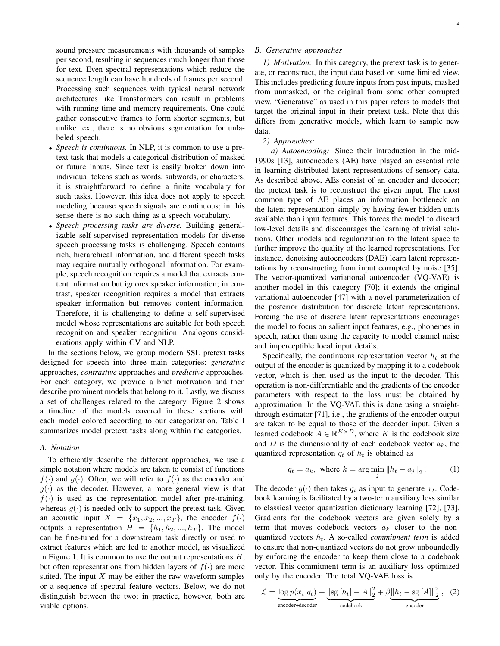sound pressure measurements with thousands of samples per second, resulting in sequences much longer than those for text. Even spectral representations which reduce the sequence length can have hundreds of frames per second. Processing such sequences with typical neural network architectures like Transformers can result in problems with running time and memory requirements. One could gather consecutive frames to form shorter segments, but unlike text, there is no obvious segmentation for unlabeled speech.

- *Speech is continuous.* In NLP, it is common to use a pretext task that models a categorical distribution of masked or future inputs. Since text is easily broken down into individual tokens such as words, subwords, or characters, it is straightforward to define a finite vocabulary for such tasks. However, this idea does not apply to speech modeling because speech signals are continuous; in this sense there is no such thing as a speech vocabulary.
- *Speech processing tasks are diverse.* Building generalizable self-supervised representation models for diverse speech processing tasks is challenging. Speech contains rich, hierarchical information, and different speech tasks may require mutually orthogonal information. For example, speech recognition requires a model that extracts content information but ignores speaker information; in contrast, speaker recognition requires a model that extracts speaker information but removes content information. Therefore, it is challenging to define a self-supervised model whose representations are suitable for both speech recognition and speaker recognition. Analogous considerations apply within CV and NLP.

In the sections below, we group modern SSL pretext tasks designed for speech into three main categories: *generative* approaches, *contrastive* approaches and *predictive* approaches. For each category, we provide a brief motivation and then describe prominent models that belong to it. Lastly, we discuss a set of challenges related to the category. Figure [2](#page-4-0) shows a timeline of the models covered in these sections with each model colored according to our categorization. Table [I](#page-6-0) summarizes model pretext tasks along within the categories.

#### *A. Notation*

To efficiently describe the different approaches, we use a simple notation where models are taken to consist of functions  $f(\cdot)$  and  $g(\cdot)$ . Often, we will refer to  $f(\cdot)$  as the encoder and  $g(\cdot)$  as the decoder. However, a more general view is that  $f(\cdot)$  is used as the representation model after pre-training, whereas  $q(\cdot)$  is needed only to support the pretext task. Given an acoustic input  $X = \{x_1, x_2, ..., x_T\}$ , the encoder  $f(\cdot)$ outputs a representation  $H = \{h_1, h_2, ..., h_T\}$ . The model can be fine-tuned for a downstream task directly or used to extract features which are fed to another model, as visualized in Figure [1.](#page-0-0) It is common to use the output representations  $H$ , but often representations from hidden layers of  $f(\cdot)$  are more suited. The input  $X$  may be either the raw waveform samples or a sequence of spectral feature vectors. Below, we do not distinguish between the two; in practice, however, both are viable options.

# <span id="page-3-1"></span>*B. Generative approaches*

*1) Motivation:* In this category, the pretext task is to generate, or reconstruct, the input data based on some limited view. This includes predicting future inputs from past inputs, masked from unmasked, or the original from some other corrupted view. "Generative" as used in this paper refers to models that target the original input in their pretext task. Note that this differs from generative models, which learn to sample new data.

### *2) Approaches:*

*a) Autoencoding:* Since their introduction in the mid-1990s [\[13\]](#page-22-9), autoencoders (AE) have played an essential role in learning distributed latent representations of sensory data. As described above, AEs consist of an encoder and decoder; the pretext task is to reconstruct the given input. The most common type of AE places an information bottleneck on the latent representation simply by having fewer hidden units available than input features. This forces the model to discard low-level details and disccourages the learning of trivial solutions. Other models add regularization to the latent space to further improve the quality of the learned representations. For instance, denoising autoencoders (DAE) learn latent representations by reconstructing from input corrupted by noise [\[35\]](#page-23-5). The vector-quantized variational autoencoder (VQ-VAE) is another model in this category [\[70\]](#page-23-33); it extends the original variational autoencoder [\[47\]](#page-23-16) with a novel parameterization of the posterior distribution for discrete latent representations. Forcing the use of discrete latent representations encourages the model to focus on salient input features, e.g., phonemes in speech, rather than using the capacity to model channel noise and imperceptible local input details.

Specifically, the continuous representation vector  $h_t$  at the output of the encoder is quantized by mapping it to a codebook vector, which is then used as the input to the decoder. This operation is non-differentiable and the gradients of the encoder parameters with respect to the loss must be obtained by approximation. In the VQ-VAE this is done using a straightthrough estimator [\[71\]](#page-23-34), i.e., the gradients of the encoder output are taken to be equal to those of the decoder input. Given a learned codebook  $A \in \mathbb{R}^{K \times D}$ , where K is the codebook size and  $D$  is the dimensionality of each codebook vector  $a_k$ , the quantized representation  $q_t$  of  $h_t$  is obtained as

$$
q_t = a_k, \text{ where } k = \arg\min_j \|h_t - a_j\|_2. \tag{1}
$$

The decoder  $g(\cdot)$  then takes  $q_t$  as input to generate  $x_t$ . Codebook learning is facilitated by a two-term auxiliary loss similar to classical vector quantization dictionary learning [\[72\]](#page-23-35), [\[73\]](#page-23-36). Gradients for the codebook vectors are given solely by a term that moves codebook vectors  $a_k$  closer to the nonquantized vectors  $h_t$ . A so-called *commitment term* is added to ensure that non-quantized vectors do not grow unboundedly by enforcing the encoder to keep them close to a codebook vector. This commitment term is an auxiliary loss optimized only by the encoder. The total VQ-VAE loss is

<span id="page-3-0"></span>
$$
\mathcal{L} = \underbrace{\log p(x_t|q_t)}_{\text{encoder+decoder}} + \underbrace{\|\text{sg}\left[h_t\right] - A\|_2^2}_{\text{codebook}} + \underbrace{\beta\|h_t - \text{sg}\left[A\right]\|_2^2}_{\text{encoder}}, \quad (2)
$$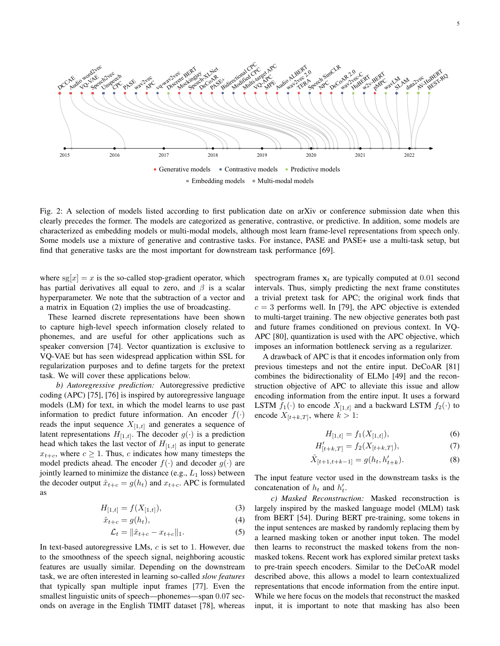<span id="page-4-0"></span>

Fig. 2: A selection of models listed according to first publication date on arXiv or conference submission date when this clearly precedes the former. The models are categorized as generative, contrastive, or predictive. In addition, some models are characterized as embedding models or multi-modal models, although most learn frame-level representations from speech only. Some models use a mixture of generative and contrastive tasks. For instance, PASE and PASE+ use a multi-task setup, but find that generative tasks are the most important for downstream task performance [\[69\]](#page-23-37).

where  $sg[x] = x$  is the so-called stop-gradient operator, which has partial derivatives all equal to zero, and  $\beta$  is a scalar hyperparameter. We note that the subtraction of a vector and a matrix in Equation [\(2\)](#page-3-0) implies the use of broadcasting.

These learned discrete representations have been shown to capture high-level speech information closely related to phonemes, and are useful for other applications such as speaker conversion [\[74\]](#page-23-38). Vector quantization is exclusive to VQ-VAE but has seen widespread application within SSL for regularization purposes and to define targets for the pretext task. We will cover these applications below.

*b) Autoregressive prediction:* Autoregressive predictive coding (APC) [\[75\]](#page-23-39), [\[76\]](#page-24-0) is inspired by autoregressive language models (LM) for text, in which the model learns to use past information to predict future information. An encoder  $f(\cdot)$ reads the input sequence  $X_{[1,t]}$  and generates a sequence of latent representations  $H_{[1,t]}$ . The decoder  $g(\cdot)$  is a prediction head which takes the last vector of  $H_{[1,t]}$  as input to generate  $x_{t+c}$ , where  $c \ge 1$ . Thus, c indicates how many timesteps the model predicts ahead. The encoder  $f(\cdot)$  and decoder  $g(\cdot)$  are jointly learned to minimize the distance (e.g.,  $L_1$  loss) between the decoder output  $\hat{x}_{t+c} = g(h_t)$  and  $x_{t+c}$ . APC is formulated as

$$
H_{[1,t]} = f(X_{[1,t]}),
$$
\n(3)

$$
\hat{x}_{t+c} = g(h_t),\tag{4}
$$

$$
\mathcal{L}_t = \|\hat{x}_{t+c} - x_{t+c}\|_1. \tag{5}
$$

In text-based autoregressive LMs,  $c$  is set to 1. However, due to the smoothness of the speech signal, neighboring acoustic features are usually similar. Depending on the downstream task, we are often interested in learning so-called *slow features* that typically span multiple input frames [\[77\]](#page-24-1). Even the smallest linguistic units of speech—phonemes—span 0.07 seconds on average in the English TIMIT dataset [\[78\]](#page-24-2), whereas spectrogram frames  $x_t$  are typically computed at 0.01 second intervals. Thus, simply predicting the next frame constitutes a trivial pretext task for APC; the original work finds that  $c = 3$  performs well. In [\[79\]](#page-24-3), the APC objective is extended to multi-target training. The new objective generates both past and future frames conditioned on previous context. In VQ-APC [\[80\]](#page-24-4), quantization is used with the APC objective, which imposes an information bottleneck serving as a regularizer.

A drawback of APC is that it encodes information only from previous timesteps and not the entire input. DeCoAR [\[81\]](#page-24-5) combines the bidirectionality of ELMo [\[49\]](#page-23-18) and the reconstruction objective of APC to alleviate this issue and allow encoding information from the entire input. It uses a forward LSTM  $f_1(\cdot)$  to encode  $X_{[1,t]}$  and a backward LSTM  $f_2(\cdot)$  to encode  $X_{[t+k,T]}$ , where  $k > 1$ :

$$
H_{[1,t]} = f_1(X_{[1,t]}),
$$
\n(6)

$$
H'_{[t+k,T]} = f_2(X_{[t+k,T]}),
$$
\n(7)

$$
\hat{X}_{[t+1,t+k-1]} = g(h_t, h'_{t+k}).
$$
\n(8)

The input feature vector used in the downstream tasks is the concatenation of  $h_t$  and  $h'_t$ .

*c) Masked Reconstruction:* Masked reconstruction is largely inspired by the masked language model (MLM) task from BERT [\[54\]](#page-23-22). During BERT pre-training, some tokens in the input sentences are masked by randomly replacing them by a learned masking token or another input token. The model then learns to reconstruct the masked tokens from the nonmasked tokens. Recent work has explored similar pretext tasks to pre-train speech encoders. Similar to the DeCoAR model described above, this allows a model to learn contextualized representations that encode information from the entire input. While we here focus on the models that reconstruct the masked input, it is important to note that masking has also been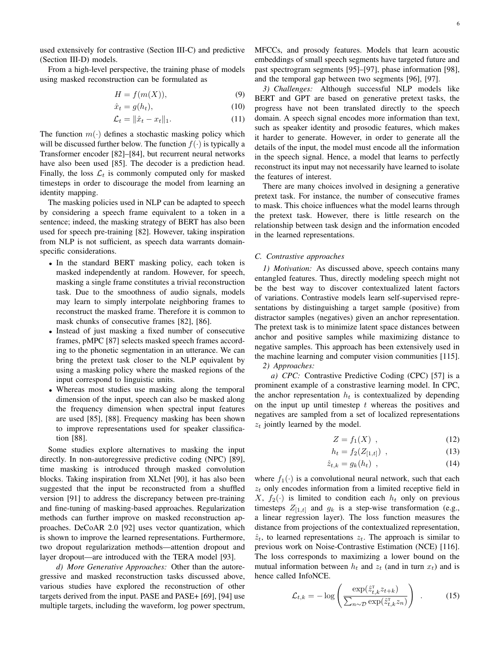used extensively for contrastive (Section [III-C\)](#page-5-0) and predictive (Section [III-D\)](#page-7-0) models.

From a high-level perspective, the training phase of models using masked reconstruction can be formulated as

$$
H = f(m(X)),\tag{9}
$$

$$
\hat{x}_t = g(h_t),\tag{10}
$$

$$
\mathcal{L}_t = \|\hat{x}_t - x_t\|_1. \tag{11}
$$

The function  $m(\cdot)$  defines a stochastic masking policy which will be discussed further below. The function  $f(\cdot)$  is typically a Transformer encoder [\[82\]](#page-24-6)–[\[84\]](#page-24-7), but recurrent neural networks have also been used [\[85\]](#page-24-8). The decoder is a prediction head. Finally, the loss  $\mathcal{L}_t$  is commonly computed only for masked timesteps in order to discourage the model from learning an identity mapping.

The masking policies used in NLP can be adapted to speech by considering a speech frame equivalent to a token in a sentence; indeed, the masking strategy of BERT has also been used for speech pre-training [\[82\]](#page-24-6). However, taking inspiration from NLP is not sufficient, as speech data warrants domainspecific considerations.

- In the standard BERT masking policy, each token is masked independently at random. However, for speech, masking a single frame constitutes a trivial reconstruction task. Due to the smoothness of audio signals, models may learn to simply interpolate neighboring frames to reconstruct the masked frame. Therefore it is common to mask chunks of consecutive frames [\[82\]](#page-24-6), [\[86\]](#page-24-9).
- Instead of just masking a fixed number of consecutive frames, pMPC [\[87\]](#page-24-10) selects masked speech frames according to the phonetic segmentation in an utterance. We can bring the pretext task closer to the NLP equivalent by using a masking policy where the masked regions of the input correspond to linguistic units.
- Whereas most studies use masking along the temporal dimension of the input, speech can also be masked along the frequency dimension when spectral input features are used [\[85\]](#page-24-8), [\[88\]](#page-24-11). Frequency masking has been shown to improve representations used for speaker classification [\[88\]](#page-24-11).

Some studies explore alternatives to masking the input directly. In non-autoregressive predictive coding (NPC) [\[89\]](#page-24-12), time masking is introduced through masked convolution blocks. Taking inspiration from XLNet [\[90\]](#page-24-13), it has also been suggested that the input be reconstructed from a shuffled version [\[91\]](#page-24-14) to address the discrepancy between pre-training and fine-tuning of masking-based approaches. Regularization methods can further improve on masked reconstruction approaches. DeCoAR 2.0 [\[92\]](#page-24-15) uses vector quantization, which is shown to improve the learned representations. Furthermore, two dropout regularization methods—attention dropout and layer dropout—are introduced with the TERA model [\[93\]](#page-24-16).

*d) More Generative Approaches:* Other than the autoregressive and masked reconstruction tasks discussed above, various studies have explored the reconstruction of other targets derived from the input. PASE and PASE+ [\[69\]](#page-23-37), [\[94\]](#page-24-17) use multiple targets, including the waveform, log power spectrum, MFCCs, and prosody features. Models that learn acoustic embeddings of small speech segments have targeted future and past spectrogram segments [\[95\]](#page-24-18)–[\[97\]](#page-24-19), phase information [\[98\]](#page-24-20), and the temporal gap between two segments [\[96\]](#page-24-21), [\[97\]](#page-24-19).

*3) Challenges:* Although successful NLP models like BERT and GPT are based on generative pretext tasks, the progress have not been translated directly to the speech domain. A speech signal encodes more information than text, such as speaker identity and prosodic features, which makes it harder to generate. However, in order to generate all the details of the input, the model must encode all the information in the speech signal. Hence, a model that learns to perfectly reconstruct its input may not necessarily have learned to isolate the features of interest.

There are many choices involved in designing a generative pretext task. For instance, the number of consecutive frames to mask. This choice influences what the model learns through the pretext task. However, there is little research on the relationship between task design and the information encoded in the learned representations.

# <span id="page-5-0"></span>*C. Contrastive approaches*

*1) Motivation:* As discussed above, speech contains many entangled features. Thus, directly modeling speech might not be the best way to discover contextualized latent factors of variations. Contrastive models learn self-supervised representations by distinguishing a target sample (positive) from distractor samples (negatives) given an anchor representation. The pretext task is to minimize latent space distances between anchor and positive samples while maximizing distance to negative samples. This approach has been extensively used in the machine learning and computer vision communities [\[115\]](#page-24-22). *2) Approaches:*

*a) CPC:* Contrastive Predictive Coding (CPC) [\[57\]](#page-23-24) is a prominent example of a constrastive learning model. In CPC, the anchor representation  $h_t$  is contextualized by depending on the input up until timestep  $t$  whereas the positives and negatives are sampled from a set of localized representations  $z_t$  jointly learned by the model.

$$
Z = f_1(X) \tag{12}
$$

$$
h_t = f_2(Z_{[1,t]}) \t\t(13)
$$

$$
\hat{z}_{t,k} = g_k(h_t) \tag{14}
$$

where  $f_1(\cdot)$  is a convolutional neural network, such that each  $z_t$  only encodes information from a limited receptive field in  $X, f_2(\cdot)$  is limited to condition each  $h_t$  only on previous timesteps  $Z_{[1,t]}$  and  $g_k$  is a step-wise transformation (e.g., a linear regression layer). The loss function measures the distance from projections of the contextualized representation,  $\hat{z}_t$ , to learned representations  $z_t$ . The approach is similar to previous work on Noise-Contrastive Estimation (NCE) [\[116\]](#page-24-23). The loss corresponds to maximizing a lower bound on the mutual information between  $h_t$  and  $z_t$  (and in turn  $x_t$ ) and is hence called InfoNCE.

$$
\mathcal{L}_{t,k} = -\log\left(\frac{\exp(\hat{z}_{t,k}^{\mathrm{T}} z_{t+k})}{\sum_{n\sim\mathcal{D}} \exp(\hat{z}_{t,k}^{\mathrm{T}} z_n)}\right) . \tag{15}
$$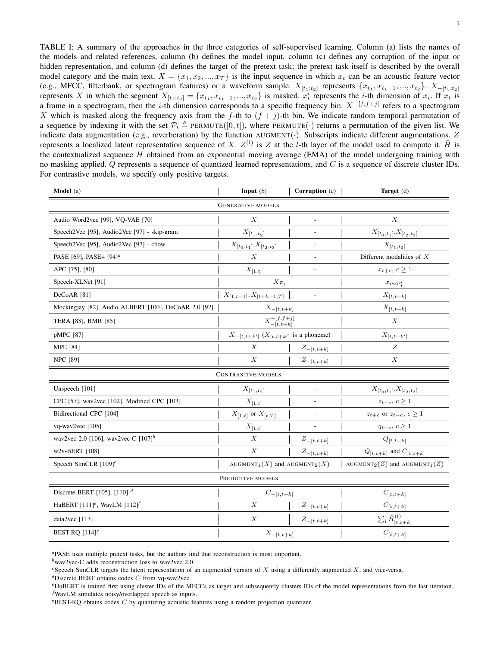<span id="page-6-0"></span>TABLE I: A summary of the approaches in the three categories of self-supervised learning. Column (a) lists the names of the models and related references, column (b) defines the model input, column (c) defines any corruption of the input or hidden representation, and column (d) defines the target of the pretext task; the pretext task itself is described by the overall model category and the main text.  $X = \{x_1, x_2, ..., x_T\}$  is the input sequence in which  $x_t$  can be an acoustic feature vector (e.g., MFCC, filterbank, or spectrogram features) or a waveform sample.  $X_{[t_1:t_2]}$  represents  $\{x_{t_1}, x_{t_1+1}, ..., x_{t_2}\}$ .  $X_{-[t_1:t_2]}$ represents X in which the segment  $X_{[t_1:t_2]} = \{x_{t_1}, x_{t_1+1}, ..., x_{t_2}\}$  is masked.  $x_t^i$  represents the *i*-th dimension of  $x_t$ . If  $x_t$  is a frame in a spectrogram, then the *i*-th dimension corresponds to a specific frequency bin.  $X^{-[f,f+j]}$  refers to a spectrogram X which is masked along the frequency axis from the f-th to  $(f + j)$ -th bin. We indicate random temporal permutation of a sequence by indexing it with the set  $\mathcal{P}_t \triangleq \text{PERMUTE}([0, t])$ , where PERMUTE(·) returns a permutation of the given list. We indicate data augmentation (e.g., reverberation) by the function  $AUGMENT(\cdot)$ . Subscripts indicate different augmentations. Z represents a localized latent representation sequence of X.  $Z^{(l)}$  is Z at the l-th layer of the model used to compute it.  $\bar{H}$  is the contextualized sequence  $H$  obtained from an exponential moving average (EMA) of the model undergoing training with no masking applied.  $Q$  represents a sequence of quantized learned representations, and  $C$  is a sequence of discrete cluster IDs. For contrastive models, we specify only positive targets.

| Model (a)                                                | Input(b)                                                  | Corruption (c)              | Target (d)                                                |  |  |  |  |  |
|----------------------------------------------------------|-----------------------------------------------------------|-----------------------------|-----------------------------------------------------------|--|--|--|--|--|
| <b>GENERATIVE MODELS</b>                                 |                                                           |                             |                                                           |  |  |  |  |  |
| Audio Word2vec [99], VQ-VAE [70]                         | $\boldsymbol{X}$                                          |                             | $\boldsymbol{X}$                                          |  |  |  |  |  |
| Speech2Vec [95], Audio2Vec [97] - skip-gram              | $X_{\left[ t_{1},t_{2}\right] }$                          | $\overline{a}$              | $X_{[t_0,t_1]},X_{[t_2,t_3]}$                             |  |  |  |  |  |
| Speech2Vec [95], Audio2Vec [97] - cbow                   | $X_{[t_0,t_1]}, X_{[t_2,t_3]}$                            | $\overline{\phantom{a}}$    | $X_{[t_1,t_2]}$                                           |  |  |  |  |  |
| PASE [69], PASE+ [94] <sup>a</sup>                       |                                                           | $\overline{\phantom{a}}$    | Different modalities of $X$                               |  |  |  |  |  |
| APC [75], [80]                                           | $X_{[1,t]}$                                               |                             | $x_{t+c},\,c\geq 1$                                       |  |  |  |  |  |
| Speech-XLNet [91]                                        | $X_{\mathcal{P}_t}$                                       |                             | $x_{i\sim\mathcal{P}_t^c}$                                |  |  |  |  |  |
| DeCoAR <sup>[81]</sup>                                   | $X_{[1,t-1]}, X_{[t+k+1,T]}$                              |                             | $X_{[t,t+k]}$                                             |  |  |  |  |  |
| Mockingjay [82], Audio ALBERT [100], DeCoAR 2.0 [92]     | $X_{-[t,t+k]}$                                            |                             | $X_{[t,t+k]}$                                             |  |  |  |  |  |
| TERA [88], BMR [85]                                      | $X^{-[f,f+j]}_{-[t,t+k]}$                                 |                             | $\boldsymbol{X}$                                          |  |  |  |  |  |
| pMPC [87]                                                | $X_{-[t,t+k']}\ (X_{[t,t+k']})$ is a phoneme)             |                             | $X_{[t,t+k']}$                                            |  |  |  |  |  |
| <b>MPE</b> [84]                                          | $\boldsymbol{X}$                                          | $Z_{-[t,t+k]}$              | Ζ                                                         |  |  |  |  |  |
| <b>NPC</b> [89]                                          | X<br>$Z_{-[t,t+k]}$                                       |                             | X                                                         |  |  |  |  |  |
| CONTRASTIVE MODELS                                       |                                                           |                             |                                                           |  |  |  |  |  |
| Unspeech [101]                                           | $X_{[t_1,t_2]}$                                           |                             | $X_{[t_0,t_1]},X_{[t_2,t_3]}$                             |  |  |  |  |  |
| CPC [57], wav2vec [102], Modified CPC [103]              | $X_{[1,t]}$                                               |                             | $z_{t+c}, c \geq 1$                                       |  |  |  |  |  |
| Bidirectional CPC [104]                                  | $X_{[1,t]}$ or $X_{[t,T]}$<br>$\overline{\phantom{a}}$    |                             | $z_{t+c}$ or $z_{t-c}$ , $c \ge 1$                        |  |  |  |  |  |
| $vq$ -wav $2$ vec $[105]$                                | $X_{[1,t]}$                                               |                             | $q_{t+c}, c \geq 1$                                       |  |  |  |  |  |
| wav2vec 2.0 [106], wav2vec-C $[107]$ <sup>b</sup>        | Х                                                         | $\mathcal{Z}_{-[t,t+k]}$    | $Q_{[t,t+k]}$                                             |  |  |  |  |  |
| w2v-BERT [108]                                           | $\boldsymbol{X}$                                          | $Z_{-[t,t+k]}$              | $Q_{[t,t+k]}$ and $C_{[t,t+k]}$                           |  |  |  |  |  |
| Speech SimCLR $[109]^{c}$                                | AUGMENT <sub>1</sub> $(X)$ and AUGMENT <sub>2</sub> $(X)$ |                             | AUGMENT <sub>2</sub> $(Z)$ and AUGMENT <sub>1</sub> $(Z)$ |  |  |  |  |  |
| PREDICTIVE MODELS                                        |                                                           |                             |                                                           |  |  |  |  |  |
| Discrete BERT [105], [110] $d$                           | $C_{-[t,t+k]}$                                            |                             | $C_{[t,t+k]}$                                             |  |  |  |  |  |
| HuBERT $[111]$ <sup>e</sup> , WavLM $[112]$ <sup>F</sup> | X                                                         | $Z_{-[t,t+k]}$              | $C_{\left[ t,t+k\right] }$                                |  |  |  |  |  |
| data2vec [113]                                           | $\boldsymbol{X}$                                          | $Z_{-\left[ t,t+k\right] }$ | $\sum_l \bar{H}_{[t,t+k]}^{(l)}$                          |  |  |  |  |  |
| BEST-RQ $[114]$ <sup>g</sup>                             | $X_{-[t,t+k]}$                                            |                             | $C_{[t,t+k]}$                                             |  |  |  |  |  |

<span id="page-6-1"></span>*<sup>a</sup>*PASE uses multiple pretext tasks, but the authors find that reconstruction is most important.

<span id="page-6-2"></span>*<sup>b</sup>*wav2vec-C adds reconstruction loss to wav2vec 2.0.

<span id="page-6-4"></span>*<sup>d</sup>*Discrete BERT obtains codes C from vq-wav2vec.

<span id="page-6-3"></span>*<sup>c</sup>*Speech SimCLR targets the latent representation of an augmented version of X using a differently augmented X, and vice-versa.

<span id="page-6-6"></span><span id="page-6-5"></span>*<sup>e</sup>*HuBERT is trained first using cluster IDs of the MFCCs as target and subsequently clusters IDs of the model representations from the last iteration. *<sup>f</sup>*WavLM simulates noisy/overlapped speech as inputs.

<span id="page-6-7"></span>*<sup>g</sup>*BEST-RQ obtains codes C by quantizing acoustic features using a random projection quantizer.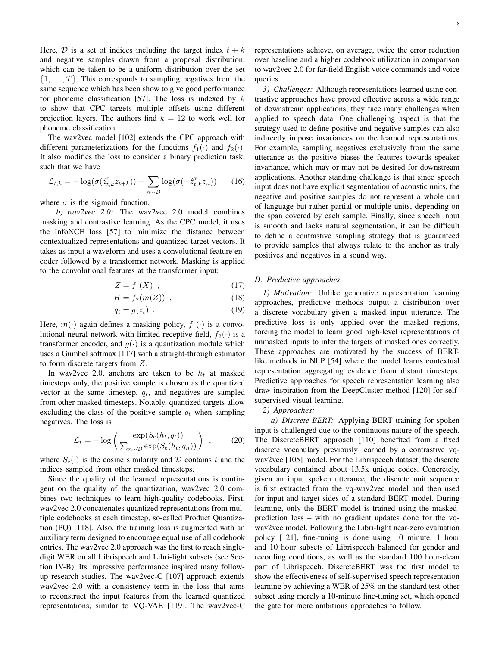Here,  $D$  is a set of indices including the target index  $t + k$ and negative samples drawn from a proposal distribution, which can be taken to be a uniform distribution over the set  $\{1, \ldots, T\}$ . This corresponds to sampling negatives from the same sequence which has been show to give good performance for phoneme classification [\[57\]](#page-23-24). The loss is indexed by  $k$ to show that CPC targets multiple offsets using different projection layers. The authors find  $k = 12$  to work well for phoneme classification.

The wav2vec model [\[102\]](#page-24-27) extends the CPC approach with different parameterizations for the functions  $f_1(\cdot)$  and  $f_2(\cdot)$ . It also modifies the loss to consider a binary prediction task, such that we have

$$
\mathcal{L}_{t,k} = -\log(\sigma(\hat{z}_{t,k}^{\mathrm{T}} z_{t+k})) - \sum_{n \sim \mathcal{D}} \log(\sigma(-\hat{z}_{t,k}^{\mathrm{T}} z_n)) \quad , \quad (16)
$$

where  $\sigma$  is the sigmoid function.

*b) wav2vec 2.0:* The wav2vec 2.0 model combines masking and contrastive learning. As the CPC model, it uses the InfoNCE loss [\[57\]](#page-23-24) to minimize the distance between contextualized representations and quantized target vectors. It takes as input a waveform and uses a convolutional feature encoder followed by a transformer network. Masking is applied to the convolutional features at the transformer input:

$$
Z = f_1(X) \tag{17}
$$

$$
H = f_2(m(Z)) , \qquad (18)
$$

$$
q_t = g(z_t) \tag{19}
$$

Here,  $m(\cdot)$  again defines a masking policy,  $f_1(\cdot)$  is a convolutional neural network with limited receptive field,  $f_2(\cdot)$  is a transformer encoder, and  $g(\cdot)$  is a quantization module which uses a Gumbel softmax [\[117\]](#page-24-40) with a straight-through estimator to form discrete targets from Z.

In wav2vec 2.0, anchors are taken to be  $h_t$  at masked timesteps only, the positive sample is chosen as the quantized vector at the same timestep,  $q_t$ , and negatives are sampled from other masked timesteps. Notably, quantized targets allow excluding the class of the positive sample  $q_t$  when sampling negatives. The loss is

$$
\mathcal{L}_t = -\log\left(\frac{\exp(S_c(h_t, q_t))}{\sum_{n \sim \mathcal{D}} \exp(S_c(h_t, q_n))}\right) ,\qquad(20)
$$

where  $S_c(\cdot)$  is the cosine similarity and D contains t and the indices sampled from other masked timesteps.

Since the quality of the learned representations is contingent on the quality of the quantization, wav2vec 2.0 combines two techniques to learn high-quality codebooks. First, wav2vec 2.0 concatenates quantized representations from multiple codebooks at each timestep, so-called Product Quantization (PQ) [\[118\]](#page-24-41). Also, the training loss is augmented with an auxiliary term designed to encourage equal use of all codebook entries. The wav2vec 2.0 approach was the first to reach singledigit WER on all Librispeech and Libri-light subsets (see Section [IV-B\)](#page-10-1). Its impressive performance inspired many followup research studies. The wav2vec-C [\[107\]](#page-24-32) approach extends wav2vec 2.0 with a consistency term in the loss that aims to reconstruct the input features from the learned quantized representations, similar to VQ-VAE [\[119\]](#page-25-0). The wav2vec-C representations achieve, on average, twice the error reduction over baseline and a higher codebook utilization in comparison to wav2vec 2.0 for far-field English voice commands and voice queries.

*3) Challenges:* Although representations learned using contrastive approaches have proved effective across a wide range of downstream applications, they face many challenges when applied to speech data. One challenging aspect is that the strategy used to define positive and negative samples can also indirectly impose invariances on the learned representations. For example, sampling negatives exclusively from the same utterance as the positive biases the features towards speaker invariance, which may or may not be desired for downstream applications. Another standing challenge is that since speech input does not have explicit segmentation of acoustic units, the negative and positive samples do not represent a whole unit of language but rather partial or multiple units, depending on the span covered by each sample. Finally, since speech input is smooth and lacks natural segmentation, it can be difficult to define a contrastive sampling strategy that is guaranteed to provide samples that always relate to the anchor as truly positives and negatives in a sound way.

#### <span id="page-7-1"></span><span id="page-7-0"></span>*D. Predictive approaches*

<span id="page-7-2"></span>*1) Motivation:* Unlike generative representation learning approaches, predictive methods output a distribution over a discrete vocabulary given a masked input utterance. The predictive loss is only applied over the masked regions, forcing the model to learn good high-level representations of unmasked inputs to infer the targets of masked ones correctly. These approaches are motivated by the success of BERTlike methods in NLP [\[54\]](#page-23-22) where the model learns contextual representation aggregating evidence from distant timesteps. Predictive approaches for speech representation learning also draw inspiration from the DeepCluster method [\[120\]](#page-25-1) for selfsupervised visual learning.

## *2) Approaches:*

*a) Discrete BERT:* Applying BERT training for spoken input is challenged due to the continuous nature of the speech. The DiscreteBERT approach [\[110\]](#page-24-35) benefited from a fixed discrete vocabulary previously learned by a contrastive vqwav2vec [\[105\]](#page-24-30) model. For the Librispeech dataset, the discrete vocabulary contained about 13.5k unique codes. Concretely, given an input spoken utterance, the discrete unit sequence is first extracted from the vq-wav2vec model and then used for input and target sides of a standard BERT model. During learning, only the BERT model is trained using the maskedprediction loss – with no gradient updates done for the vqwav2vec model. Following the Libri-light near-zero evaluation policy [\[121\]](#page-25-2), fine-tuning is done using 10 minute, 1 hour and 10 hour subsets of Librispeech balanced for gender and recording conditions, as well as the standard 100 hour-clean part of Librispeech. DiscreteBERT was the first model to show the effectiveness of self-supervised speech representation learning by achieving a WER of 25% on the standard test-other subset using merely a 10-minute fine-tuning set, which opened the gate for more ambitious approaches to follow.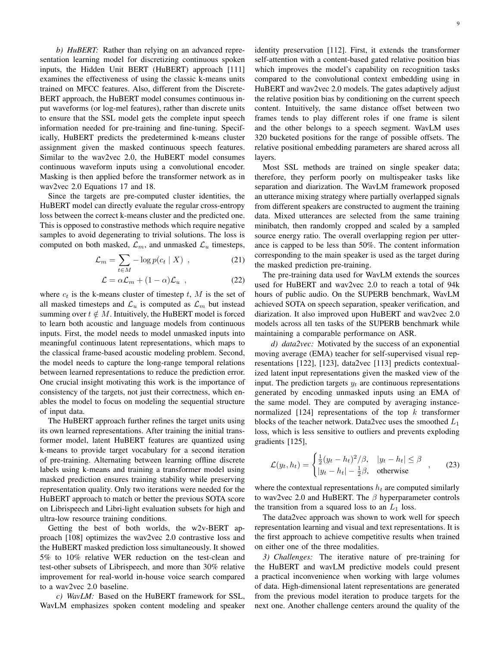*b) HuBERT:* Rather than relying on an advanced representation learning model for discretizing continuous spoken inputs, the Hidden Unit BERT (HuBERT) approach [\[111\]](#page-24-36) examines the effectiveness of using the classic k-means units trained on MFCC features. Also, different from the Discrete-BERT approach, the HuBERT model consumes continuous input waveforms (or log-mel features), rather than discrete units to ensure that the SSL model gets the complete input speech information needed for pre-training and fine-tuning. Specifically, HuBERT predicts the predetermined k-means cluster assignment given the masked continuous speech features. Similar to the wav2vec 2.0, the HuBERT model consumes continuous waveform inputs using a convolutional encoder. Masking is then applied before the transformer network as in wav2vec 2.0 Equations [17](#page-7-1) and [18.](#page-7-2)

Since the targets are pre-computed cluster identities, the HuBERT model can directly evaluate the regular cross-entropy loss between the correct k-means cluster and the predicted one. This is opposed to constrastive methods which require negative samples to avoid degenerating to trivial solutions. The loss is computed on both masked,  $\mathcal{L}_m$ , and unmasked  $\mathcal{L}_u$  timesteps,

$$
\mathcal{L}_m = \sum_{t \in M} -\log p(c_t \mid X) \tag{21}
$$

$$
\mathcal{L} = \alpha \mathcal{L}_m + (1 - \alpha) \mathcal{L}_u , \qquad (22)
$$

where  $c_t$  is the k-means cluster of timestep t, M is the set of all masked timesteps and  $\mathcal{L}_u$  is computed as  $\mathcal{L}_m$  but instead summing over  $t \notin M$ . Intuitively, the HuBERT model is forced to learn both acoustic and language models from continuous inputs. First, the model needs to model unmasked inputs into meaningful continuous latent representations, which maps to the classical frame-based acoustic modeling problem. Second, the model needs to capture the long-range temporal relations between learned representations to reduce the prediction error. One crucial insight motivating this work is the importance of consistency of the targets, not just their correctness, which enables the model to focus on modeling the sequential structure of input data.

The HuBERT approach further refines the target units using its own learned representations. After training the initial transformer model, latent HuBERT features are quantized using k-means to provide target vocabulary for a second iteration of pre-training. Alternating between learning offline discrete labels using k-means and training a transformer model using masked prediction ensures training stability while preserving representation quality. Only two iterations were needed for the HuBERT approach to match or better the previous SOTA score on Librispeech and Libri-light evaluation subsets for high and ultra-low resource training conditions.

Getting the best of both worlds, the w2v-BERT approach [\[108\]](#page-24-33) optimizes the wav2vec 2.0 contrastive loss and the HuBERT masked prediction loss simultaneously. It showed 5% to 10% relative WER reduction on the test-clean and test-other subsets of Librispeech, and more than 30% relative improvement for real-world in-house voice search compared to a wav2vec 2.0 baseline.

*c) WavLM:* Based on the HuBERT framework for SSL, WavLM emphasizes spoken content modeling and speaker identity preservation [\[112\]](#page-24-37). First, it extends the transformer self-attention with a content-based gated relative position bias which improves the model's capability on recognition tasks compared to the convolutional context embedding using in HuBERT and wav2vec 2.0 models. The gates adaptively adjust the relative position bias by conditioning on the current speech content. Intuitively, the same distance offset between two frames tends to play different roles if one frame is silent and the other belongs to a speech segment. WavLM uses 320 bucketed positions for the range of possible offsets. The relative positional embedding parameters are shared across all layers.

Most SSL methods are trained on single speaker data; therefore, they perform poorly on multispeaker tasks like separation and diarization. The WavLM framework proposed an utterance mixing strategy where partially overlapped signals from different speakers are constructed to augment the training data. Mixed utterances are selected from the same training minibatch, then randomly cropped and scaled by a sampled source energy ratio. The overall overlapping region per utterance is capped to be less than 50%. The content information corresponding to the main speaker is used as the target during the masked prediction pre-training.

The pre-training data used for WavLM extends the sources used for HuBERT and wav2vec 2.0 to reach a total of 94k hours of public audio. On the SUPERB benchmark, WavLM achieved SOTA on speech separation, speaker verification, and diarization. It also improved upon HuBERT and wav2vec 2.0 models across all ten tasks of the SUPERB benchmark while maintaining a comparable performance on ASR.

*d) data2vec:* Motivated by the success of an exponential moving average (EMA) teacher for self-supervised visual representations [\[122\]](#page-25-3), [\[123\]](#page-25-4), data2vec [\[113\]](#page-24-38) predicts contextualized latent input representations given the masked view of the input. The prediction targets  $y_t$  are continuous representations generated by encoding unmasked inputs using an EMA of the same model. They are computed by averaging instance-normalized [\[124\]](#page-25-5) representations of the top  $k$  transformer blocks of the teacher network. Data2vec uses the smoothed  $L_1$ loss, which is less sensitive to outliers and prevents exploding gradients [\[125\]](#page-25-6),

$$
\mathcal{L}(y_t, h_t) = \begin{cases} \frac{1}{2}(y_t - h_t)^2/\beta, & |y_t - h_t| \le \beta \\ |y_t - h_t| - \frac{1}{2}\beta, & \text{otherwise} \end{cases}
$$
 (23)

where the contextual representations  $h_t$  are computed similarly to wav2vec 2.0 and HuBERT. The  $\beta$  hyperparameter controls the transition from a squared loss to an  $L_1$  loss.

The data2vec approach was shown to work well for speech representation learning and visual and text representations. It is the first approach to achieve competitive results when trained on either one of the three modalities.

*3) Challenges:* The iterative nature of pre-training for the HuBERT and wavLM predictive models could present a practical inconvenience when working with large volumes of data. High-dimensional latent representations are generated from the previous model iteration to produce targets for the next one. Another challenge centers around the quality of the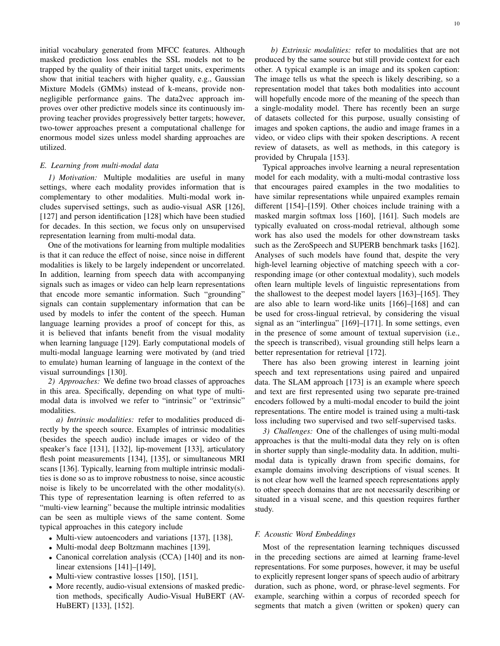initial vocabulary generated from MFCC features. Although masked prediction loss enables the SSL models not to be trapped by the quality of their initial target units, experiments show that initial teachers with higher quality, e.g., Gaussian Mixture Models (GMMs) instead of k-means, provide nonnegligible performance gains. The data2vec approach improves over other predictive models since its continuously improving teacher provides progressively better targets; however, two-tower approaches present a computational challenge for enormous model sizes unless model sharding approaches are utilized.

# *E. Learning from multi-modal data*

*1) Motivation:* Multiple modalities are useful in many settings, where each modality provides information that is complementary to other modalities. Multi-modal work includes supervised settings, such as audio-visual ASR [\[126\]](#page-25-7), [\[127\]](#page-25-8) and person identification [\[128\]](#page-25-9) which have been studied for decades. In this section, we focus only on unsupervised representation learning from multi-modal data.

One of the motivations for learning from multiple modalities is that it can reduce the effect of noise, since noise in different modalities is likely to be largely independent or uncorrelated. In addition, learning from speech data with accompanying signals such as images or video can help learn representations that encode more semantic information. Such "grounding" signals can contain supplementary information that can be used by models to infer the content of the speech. Human language learning provides a proof of concept for this, as it is believed that infants benefit from the visual modality when learning language [\[129\]](#page-25-10). Early computational models of multi-modal language learning were motivated by (and tried to emulate) human learning of language in the context of the visual surroundings [\[130\]](#page-25-11).

*2) Approaches:* We define two broad classes of approaches in this area. Specifically, depending on what type of multimodal data is involved we refer to "intrinsic" or "extrinsic" modalities.

*a) Intrinsic modalities:* refer to modalities produced directly by the speech source. Examples of intrinsic modalities (besides the speech audio) include images or video of the speaker's face [\[131\]](#page-25-12), [\[132\]](#page-25-13), lip-movement [\[133\]](#page-25-14), articulatory flesh point measurements [\[134\]](#page-25-15), [\[135\]](#page-25-16), or simultaneous MRI scans [\[136\]](#page-25-17). Typically, learning from multiple intrinsic modalities is done so as to improve robustness to noise, since acoustic noise is likely to be uncorrelated with the other modality(s). This type of representation learning is often referred to as "multi-view learning" because the multiple intrinsic modalities can be seen as multiple views of the same content. Some typical approaches in this category include

- Multi-view autoencoders and variations [\[137\]](#page-25-18), [\[138\]](#page-25-19),
- Multi-modal deep Boltzmann machines [\[139\]](#page-25-20),
- Canonical correlation analysis (CCA) [\[140\]](#page-25-21) and its non-linear extensions [\[141\]](#page-25-22)–[\[149\]](#page-25-23),
- Multi-view contrastive losses [\[150\]](#page-25-24), [\[151\]](#page-25-25),
- More recently, audio-visual extensions of masked prediction methods, specifically Audio-Visual HuBERT (AV-HuBERT) [\[133\]](#page-25-14), [\[152\]](#page-25-26).

*b) Extrinsic modalities:* refer to modalities that are not produced by the same source but still provide context for each other. A typical example is an image and its spoken caption: The image tells us what the speech is likely describing, so a representation model that takes both modalities into account will hopefully encode more of the meaning of the speech than a single-modality model. There has recently been an surge of datasets collected for this purpose, usually consisting of images and spoken captions, the audio and image frames in a video, or video clips with their spoken descriptions. A recent review of datasets, as well as methods, in this category is provided by Chrupala [\[153\]](#page-25-27).

Typical approaches involve learning a neural representation model for each modality, with a multi-modal contrastive loss that encourages paired examples in the two modalities to have similar representations while unpaired examples remain different [\[154\]](#page-25-28)–[\[159\]](#page-25-29). Other choices include training with a masked margin softmax loss [\[160\]](#page-25-30), [\[161\]](#page-25-31). Such models are typically evaluated on cross-modal retrieval, although some work has also used the models for other downstream tasks such as the ZeroSpeech and SUPERB benchmark tasks [\[162\]](#page-25-32). Analyses of such models have found that, despite the very high-level learning objective of matching speech with a corresponding image (or other contextual modality), such models often learn multiple levels of linguistic representations from the shallowest to the deepest model layers [\[163\]](#page-25-33)–[\[165\]](#page-25-34). They are also able to learn word-like units [\[166\]](#page-25-35)–[\[168\]](#page-25-36) and can be used for cross-lingual retrieval, by considering the visual signal as an "interlingua" [\[169\]](#page-26-0)–[\[171\]](#page-26-1). In some settings, even in the presence of some amount of textual supervision (i.e., the speech is transcribed), visual grounding still helps learn a better representation for retrieval [\[172\]](#page-26-2).

There has also been growing interest in learning joint speech and text representations using paired and unpaired data. The SLAM approach [\[173\]](#page-26-3) is an example where speech and text are first represented using two separate pre-trained encoders followed by a multi-modal encoder to build the joint representations. The entire model is trained using a multi-task loss including two supervised and two self-supervised tasks.

*3) Challenges:* One of the challenges of using multi-modal approaches is that the multi-modal data they rely on is often in shorter supply than single-modality data. In addition, multimodal data is typically drawn from specific domains, for example domains involving descriptions of visual scenes. It is not clear how well the learned speech representations apply to other speech domains that are not necessarily describing or situated in a visual scene, and this question requires further study.

# *F. Acoustic Word Embeddings*

Most of the representation learning techniques discussed in the preceding sections are aimed at learning frame-level representations. For some purposes, however, it may be useful to explicitly represent longer spans of speech audio of arbitrary duration, such as phone, word, or phrase-level segments. For example, searching within a corpus of recorded speech for segments that match a given (written or spoken) query can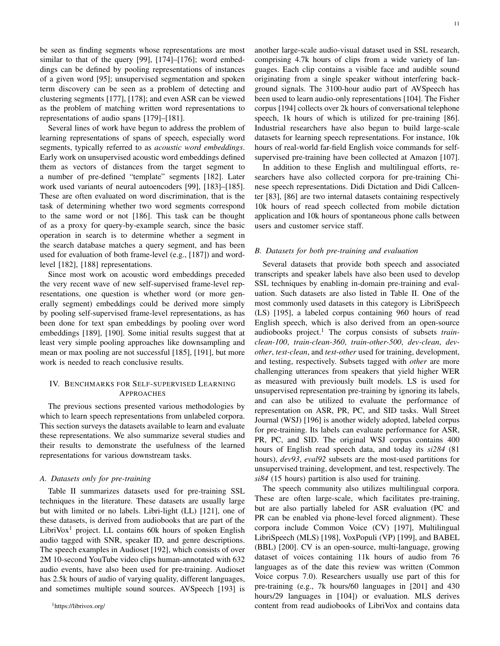be seen as finding segments whose representations are most similar to that of the query [\[99\]](#page-24-24), [\[174\]](#page-26-4)–[\[176\]](#page-26-5); word embeddings can be defined by pooling representations of instances of a given word [\[95\]](#page-24-18); unsupervised segmentation and spoken term discovery can be seen as a problem of detecting and clustering segments [\[177\]](#page-26-6), [\[178\]](#page-26-7); and even ASR can be viewed as the problem of matching written word representations to representations of audio spans [\[179\]](#page-26-8)–[\[181\]](#page-26-9).

Several lines of work have begun to address the problem of learning representations of spans of speech, especially word segments, typically referred to as *acoustic word embeddings*. Early work on unsupervised acoustic word embeddings defined them as vectors of distances from the target segment to a number of pre-defined "template" segments [\[182\]](#page-26-10). Later work used variants of neural autoencoders [\[99\]](#page-24-24), [\[183\]](#page-26-11)–[\[185\]](#page-26-12). These are often evaluated on word discrimination, that is the task of determining whether two word segments correspond to the same word or not [\[186\]](#page-26-13). This task can be thought of as a proxy for query-by-example search, since the basic operation in search is to determine whether a segment in the search database matches a query segment, and has been used for evaluation of both frame-level (e.g., [\[187\]](#page-26-14)) and wordlevel [\[182\]](#page-26-10), [\[188\]](#page-26-15) representations.

Since most work on acoustic word embeddings preceded the very recent wave of new self-supervised frame-level representations, one question is whether word (or more generally segment) embeddings could be derived more simply by pooling self-supervised frame-level representations, as has been done for text span embeddings by pooling over word embeddings [\[189\]](#page-26-16), [\[190\]](#page-26-17). Some initial results suggest that at least very simple pooling approaches like downsampling and mean or max pooling are not successful [\[185\]](#page-26-12), [\[191\]](#page-26-18), but more work is needed to reach conclusive results.

# <span id="page-10-0"></span>IV. BENCHMARKS FOR SELF-SUPERVISED LEARNING APPROACHES

The previous sections presented various methodologies by which to learn speech representations from unlabeled corpora. This section surveys the datasets available to learn and evaluate these representations. We also summarize several studies and their results to demonstrate the usefulness of the learned representations for various downstream tasks.

# <span id="page-10-2"></span>*A. Datasets only for pre-training*

Table [II](#page-13-0) summarizes datasets used for pre-training SSL techniques in the literature. These datasets are usually large but with limited or no labels. Libri-light (LL) [\[121\]](#page-25-2), one of these datasets, is derived from audiobooks that are part of the LibriVox<sup>[1](#page-0-1)</sup> project. LL contains 60k hours of spoken English audio tagged with SNR, speaker ID, and genre descriptions. The speech examples in Audioset [\[192\]](#page-26-19), which consists of over 2M 10-second YouTube video clips human-annotated with 632 audio events, have also been used for pre-training. Audioset has 2.5k hours of audio of varying quality, different languages, and sometimes multiple sound sources. AVSpeech [\[193\]](#page-26-20) is another large-scale audio-visual dataset used in SSL research, comprising 4.7k hours of clips from a wide variety of languages. Each clip contains a visible face and audible sound originating from a single speaker without interfering background signals. The 3100-hour audio part of AVSpeech has been used to learn audio-only representations [\[104\]](#page-24-29). The Fisher corpus [\[194\]](#page-26-21) collects over 2k hours of conversational telephone speech, 1k hours of which is utilized for pre-training [\[86\]](#page-24-9). Industrial researchers have also begun to build large-scale datasets for learning speech representations. For instance, 10k hours of real-world far-field English voice commands for selfsupervised pre-training have been collected at Amazon [\[107\]](#page-24-32).

In addition to these English and multilingual efforts, researchers have also collected corpora for pre-training Chinese speech representations. Didi Dictation and Didi Callcenter [\[83\]](#page-24-42), [\[86\]](#page-24-9) are two internal datasets containing respectively 10k hours of read speech collected from mobile dictation application and 10k hours of spontaneous phone calls between users and customer service staff.

## <span id="page-10-1"></span>*B. Datasets for both pre-training and evaluation*

Several datasets that provide both speech and associated transcripts and speaker labels have also been used to develop SSL techniques by enabling in-domain pre-training and evaluation. Such datasets are also listed in Table [II.](#page-13-0) One of the most commonly used datasets in this category is LibriSpeech (LS) [\[195\]](#page-26-22), a labeled corpus containing 960 hours of read English speech, which is also derived from an open-source audiobooks project.<sup>[1](#page-10-2)</sup> The corpus consists of subsets *trainclean-100*, *train-clean-360*, *train-other-500*, *dev-clean*, *devother*, *test-clean*, and *test-other* used for training, development, and testing, respectively. Subsets tagged with *other* are more challenging utterances from speakers that yield higher WER as measured with previously built models. LS is used for unsupervised representation pre-training by ignoring its labels, and can also be utilized to evaluate the performance of representation on ASR, PR, PC, and SID tasks. Wall Street Journal (WSJ) [\[196\]](#page-26-23) is another widely adopted, labeled corpus for pre-training. Its labels can evaluate performance for ASR, PR, PC, and SID. The original WSJ corpus contains 400 hours of English read speech data, and today its *si284* (81 hours), *dev93*, *eval92* subsets are the most-used partitions for unsupervised training, development, and test, respectively. The *si84* (15 hours) partition is also used for training.

The speech community also utilizes multilingual corpora. These are often large-scale, which facilitates pre-training, but are also partially labeled for ASR evaluation (PC and PR can be enabled via phone-level forced alignment). These corpora include Common Voice (CV) [\[197\]](#page-26-24), Multilingual LibriSpeech (MLS) [\[198\]](#page-26-25), VoxPopuli (VP) [\[199\]](#page-26-26), and BABEL (BBL) [\[200\]](#page-26-27). CV is an open-source, multi-language, growing dataset of voices containing 11k hours of audio from 76 languages as of the date this review was written (Common Voice corpus 7.0). Researchers usually use part of this for pre-training (e.g., 7k hours/60 languages in [\[201\]](#page-26-28) and 430 hours/29 languages in [\[104\]](#page-24-29)) or evaluation. MLS derives content from read audiobooks of LibriVox and contains data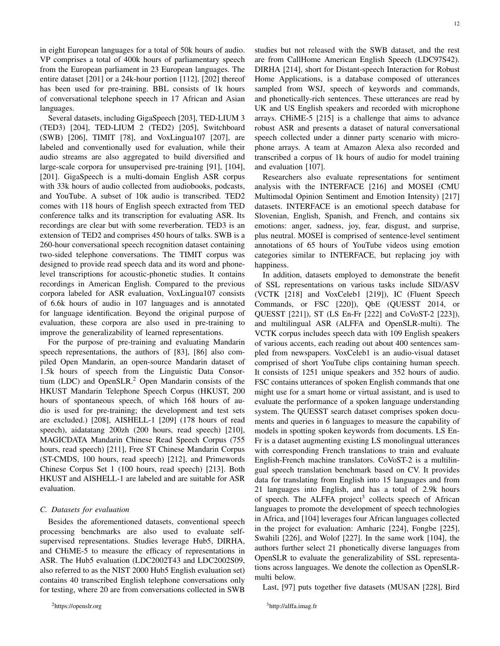in eight European languages for a total of 50k hours of audio. VP comprises a total of 400k hours of parliamentary speech from the European parliament in 23 European languages. The entire dataset [\[201\]](#page-26-28) or a 24k-hour portion [\[112\]](#page-24-37), [\[202\]](#page-26-29) thereof has been used for pre-training. BBL consists of 1k hours of conversational telephone speech in 17 African and Asian languages.

Several datasets, including GigaSpeech [\[203\]](#page-26-30), TED-LIUM 3 (TED3) [\[204\]](#page-26-31), TED-LIUM 2 (TED2) [\[205\]](#page-26-32), Switchboard (SWB) [\[206\]](#page-26-33), TIMIT [\[78\]](#page-24-2), and VoxLingua107 [\[207\]](#page-26-34), are labeled and conventionally used for evaluation, while their audio streams are also aggregated to build diversified and large-scale corpora for unsupervised pre-training [\[91\]](#page-24-14), [\[104\]](#page-24-29), [\[201\]](#page-26-28). GigaSpeech is a multi-domain English ASR corpus with 33k hours of audio collected from audiobooks, podcasts, and YouTube. A subset of 10k audio is transcribed. TED2 comes with 118 hours of English speech extracted from TED conference talks and its transcription for evaluating ASR. Its recordings are clear but with some reverberation. TED3 is an extension of TED2 and comprises 450 hours of talks. SWB is a 260-hour conversational speech recognition dataset containing two-sided telephone conversations. The TIMIT corpus was designed to provide read speech data and its word and phonelevel transcriptions for acoustic-phonetic studies. It contains recordings in American English. Compared to the previous corpora labeled for ASR evaluation, VoxLingua107 consists of 6.6k hours of audio in 107 languages and is annotated for language identification. Beyond the original purpose of evaluation, these corpora are also used in pre-training to improve the generalizability of learned representations.

For the purpose of pre-training and evaluating Mandarin speech representations, the authors of [\[83\]](#page-24-42), [\[86\]](#page-24-9) also compiled Open Mandarin, an open-source Mandarin dataset of 1.5k hours of speech from the Linguistic Data Consortium (LDC) and OpenSLR. $<sup>2</sup>$  $<sup>2</sup>$  $<sup>2</sup>$  Open Mandarin consists of the</sup> HKUST Mandarin Telephone Speech Corpus (HKUST, 200 hours of spontaneous speech, of which 168 hours of audio is used for pre-training; the development and test sets are excluded.) [\[208\]](#page-26-35), AISHELL-1 [\[209\]](#page-27-0) (178 hours of read speech), aidatatang 200zh (200 hours, read speech) [\[210\]](#page-27-1), MAGICDATA Mandarin Chinese Read Speech Corpus (755 hours, read speech) [\[211\]](#page-27-2), Free ST Chinese Mandarin Corpus (ST-CMDS, 100 hours, read speech) [\[212\]](#page-27-3), and Primewords Chinese Corpus Set 1 (100 hours, read speech) [\[213\]](#page-27-4). Both HKUST and AISHELL-1 are labeled and are suitable for ASR evaluation.

#### *C. Datasets for evaluation*

Besides the aforementioned datasets, conventional speech processing benchmarks are also used to evaluate selfsupervised representations. Studies leverage Hub5, DIRHA, and CHiME-5 to measure the efficacy of representations in ASR. The Hub5 evaluation (LDC2002T43 and LDC2002S09, also referred to as the NIST 2000 Hub5 English evaluation set) contains 40 transcribed English telephone conversations only for testing, where 20 are from conversations collected in SWB 12

are from CallHome American English Speech (LDC97S42). DIRHA [\[214\]](#page-27-5), short for Distant-speech Interaction for Robust Home Applications, is a database composed of utterances sampled from WSJ, speech of keywords and commands, and phonetically-rich sentences. These utterances are read by UK and US English speakers and recorded with microphone arrays. CHiME-5 [\[215\]](#page-27-6) is a challenge that aims to advance robust ASR and presents a dataset of natural conversational speech collected under a dinner party scenario with microphone arrays. A team at Amazon Alexa also recorded and transcribed a corpus of 1k hours of audio for model training and evaluation [\[107\]](#page-24-32).

Researchers also evaluate representations for sentiment analysis with the INTERFACE [\[216\]](#page-27-7) and MOSEI (CMU Multimodal Opinion Sentiment and Emotion Intensity) [\[217\]](#page-27-8) datasets. INTERFACE is an emotional speech database for Slovenian, English, Spanish, and French, and contains six emotions: anger, sadness, joy, fear, disgust, and surprise, plus neutral. MOSEI is comprised of sentence-level sentiment annotations of 65 hours of YouTube videos using emotion categories similar to INTERFACE, but replacing joy with happiness.

In addition, datasets employed to demonstrate the benefit of SSL representations on various tasks include SID/ASV (VCTK [\[218\]](#page-27-9) and VoxCeleb1 [\[219\]](#page-27-10)), IC (Fluent Speech Commands, or FSC [\[220\]](#page-27-11)), QbE (QUESST 2014, or QUESST [\[221\]](#page-27-12)), ST (LS En-Fr [\[222\]](#page-27-13) and CoVoST-2 [\[223\]](#page-27-14)), and multilingual ASR (ALFFA and OpenSLR-multi). The VCTK corpus includes speech data with 109 English speakers of various accents, each reading out about 400 sentences sampled from newspapers. VoxCeleb1 is an audio-visual dataset comprised of short YouTube clips containing human speech. It consists of 1251 unique speakers and 352 hours of audio. FSC contains utterances of spoken English commands that one might use for a smart home or virtual assistant, and is used to evaluate the performance of a spoken language understanding system. The QUESST search dataset comprises spoken documents and queries in 6 languages to measure the capability of models in spotting spoken keywords from documents. LS En-Fr is a dataset augmenting existing LS monolingual utterances with corresponding French translations to train and evaluate English-French machine translators. CoVoST-2 is a multilingual speech translation benchmark based on CV. It provides data for translating from English into 15 languages and from 21 languages into English, and has a total of 2.9k hours of speech. The ALFFA project<sup>[3](#page-0-1)</sup> collects speech of African languages to promote the development of speech technologies in Africa, and [\[104\]](#page-24-29) leverages four African languages collected in the project for evaluation: Amharic [\[224\]](#page-27-15), Fongbe [\[225\]](#page-27-16), Swahili [\[226\]](#page-27-17), and Wolof [\[227\]](#page-27-18). In the same work [\[104\]](#page-24-29), the authors further select 21 phonetically diverse languages from OpenSLR to evaluate the generalizability of SSL representations across languages. We denote the collection as OpenSLRmulti below.

Last, [\[97\]](#page-24-19) puts together five datasets (MUSAN [\[228\]](#page-27-19), Bird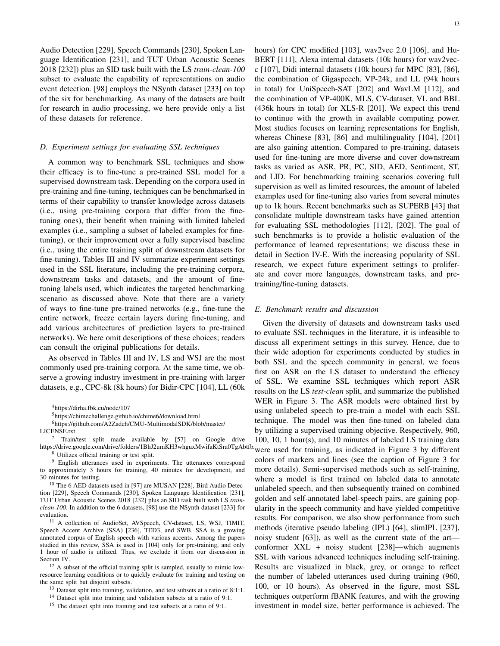Audio Detection [\[229\]](#page-27-20), Speech Commands [\[230\]](#page-27-21), Spoken Language Identification [\[231\]](#page-27-22), and TUT Urban Acoustic Scenes 2018 [\[232\]](#page-27-23)) plus an SID task built with the LS *train-clean-100* subset to evaluate the capability of representations on audio event detection. [\[98\]](#page-24-20) employs the NSynth dataset [\[233\]](#page-27-24) on top of the six for benchmarking. As many of the datasets are built for research in audio processing, we here provide only a list of these datasets for reference.

### *D. Experiment settings for evaluating SSL techniques*

A common way to benchmark SSL techniques and show their efficacy is to fine-tune a pre-trained SSL model for a supervised downstream task. Depending on the corpora used in pre-training and fine-tuning, techniques can be benchmarked in terms of their capability to transfer knowledge across datasets (i.e., using pre-training corpora that differ from the finetuning ones), their benefit when training with limited labeled examples (i.e., sampling a subset of labeled examples for finetuning), or their improvement over a fully supervised baseline (i.e., using the entire training split of downstream datasets for fine-tuning). Tables [III](#page-14-0) and [IV](#page-15-0) summarize experiment settings used in the SSL literature, including the pre-training corpora, downstream tasks and datasets, and the amount of finetuning labels used, which indicates the targeted benchmarking scenario as discussed above. Note that there are a variety of ways to fine-tune pre-trained networks (e.g., fine-tune the entire network, freeze certain layers during fine-tuning, and add various architectures of prediction layers to pre-trained networks). We here omit descriptions of these choices; readers can consult the original publications for details.

As observed in Tables [III](#page-14-0) and [IV,](#page-15-0) LS and WSJ are the most commonly used pre-training corpora. At the same time, we observe a growing industry investment in pre-training with larger datasets, e.g., CPC-8k (8k hours) for Bidir-CPC [\[104\]](#page-24-29), LL (60k

<sup>4</sup><https://dirha.fbk.eu/node/107>

<sup>5</sup><https://chimechallenge.github.io/chime6/download.html>

<sup>6</sup>[https://github.com/A2Zadeh/CMU-MultimodalSDK/blob/master/](https://github.com/A2Zadeh/CMU-MultimodalSDK/blob/master/LICENSE.txt)

[LICENSE.txt](https://github.com/A2Zadeh/CMU-MultimodalSDK/blob/master/LICENSE.txt)

 $7$  Train/test split made available by [\[57\]](#page-23-24) on Google drive https://drive.google.com/drive/folders/1BhJ2umKH3whguxMwifaKtSra0TgAbtfb.were used for training, as indicated in Figure [3](#page-16-1) by different <sup>8</sup> Utilizes official training or test split.

<sup>9</sup> English utterances used in experiments. The utterances correspond to approximately 3 hours for training, 40 minutes for development, and 30 minutes for testing.

<sup>10</sup> The 6 AED datasets used in [\[97\]](#page-24-19) are MUSAN [\[228\]](#page-27-19), Bird Audio Detection [\[229\]](#page-27-20), Speech Commands [\[230\]](#page-27-21), Spoken Language Identification [\[231\]](#page-27-22), TUT Urban Acoustic Scenes 2018 [\[232\]](#page-27-23) plus an SID task built with LS *trainclean-100*. In addition to the 6 datasets, [\[98\]](#page-24-20) use the NSynth dataset [\[233\]](#page-27-24) for evaluation.

<sup>11</sup> A collection of AudioSet, AVSpeech, CV-dataset, LS, WSJ, TIMIT, Speech Accent Archive (SSA) [\[236\]](#page-27-25), TED3, and SWB. SSA is a growing annotated corpus of English speech with various accents. Among the papers studied in this review, SSA is used in [\[104\]](#page-24-29) only for pre-training, and only 1 hour of audio is utilized. Thus, we exclude it from our discussion in Section [IV.](#page-10-0)

<sup>12</sup> A subset of the official training split is sampled, usually to mimic lowresource learning conditions or to quickly evaluate for training and testing on the same split but disjoint subsets.

<sup>13</sup> Dataset split into training, validation, and test subsets at a ratio of 8:1:1.

hours) for CPC modified [\[103\]](#page-24-28), wav2vec 2.0 [\[106\]](#page-24-31), and Hu-BERT [\[111\]](#page-24-36), Alexa internal datasets (10k hours) for wav2vecc [\[107\]](#page-24-32), Didi internal datasets (10k hours) for MPC [\[83\]](#page-24-42), [\[86\]](#page-24-9), the combination of Gigaspeech, VP-24k, and LL (94k hours in total) for UniSpeech-SAT [\[202\]](#page-26-29) and WavLM [\[112\]](#page-24-37), and the combination of VP-400K, MLS, CV-dataset, VL and BBL (436k hours in total) for XLS-R [\[201\]](#page-26-28). We expect this trend to continue with the growth in available computing power. Most studies focuses on learning representations for English, whereas Chinese [\[83\]](#page-24-42), [\[86\]](#page-24-9) and multilinguality [\[104\]](#page-24-29), [\[201\]](#page-26-28) are also gaining attention. Compared to pre-training, datasets used for fine-tuning are more diverse and cover downstream tasks as varied as ASR, PR, PC, SID, AED, Sentiment, ST, and LID. For benchmarking training scenarios covering full supervision as well as limited resources, the amount of labeled examples used for fine-tuning also varies from several minutes up to 1k hours. Recent benchmarks such as SUPERB [\[43\]](#page-23-12) that consolidate multiple downstream tasks have gained attention for evaluating SSL methodologies [\[112\]](#page-24-37), [\[202\]](#page-26-29). The goal of such benchmarks is to provide a holistic evaluation of the performance of learned representations; we discuss these in detail in Section [IV-E.](#page-12-0) With the increasing popularity of SSL research, we expect future experiment settings to proliferate and cover more languages, downstream tasks, and pretraining/fine-tuning datasets.

#### <span id="page-12-0"></span>*E. Benchmark results and discussion*

Given the diversity of datasets and downstream tasks used to evaluate SSL techniques in the literature, it is infeasible to discuss all experiment settings in this survey. Hence, due to their wide adoption for experiments conducted by studies in both SSL and the speech community in general, we focus first on ASR on the LS dataset to understand the efficacy of SSL. We examine SSL techniques which report ASR results on the LS *test-clean* split, and summarize the published WER in Figure [3.](#page-16-1) The ASR models were obtained first by using unlabeled speech to pre-train a model with each SSL technique. The model was then fine-tuned on labeled data by utilizing a supervised training objective. Respectively, 960, 100, 10, 1 hour(s), and 10 minutes of labeled LS training data colors of markers and lines (see the caption of Figure [3](#page-16-1) for more details). Semi-supervised methods such as self-training, where a model is first trained on labeled data to annotate unlabeled speech, and then subsequently trained on combined golden and self-annotated label-speech pairs, are gaining popularity in the speech community and have yielded competitive results. For comparison, we also show performance from such methods (iterative pseudo labeling (IPL) [\[64\]](#page-23-40), slimIPL [\[237\]](#page-27-26), noisy student [\[63\]](#page-23-28)), as well as the current state of the art conformer XXL + noisy student [\[238\]](#page-27-27)—which augments SSL with various advanced techniques including self-training. Results are visualized in black, grey, or orange to reflect the number of labeled utterances used during training (960, 100, or 10 hours). As observed in the figure, most SSL techniques outperform fBANK features, and with the growing investment in model size, better performance is achieved. The

<sup>&</sup>lt;sup>14</sup> Dataset split into training and validation subsets at a ratio of 9:1.

<sup>&</sup>lt;sup>15</sup> The dataset split into training and test subsets at a ratio of 9:1.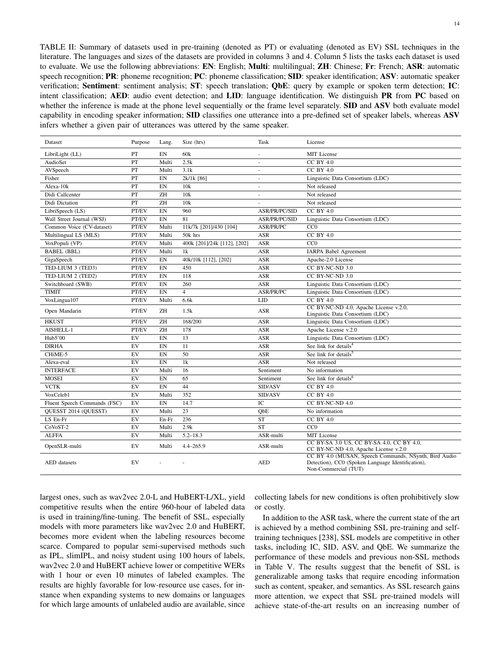<span id="page-13-0"></span>TABLE II: Summary of datasets used in pre-training (denoted as PT) or evaluating (denoted as EV) SSL techniques in the literature. The languages and sizes of the datasets are provided in columns 3 and 4. Column 5 lists the tasks each dataset is used to evaluate. We use the following abbreviations: EN: English; Multi: multilingual; ZH: Chinese; Fr: French; ASR: automatic speech recognition; PR: phoneme recognition; PC: phoneme classification; SID: speaker identification; ASV: automatic speaker verification; Sentiment: sentiment analysis; ST: speech translation; QbE: query by example or spoken term detection; IC: intent classification; AED: audio event detection; and LID: language identification. We distinguish PR from PC based on whether the inference is made at the phone level sequentially or the frame level separately. **SID** and **ASV** both evaluate model capability in encoding speaker information; SID classifies one utterance into a pre-defined set of speaker labels, whereas ASV infers whether a given pair of utterances was uttered by the same speaker.

| Dataset                      | Purpose                    | Lang.      | Size (hrs)                  | Task             | License                                                                                                                            |
|------------------------------|----------------------------|------------|-----------------------------|------------------|------------------------------------------------------------------------------------------------------------------------------------|
| LibriLight (LL)              | PT                         | EN         | 60k                         | ÷                | <b>MIT</b> License                                                                                                                 |
| AudioSet                     | PT                         | Multi      | 2.5k                        | $\sim$           | $CC$ BY $4.0$                                                                                                                      |
| AVSpeech                     | PT                         | Multi      | 3.1k                        | $\sim$           | $CC$ BY $4.0$                                                                                                                      |
| Fisher                       | PT                         | EN         | 2k/1k [86]                  | $\sim$           | Linguistic Data Consortium (LDC)                                                                                                   |
| Alexa-10k                    | PT                         | ${\rm EN}$ | 10k                         | $\sim$           | Not released                                                                                                                       |
| Didi Callcenter              | PT                         | ZH         | 10k                         | $\sim$           | Not released                                                                                                                       |
| Didi Dictation               | PT                         | ZH         | 10k                         |                  | Not released                                                                                                                       |
| LibriSpeech (LS)             | PT/EV                      | EN         | 960                         | ASR/PR/PC/SID    | <b>CC BY 4.0</b>                                                                                                                   |
| Wall Street Journal (WSJ)    | PT/EV                      | EN         | 81                          | ASR/PR/PC/SID    | Linguistic Data Consortium (LDC)                                                                                                   |
| Common Voice (CV-dataset)    | PT/EV                      | Multi      | 11k/7k [201]/430 [104]      | ASR/PR/PC        | CC0                                                                                                                                |
| Multilingual LS (MLS)        | PT/EV                      | Multi      | 50k hrs                     | <b>ASR</b>       | $CC$ BY $4.0$                                                                                                                      |
| VoxPopuli (VP)               | PT/EV                      | Multi      | 400k [201]/24k [112], [202] | <b>ASR</b>       | CC <sub>0</sub>                                                                                                                    |
| <b>BABEL</b> (BBL)           | PT/EV                      | Multi      | 1k                          | $\mathbf{ASR}$   | <b>IARPA Babel Agreement</b>                                                                                                       |
| GigaSpeech                   | PT/EV                      | EN         | 40k/10k [112], [202]        | ASR              | Apache-2.0 License                                                                                                                 |
| TED-LIUM 3 (TED3)            | PT/EV                      | EN         | 450                         | ASR              | CC BY-NC-ND 3.0                                                                                                                    |
| TED-LIUM 2 (TED2)            | PT/EV                      | EN         | 118                         | <b>ASR</b>       | CC BY-NC-ND 3.0                                                                                                                    |
| Switchboard (SWB)            | PT/EV                      | EN         | 260                         | <b>ASR</b>       | Linguistic Data Consortium (LDC)                                                                                                   |
| <b>TIMIT</b>                 | PT/EV                      | EN         | $\overline{4}$              | <b>ASR/PR/PC</b> | Linguistic Data Consortium (LDC)                                                                                                   |
| VoxLingua107                 | PT/EV                      | Multi      | 6.6k                        | <b>LID</b>       | $CC$ BY $4.0$                                                                                                                      |
| Open Mandarin                | PT/EV                      | ZH         | 1.5k                        | ASR              | CC BY-NC-ND 4.0, Apache License v.2.0,<br>Linguistic Data Consortium (LDC)                                                         |
| <b>HKUST</b>                 | PT/EV                      | ZH         | 168/200                     | <b>ASR</b>       | Linguistic Data Consortium (LDC)                                                                                                   |
| AISHELL-1                    | PT/EV                      | ZH         | 178                         | <b>ASR</b>       | Apache License v.2.0                                                                                                               |
| Hub5'00                      | EV                         | <b>FN</b>  | 13                          | <b>ASR</b>       | Linguistic Data Consortium (LDC)                                                                                                   |
| <b>DIRHA</b>                 | EV                         | EN         | 11                          | ASR              | See link for details <sup>4</sup>                                                                                                  |
| CHiME-5                      | EV                         | EN         | 50                          | <b>ASR</b>       | See link for details <sup>5</sup>                                                                                                  |
| Alexa-eval                   | EV                         | EN         | 1k                          | <b>ASR</b>       | Not released                                                                                                                       |
| <b>INTERFACE</b>             | EV                         | Multi      | 16                          | Sentiment        | No information                                                                                                                     |
| <b>MOSEI</b>                 | EV                         | ${\rm EN}$ | 65                          | Sentiment        | See link for details <sup>6</sup>                                                                                                  |
| <b>VCTK</b>                  | EV                         | EN         | 44                          | SID/ASV          | <b>CC BY 4.0</b>                                                                                                                   |
| VoxCeleb1                    | EV                         | Multi      | 352                         | SID/ASV          | <b>CC BY 4.0</b>                                                                                                                   |
| Fluent Speech Commands (FSC) | EV                         | EN         | 14.7                        | IC               | CC BY-NC-ND 4.0                                                                                                                    |
| QUESST 2014 (QUESST)         | EV                         | Multi      | 23                          | ObE              | No information                                                                                                                     |
| LS En-Fr                     | EV                         | En-Fr      | 236                         | <b>ST</b>        | <b>CC BY 4.0</b>                                                                                                                   |
| CoVoST-2                     | EV                         | Multi      | 2.9k                        | ST               | CC0                                                                                                                                |
| <b>ALFFA</b>                 | EV                         | Multi      | $5.2 - 18.3$                | ASR-multi        | MIT License                                                                                                                        |
| OpenSLR-multi                | $\mathop{\rm EV}\nolimits$ | Multi      | $4.4 - 265.9$               | ASR-multi        | CC BY-SA 3.0 US, CC BY-SA 4.0, CC BY 4.0,<br>CC BY-NC-ND 4.0, Apache License v.2.0                                                 |
| AED datasets                 | EV                         |            |                             | <b>AED</b>       | CC BY 4.0 (MUSAN, Speech Commands, NSynth, Bird Audio<br>Detection), CC0 (Spoken Language Identification),<br>Non-Commercial (TUT) |

largest ones, such as wav2vec 2.0-L and HuBERT-L/XL, yield competitive results when the entire 960-hour of labeled data is used in training/fine-tuning. The benefit of SSL, especially models with more parameters like wav2vec 2.0 and HuBERT, becomes more evident when the labeling resources become scarce. Compared to popular semi-supervised methods such as IPL, slimIPL, and noisy student using 100 hours of labels, wav2vec 2.0 and HuBERT achieve lower or competitive WERs with 1 hour or even 10 minutes of labeled examples. The results are highly favorable for low-resource use cases, for instance when expanding systems to new domains or languages for which large amounts of unlabeled audio are available, since collecting labels for new conditions is often prohibitively slow or costly.

In addition to the ASR task, where the current state of the art is achieved by a method combining SSL pre-training and selftraining techniques [\[238\]](#page-27-27), SSL models are competitive in other tasks, including IC, SID, ASV, and QbE. We summarize the performance of these models and previous non-SSL methods in Table [V.](#page-15-1) The results suggest that the benefit of SSL is generalizable among tasks that require encoding information such as content, speaker, and semantics. As SSL research gains more attention, we expect that SSL pre-trained models will achieve state-of-the-art results on an increasing number of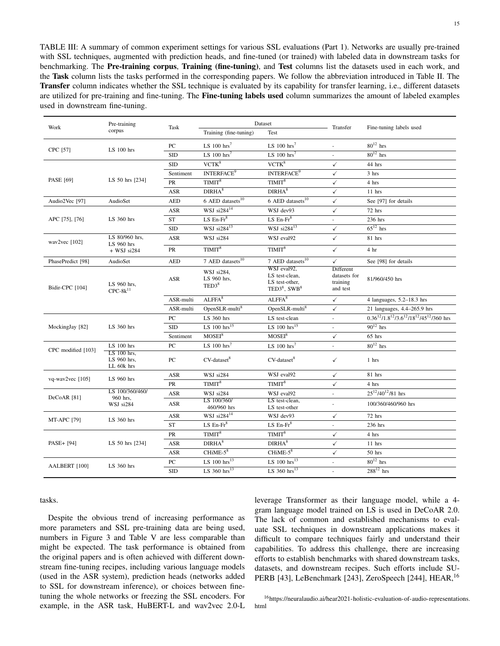<span id="page-14-0"></span>TABLE III: A summary of common experiment settings for various SSL evaluations (Part 1). Networks are usually pre-trained with SSL techniques, augmented with prediction heads, and fine-tuned (or trained) with labeled data in downstream tasks for benchmarking. The Pre-training corpus, Training (fine-tuning), and Test columns list the datasets used in each work, and the Task column lists the tasks performed in the corresponding papers. We follow the abbreviation introduced in Table [II.](#page-13-0) The Transfer column indicates whether the SSL technique is evaluated by its capability for transfer learning, i.e., different datasets are utilized for pre-training and fine-tuning. The **Fine-tuning labels used** column summarizes the amount of labeled examples used in downstream fine-tuning.

| Work                   | Pre-training<br>corpus                   | Task             | Dataset                                        |                                                                       | Transfer                                          | Fine-tuning labels used                               |
|------------------------|------------------------------------------|------------------|------------------------------------------------|-----------------------------------------------------------------------|---------------------------------------------------|-------------------------------------------------------|
|                        |                                          |                  | Training (fine-tuning)                         | Test                                                                  |                                                   |                                                       |
| CPC [57]               | $LS$ 100 hrs                             | PC               | LS $100 \text{ hrs}^7$                         | LS $100 \text{ hrs}^7$                                                |                                                   | $80^{12}$ hrs                                         |
|                        |                                          | <b>SID</b>       | LS $100$ hrs <sup>7</sup>                      | LS $100$ hrs <sup>7</sup>                                             | ä,                                                | $80^{12}$ hrs                                         |
|                        |                                          | <b>SID</b>       | $VCTK^8$                                       | VCTK <sup>8</sup>                                                     | $\checkmark$                                      | 44 hrs                                                |
|                        |                                          | Sentiment        | <b>INTERFACE<sup>9</sup></b>                   | <b>INTERFACE<sup>9</sup></b>                                          | ✓                                                 | 3 hrs                                                 |
| PASE [69]              | LS 50 hrs [234]                          | PR               | TIMIT <sup>8</sup>                             | TIMIT <sup>8</sup>                                                    | $\checkmark$                                      | 4 hrs                                                 |
|                        |                                          | ASR              | DIRHA <sup>8</sup>                             | DIRHA <sup>8</sup>                                                    | ✓                                                 | $11$ hrs                                              |
| Audio2Vec [97]         | AudioSet                                 | <b>AED</b>       | $6$ AED datasets <sup>10</sup>                 | $6$ AED datasets $^{10}$                                              | $\checkmark$                                      | See [97] for details                                  |
|                        |                                          | ASR              | WSJ si284 <sup>14</sup>                        | WSJ dev93                                                             | ✓                                                 | 72 hrs                                                |
| APC [75], [76]         | LS 360 hrs                               | <b>ST</b>        | LS $En-Fr^8$                                   | LS $En-Fr^8$                                                          | L.                                                | 236 hrs                                               |
|                        |                                          | <b>SID</b>       | WSJ $si284^{13}$                               | WSJ $si284^{13}$                                                      | $\checkmark$                                      | $65^{12}$ hrs                                         |
| wav2vec $[102]$        | LS 80/960 hrs.<br>LS 960 hrs             | ASR              | WSJ si284                                      | WSJ eval92                                                            | $\checkmark$                                      | 81 hrs                                                |
|                        | $+$ WSJ si284                            | PR               | TIMIT <sup>8</sup>                             | TIMIT <sup>8</sup>                                                    | $\checkmark$                                      | 4 <sub>hr</sub>                                       |
| PhasePredict [98]      | AudioSet                                 | <b>AED</b>       | 7 AED datasets <sup>10</sup>                   | 7 AED datasets <sup>10</sup>                                          | $\checkmark$                                      | See [98] for details                                  |
| Bidir-CPC [104]        | LS 960 hrs.<br>$CPC-8k^{11}$             | ASR              | WSJ si284.<br>LS 960 hrs,<br>TED3 <sup>8</sup> | WSJ eval92.<br>LS test-clean,<br>LS test-other,<br>TED3 $8$ , SWB $8$ | Different<br>datasets for<br>training<br>and test | 81/960/450 hrs                                        |
|                        |                                          | ASR-multi        | ALFFA <sup>8</sup>                             | ALFFA <sup>8</sup>                                                    | $\checkmark$                                      | 4 languages, $5.2-18.3$ hrs                           |
|                        |                                          | ASR-multi        | OpenSLR-multi <sup>8</sup>                     | OpenSLR-multi <sup>8</sup>                                            | $\checkmark$                                      | 21 languages, 4.4–265.9 hrs                           |
|                        | LS 360 hrs                               | PC               | LS 360 hrs                                     | LS test-clean                                                         | $\Box$                                            | $0.36^{12}/1.8^{12}/3.6^{12}/18^{12}/45^{12}/360$ hrs |
| MockingJay [82]        |                                          | <b>SID</b>       | LS $100$ hrs <sup>15</sup>                     | LS $100$ hrs <sup>15</sup>                                            | $\omega$                                          | $90^{12}$ hrs                                         |
|                        |                                          | Sentiment        | MOSEI <sup>8</sup>                             | MOSEI <sup>8</sup>                                                    | $\checkmark$                                      | $65$ hrs                                              |
| CPC modified [103]     | LS 100 hrs                               | $_{\mathrm{PC}}$ | LS $100$ hrs <sup>7</sup>                      | LS $100$ hrs <sup>7</sup>                                             | $\omega$                                          | $80^{12}$ hrs                                         |
|                        | LS 100 hrs.<br>LS 960 hrs.<br>LL 60k hrs | ${\rm P}{\bf C}$ | $CV$ -dataset $8$                              | CV-dataset <sup>8</sup>                                               | ✓                                                 | 1 hrs                                                 |
| vq-wav $2$ vec [105]   | $LS$ 960 hrs                             | <b>ASR</b>       | WSJ si284                                      | WSJ eval92                                                            | $\checkmark$                                      | 81 hrs                                                |
|                        |                                          | PR               | TIMIT <sup>8</sup>                             | TIMIT <sup>8</sup>                                                    | $\checkmark$                                      | 4 hrs                                                 |
| DeCoAR <sup>[81]</sup> | LS 100/360/460/                          | ASR              | WSJ si284                                      | WSJ eval92                                                            | $\overline{\phantom{a}}$                          | $25^{12}/40^{12}/81$ hrs                              |
|                        | 960 hrs.<br>WSJ si284                    | ASR              | LS 100/360/<br>460/960 hrs                     | LS test-clean,<br>LS test-other                                       | L.                                                | 100/360/460/960 hrs                                   |
| <b>MT-APC [79]</b>     |                                          | ASR              | WSJ si $284^{14}$                              | WSJ dev93                                                             | $\checkmark$                                      | 72 hrs                                                |
|                        | LS 360 hrs                               | <b>ST</b>        | LS $En-Fr^8$                                   | $LS$ En-Fr $8$                                                        | $\sim$                                            | 236 hrs                                               |
| PASE+ [94]             |                                          | PR               | TIMIT <sup>8</sup>                             | TIMIT <sup>8</sup>                                                    | $\checkmark$                                      | 4 hrs                                                 |
|                        | LS 50 hrs [234]                          | ASR              | DIRHA <sup>8</sup>                             | DIRHA <sup>8</sup>                                                    | $\checkmark$                                      | $11$ hrs                                              |
|                        |                                          | ASR              | $CHiME-58$                                     | $CHiME-58$                                                            | $\checkmark$                                      | $50$ hrs                                              |
| AALBERT [100]          | LS 360 hrs                               | PC               | LS $100$ hrs <sup>13</sup>                     | LS $100$ hrs <sup>13</sup>                                            |                                                   | $80^{12}$ hrs                                         |
|                        |                                          | <b>SID</b>       | LS 360 hrs <sup>13</sup>                       | LS $360$ hrs <sup>13</sup>                                            | $\overline{a}$                                    | $288^{12}$ hrs                                        |

tasks.

Despite the obvious trend of increasing performance as more parameters and SSL pre-training data are being used, numbers in Figure [3](#page-16-1) and Table [V](#page-15-1) are less comparable than might be expected. The task performance is obtained from the original papers and is often achieved with different downstream fine-tuning recipes, including various language models (used in the ASR system), prediction heads (networks added to SSL for downstream inference), or choices between finetuning the whole networks or freezing the SSL encoders. For example, in the ASR task, HuBERT-L and wav2vec 2.0-L

leverage Transformer as their language model, while a 4 gram language model trained on LS is used in DeCoAR 2.0. The lack of common and established mechanisms to evaluate SSL techniques in downstream applications makes it difficult to compare techniques fairly and understand their capabilities. To address this challenge, there are increasing efforts to establish benchmarks with shared downstream tasks, datasets, and downstream recipes. Such efforts include SU-PERB [\[43\]](#page-23-12), LeBenchmark [\[243\]](#page-27-29), ZeroSpeech [\[244\]](#page-27-30), HEAR,<sup>[16](#page-0-1)</sup>

<sup>16</sup>[https://neuralaudio.ai/hear2021-holistic-evaluation-of-audio-representatio](https://neuralaudio.ai/hear2021-holistic-evaluation-of-audio-representations.html)ns. [html](https://neuralaudio.ai/hear2021-holistic-evaluation-of-audio-representations.html)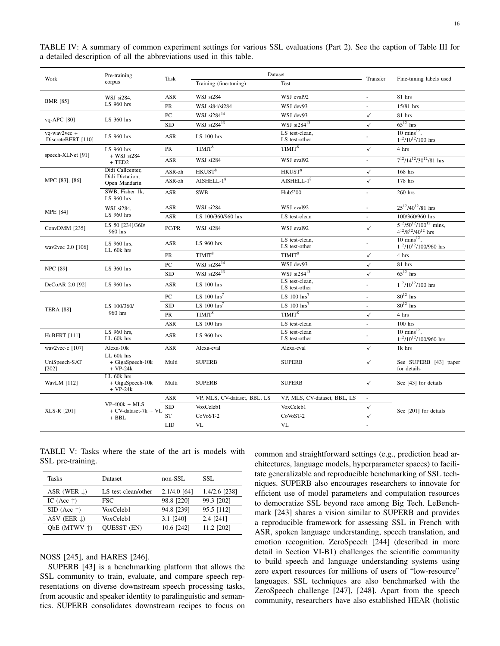| Work                                     | Pre-training<br>corpus                                  | Task             | Dataset                      |                                 | Transfer                 |                                                                |  |
|------------------------------------------|---------------------------------------------------------|------------------|------------------------------|---------------------------------|--------------------------|----------------------------------------------------------------|--|
|                                          |                                                         |                  | Training (fine-tuning)       | Test                            |                          | Fine-tuning labels used                                        |  |
| <b>BMR</b> [85]                          | WSJ si284,                                              | ASR              | WSJ si284                    | WSJ eval92                      |                          | 81 hrs                                                         |  |
|                                          | LS 960 hrs                                              | PR               | WSJ si84/si284               | WSJ dev93                       |                          | 15/81 hrs                                                      |  |
| vq-APC [80]                              | LS 360 hrs                                              | PC               | WSJ $si284^{14}$             | WSJ dev93                       | $\checkmark$             | 81 hrs                                                         |  |
|                                          |                                                         | <b>SID</b>       | WSJ $si284^{13}$             | WSJ $si284^{13}$                | $\checkmark$             | $65^{12}$ hrs                                                  |  |
| $vq$ -wav $2vec +$<br>DiscreteBERT [110] | LS 960 hrs                                              | <b>ASR</b>       | $LS$ 100 hrs                 | LS test-clean,<br>LS test-other |                          | $10 \text{ mins}^{12}$ .<br>$1^{12}/10^{12}/100$ hrs           |  |
|                                          | LS 960 hrs                                              | PR               | TIMIT <sup>8</sup>           | TIMIT <sup>8</sup>              | $\checkmark$             | 4 hrs                                                          |  |
| speech-XLNet [91]                        | $+$ WSJ si284<br>$+$ TED <sub>2</sub>                   | ASR              | WSJ si284                    | WSJ eval92                      | ÷.                       | $7^{12}/14^{12}/30^{12}/81$ hrs                                |  |
|                                          | Didi Callcenter,                                        | ASR-zh           | HKUST <sup>8</sup>           | HKUST <sup>8</sup>              | $\checkmark$             | 168 hrs                                                        |  |
| MPC [83], [86]                           | Didi Dictation.<br>Open Mandarin                        | ASR-zh           | $AISHELL-18$                 | $AISHELL-18$                    | $\checkmark$             | 178 hrs                                                        |  |
|                                          | SWB, Fisher 1k,<br>LS 960 hrs                           | ASR              | <b>SWB</b>                   | Hub5'00                         |                          | 260 hrs                                                        |  |
|                                          | WSJ si284,                                              | ASR              | WSJ si284                    | WSJ eval92                      |                          | $25^{12}/40^{12}/81$ hrs                                       |  |
| <b>MPE</b> [84]                          | LS 960 hrs                                              | ASR              | LS 100/360/960 hrs           | LS test-clean                   |                          | 100/360/960 hrs                                                |  |
| ConvDMM [235]                            | LS 50 [234]/360/<br>960 hrs                             | PC/PR            | WSJ si284                    | WSJ eval92                      | $\checkmark$             | $5^{12}/50^{12}/100^{12}$ mins,<br>$4^{12}/8^{12}/40^{12}$ hrs |  |
| wav2vec 2.0 [106]                        | LS 960 hrs.<br>LL 60k hrs                               | <b>ASR</b>       | LS 960 hrs                   | LS test-clean,<br>LS test-other |                          | $10 \text{ mins}^{12}$ ,<br>$1^{12}/10^{12}/100/960$ hrs       |  |
|                                          |                                                         | PR               | TIMIT <sup>8</sup>           | TIMIT <sup>8</sup>              | $\checkmark$             | 4 hrs                                                          |  |
| <b>NPC [89]</b>                          | LS 360 hrs                                              | $_{\mathrm{PC}}$ | WSJ $si284^{14}$             | WSJ dev93                       | ✓                        | 81 hrs                                                         |  |
|                                          |                                                         | <b>SID</b>       | WSJ $si284^{13}$             | WSJ $si284^{13}$                | $\checkmark$             | $65^{12}$ hrs                                                  |  |
| DeCoAR 2.0 [92]                          | LS 960 hrs                                              | <b>ASR</b>       | LS 100 hrs                   | LS test-clean.<br>LS test-other | L.                       | $1^{12}/10^{12}/100$ hrs                                       |  |
|                                          |                                                         | $_{\mathrm{PC}}$ | LS $100$ hrs <sup>7</sup>    | LS $100 \text{ hrs}^7$          | ÷.                       | $80^{12}$ hrs                                                  |  |
| <b>TERA [88]</b>                         | LS 100/360/<br>960 hrs                                  | <b>SID</b>       | LS $100$ hrs <sup>7</sup>    | LS $100$ hrs <sup>7</sup>       |                          | $80^{12}$ hrs                                                  |  |
|                                          |                                                         | PR               | TIMIT <sup>8</sup>           | TIMIT <sup>8</sup>              | $\checkmark$             | 4 hrs                                                          |  |
|                                          |                                                         | ASR              | $LS$ 100 hrs                 | LS test-clean                   | $\overline{\phantom{a}}$ | $100$ hrs                                                      |  |
| HuBERT [111]                             | LS 960 hrs.<br>LL 60k hrs                               | ASR              | LS 960 hrs                   | LS test-clean<br>LS test-other  |                          | $10 \text{ mins}^{12}$ ,<br>$1^{12}/10^{12}/100/960$ hrs       |  |
| wav2vec-c [107]                          | Alexa-10k                                               | ASR              | Alexa-eval                   | Alexa-eval                      | ✓                        | 1k hrs                                                         |  |
| UniSpeech-SAT<br>$[202]$                 | LL 60k hrs<br>+ GigaSpeech-10k<br>$+ VP-24k$            | Multi            | <b>SUPERB</b>                | <b>SUPERB</b>                   | $\checkmark$             | See SUPERB [43] paper<br>for details                           |  |
| WavLM [112]                              | LL 60k hrs<br>+ GigaSpeech-10k<br>$+ VP-24k$            | Multi            | <b>SUPERB</b>                | <b>SUPERB</b>                   | $\checkmark$             | See [43] for details                                           |  |
| XLS-R [201]                              |                                                         | ASR              | VP, MLS, CV-dataset, BBL, LS | VP, MLS, CV-dataset, BBL, LS    | $\omega$                 |                                                                |  |
|                                          | $VP-400k + MLS$<br>$+$ CV-dataset-7 $k$ + Vl<br>$+$ BBL | <b>SID</b>       | VoxCeleb1                    | VoxCeleb1                       | ✓                        | See [201] for details                                          |  |
|                                          |                                                         | ST               | CoVoST-2                     | CoVoST-2                        | $\checkmark$             |                                                                |  |
|                                          |                                                         | <b>LID</b>       | <b>VL</b>                    | <b>VL</b>                       |                          |                                                                |  |

<span id="page-15-0"></span>TABLE IV: A summary of common experiment settings for various SSL evaluations (Part 2). See the caption of Table [III](#page-14-0) for a detailed description of all the abbreviations used in this table.

<span id="page-15-1"></span>TABLE V: Tasks where the state of the art is models with SSL pre-training.

| Tasks                   | Dataset             | non-SSL        | SSL.          |
|-------------------------|---------------------|----------------|---------------|
| ASR (WER $\downarrow$ ) | LS test-clean/other | $2.1/4.0$ [64] | 1.4/2.6 [238] |
| IC (Acc $\uparrow$ )    | <b>FSC</b>          | 98.8 [220]     | 99.3 [202]    |
| SID (Acc $\uparrow$ )   | VoxCeleb1           | 94.8 [239]     | 95.5 [112]    |
| ASV (EER $\downarrow$ ) | VoxCeleb1           | 3.1 [240]      | 2.4 [241]     |
| ObE (MTWV $\uparrow$ )  | <b>OUESST (EN)</b>  | 10.6 [242]     | 11.2 [202]    |

NOSS [\[245\]](#page-27-36), and HARES [\[246\]](#page-27-37).

SUPERB [\[43\]](#page-23-12) is a benchmarking platform that allows the SSL community to train, evaluate, and compare speech representations on diverse downstream speech processing tasks, from acoustic and speaker identity to paralinguistic and semantics. SUPERB consolidates downstream recipes to focus on common and straightforward settings (e.g., prediction head architectures, language models, hyperparameter spaces) to facilitate generalizable and reproducible benchmarking of SSL techniques. SUPERB also encourages researchers to innovate for efficient use of model parameters and computation resources to democratize SSL beyond race among Big Tech. LeBenchmark [\[243\]](#page-27-29) shares a vision similar to SUPERB and provides a reproducible framework for assessing SSL in French with ASR, spoken language understanding, speech translation, and emotion recognition. ZeroSpeech [\[244\]](#page-27-30) (described in more detail in Section [VI-B1\)](#page-20-0) challenges the scientific community to build speech and language understanding systems using zero expert resources for millions of users of "low-resource" languages. SSL techniques are also benchmarked with the ZeroSpeech challenge [\[247\]](#page-27-38), [\[248\]](#page-27-39). Apart from the speech community, researchers have also established HEAR (holistic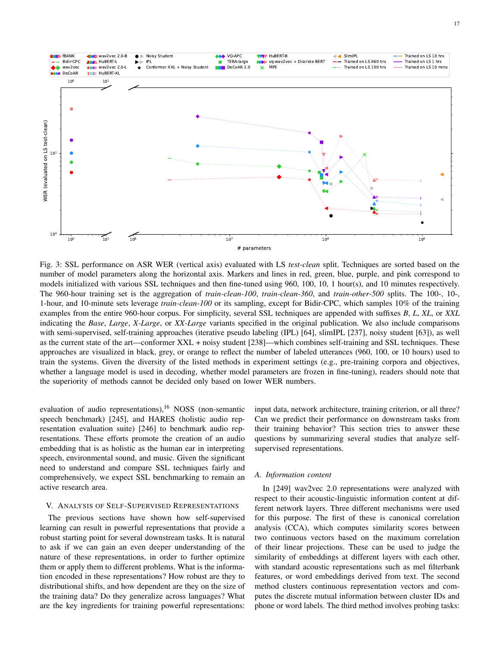<span id="page-16-1"></span>

Fig. 3: SSL performance on ASR WER (vertical axis) evaluated with LS *test-clean* split. Techniques are sorted based on the number of model parameters along the horizontal axis. Markers and lines in red, green, blue, purple, and pink correspond to models initialized with various SSL techniques and then fine-tuned using 960, 100, 10, 1 hour(s), and 10 minutes respectively. The 960-hour training set is the aggregation of *train-clean-100*, *train-clean-360*, and *train-other-500* splits. The 100-, 10-, 1-hour, and 10-minute sets leverage *train-clean-100* or its sampling, except for Bidir-CPC, which samples 10% of the training examples from the entire 960-hour corpus. For simplicity, several SSL techniques are appended with suffixes *B*, *L*, *XL*, or *XXL* indicating the *Base*, *Large*, *X-Large*, or *XX-Large* variants specified in the original publication. We also include comparisons with semi-supervised, self-training approaches (iterative pseudo labeling (IPL) [\[64\]](#page-23-40), slimIPL [\[237\]](#page-27-26), noisy student [\[63\]](#page-23-28)), as well as the current state of the art—conformer XXL + noisy student [\[238\]](#page-27-27)—which combines self-training and SSL techniques. These approaches are visualized in black, grey, or orange to reflect the number of labeled utterances (960, 100, or 10 hours) used to train the systems. Given the diversity of the listed methods in experiment settings (e.g., pre-training corpora and objectives, whether a language model is used in decoding, whether model parameters are frozen in fine-tuning), readers should note that the superiority of methods cannot be decided only based on lower WER numbers.

evaluation of audio representations),  $16$  NOSS (non-semantic speech benchmark) [\[245\]](#page-27-36), and HARES (holistic audio representation evaluation suite) [\[246\]](#page-27-37) to benchmark audio representations. These efforts promote the creation of an audio embedding that is as holistic as the human ear in interpreting speech, environmental sound, and music. Given the significant need to understand and compare SSL techniques fairly and comprehensively, we expect SSL benchmarking to remain an active research area.

# <span id="page-16-0"></span>V. ANALYSIS OF SELF-SUPERVISED REPRESENTATIONS

The previous sections have shown how self-supervised learning can result in powerful representations that provide a robust starting point for several downstream tasks. It is natural to ask if we can gain an even deeper understanding of the nature of these representations, in order to further optimize them or apply them to different problems. What is the information encoded in these representations? How robust are they to distributional shifts, and how dependent are they on the size of the training data? Do they generalize across languages? What are the key ingredients for training powerful representations: input data, network architecture, training criterion, or all three? Can we predict their performance on downstream tasks from their training behavior? This section tries to answer these questions by summarizing several studies that analyze selfsupervised representations.

#### *A. Information content*

In [\[249\]](#page-27-40) wav2vec 2.0 representations were analyzed with respect to their acoustic-linguistic information content at different network layers. Three different mechanisms were used for this purpose. The first of these is canonical correlation analysis (CCA), which computes similarity scores between two continuous vectors based on the maximum correlation of their linear projections. These can be used to judge the similarity of embeddings at different layers with each other, with standard acoustic representations such as mel filterbank features, or word embeddings derived from text. The second method clusters continuous representation vectors and computes the discrete mutual information between cluster IDs and phone or word labels. The third method involves probing tasks: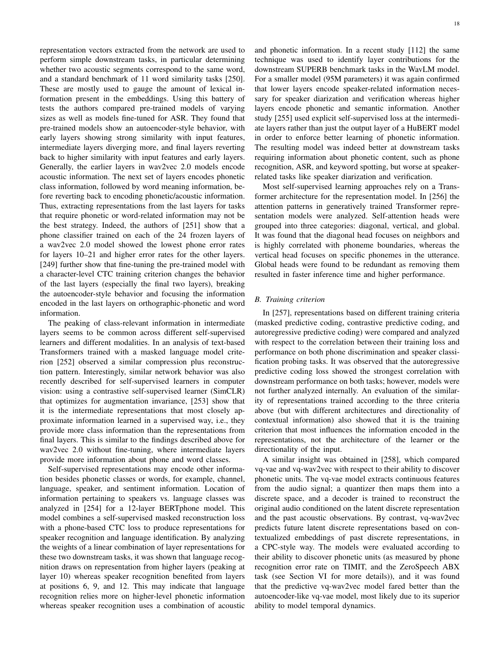representation vectors extracted from the network are used to perform simple downstream tasks, in particular determining whether two acoustic segments correspond to the same word, and a standard benchmark of 11 word similarity tasks [\[250\]](#page-27-41). These are mostly used to gauge the amount of lexical information present in the embeddings. Using this battery of tests the authors compared pre-trained models of varying sizes as well as models fine-tuned for ASR. They found that pre-trained models show an autoencoder-style behavior, with early layers showing strong similarity with input features, intermediate layers diverging more, and final layers reverting back to higher similarity with input features and early layers. Generally, the earlier layers in wav2vec 2.0 models encode acoustic information. The next set of layers encodes phonetic class information, followed by word meaning information, before reverting back to encoding phonetic/acoustic information. Thus, extracting representations from the last layers for tasks that require phonetic or word-related information may not be the best strategy. Indeed, the authors of [\[251\]](#page-27-42) show that a phone classifier trained on each of the 24 frozen layers of a wav2vec 2.0 model showed the lowest phone error rates for layers 10–21 and higher error rates for the other layers. [\[249\]](#page-27-40) further show that fine-tuning the pre-trained model with a character-level CTC training criterion changes the behavior of the last layers (especially the final two layers), breaking the autoencoder-style behavior and focusing the information encoded in the last layers on orthographic-phonetic and word information.

The peaking of class-relevant information in intermediate layers seems to be common across different self-supervised learners and different modalities. In an analysis of text-based Transformers trained with a masked language model criterion [\[252\]](#page-27-43) observed a similar compression plus reconstruction pattern. Interestingly, similar network behavior was also recently described for self-supervised learners in computer vision: using a contrastive self-supervised learner (SimCLR) that optimizes for augmentation invariance, [\[253\]](#page-28-0) show that it is the intermediate representations that most closely approximate information learned in a supervised way, i.e., they provide more class information than the representations from final layers. This is similar to the findings described above for wav2vec 2.0 without fine-tuning, where intermediate layers provide more information about phone and word classes.

Self-supervised representations may encode other information besides phonetic classes or words, for example, channel, language, speaker, and sentiment information. Location of information pertaining to speakers vs. language classes was analyzed in [\[254\]](#page-28-1) for a 12-layer BERTphone model. This model combines a self-supervised masked reconstruction loss with a phone-based CTC loss to produce representations for speaker recognition and language identification. By analyzing the weights of a linear combination of layer representations for these two downstream tasks, it was shown that language recognition draws on representation from higher layers (peaking at layer 10) whereas speaker recognition benefited from layers at positions 6, 9, and 12. This may indicate that language recognition relies more on higher-level phonetic information whereas speaker recognition uses a combination of acoustic and phonetic information. In a recent study [\[112\]](#page-24-37) the same technique was used to identify layer contributions for the downstream SUPERB benchmark tasks in the WavLM model. For a smaller model (95M parameters) it was again confirmed that lower layers encode speaker-related information necessary for speaker diarization and verification whereas higher layers encode phonetic and semantic information. Another study [\[255\]](#page-28-2) used explicit self-supervised loss at the intermediate layers rather than just the output layer of a HuBERT model in order to enforce better learning of phonetic information. The resulting model was indeed better at downstream tasks requiring information about phonetic content, such as phone recognition, ASR, and keyword spotting, but worse at speakerrelated tasks like speaker diarization and verification.

Most self-supervised learning approaches rely on a Transformer architecture for the representation model. In [\[256\]](#page-28-3) the attention patterns in generatively trained Transformer representation models were analyzed. Self-attention heads were grouped into three categories: diagonal, vertical, and global. It was found that the diagonal head focuses on neighbors and is highly correlated with phoneme boundaries, whereas the vertical head focuses on specific phonemes in the utterance. Global heads were found to be redundant as removing them resulted in faster inference time and higher performance.

# *B. Training criterion*

In [\[257\]](#page-28-4), representations based on different training criteria (masked predictive coding, contrastive predictive coding, and autoregressive predictive coding) were compared and analyzed with respect to the correlation between their training loss and performance on both phone discrimination and speaker classification probing tasks. It was observed that the autoregressive predictive coding loss showed the strongest correlation with downstream performance on both tasks; however, models were not further analyzed internally. An evaluation of the similarity of representations trained according to the three criteria above (but with different architectures and directionality of contextual information) also showed that it is the training criterion that most influences the information encoded in the representations, not the architecture of the learner or the directionality of the input.

A similar insight was obtained in [\[258\]](#page-28-5), which compared vq-vae and vq-wav2vec with respect to their ability to discover phonetic units. The vq-vae model extracts continuous features from the audio signal; a quantizer then maps them into a discrete space, and a decoder is trained to reconstruct the original audio conditioned on the latent discrete representation and the past acoustic observations. By contrast, vq-wav2vec predicts future latent discrete representations based on contextualized embeddings of past discrete representations, in a CPC-style way. The models were evaluated according to their ability to discover phonetic units (as measured by phone recognition error rate on TIMIT, and the ZeroSpeech ABX task (see Section [VI](#page-18-0) for more details)), and it was found that the predictive vq-wav2vec model fared better than the autoencoder-like vq-vae model, most likely due to its superior ability to model temporal dynamics.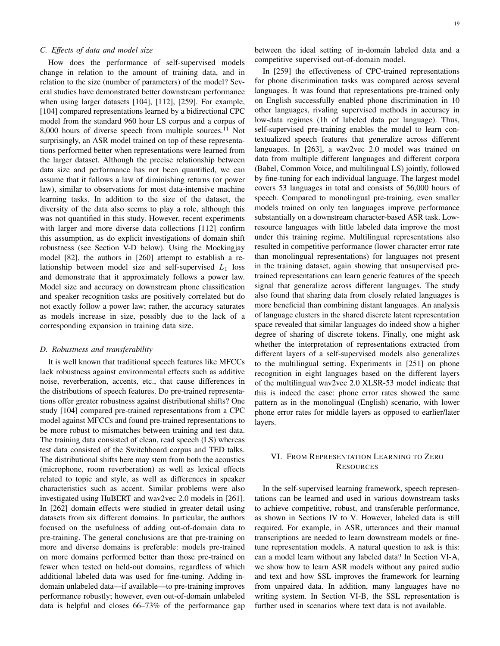# <span id="page-18-2"></span>*C. Effects of data and model size*

How does the performance of self-supervised models change in relation to the amount of training data, and in relation to the size (number of parameters) of the model? Several studies have demonstrated better downstream performance when using larger datasets [\[104\]](#page-24-29), [\[112\]](#page-24-37), [\[259\]](#page-28-6). For example, [\[104\]](#page-24-29) compared representations learned by a bidirectional CPC model from the standard 960 hour LS corpus and a corpus of 8,000 hours of diverse speech from multiple sources.<sup> $11$ </sup> Not surprisingly, an ASR model trained on top of these representations performed better when representations were learned from the larger dataset. Although the precise relationship between data size and performance has not been quantified, we can assume that it follows a law of diminishing returns (or power law), similar to observations for most data-intensive machine learning tasks. In addition to the size of the dataset, the diversity of the data also seems to play a role, although this was not quantified in this study. However, recent experiments with larger and more diverse data collections [\[112\]](#page-24-37) confirm this assumption, as do explicit investigations of domain shift robustness (see Section [V-D](#page-18-1) below). Using the Mockingjay model [\[82\]](#page-24-6), the authors in [\[260\]](#page-28-7) attempt to establish a relationship between model size and self-supervised  $L_1$  loss and demonstrate that it approximately follows a power law. Model size and accuracy on downstream phone classification and speaker recognition tasks are positively correlated but do not exactly follow a power law; rather, the accuracy saturates as models increase in size, possibly due to the lack of a corresponding expansion in training data size.

## <span id="page-18-1"></span>*D. Robustness and transferability*

It is well known that traditional speech features like MFCCs lack robustness against environmental effects such as additive noise, reverberation, accents, etc., that cause differences in the distributions of speech features. Do pre-trained representations offer greater robustness against distributional shifts? One study [\[104\]](#page-24-29) compared pre-trained representations from a CPC model against MFCCs and found pre-trained representations to be more robust to mismatches between training and test data. The training data consisted of clean, read speech (LS) whereas test data consisted of the Switchboard corpus and TED talks. The distributional shifts here may stem from both the acoustics (microphone, room reverberation) as well as lexical effects related to topic and style, as well as differences in speaker characteristics such as accent. Similar problems were also investigated using HuBERT and wav2vec 2.0 models in [\[261\]](#page-28-8). In [\[262\]](#page-28-9) domain effects were studied in greater detail using datasets from six different domains. In particular, the authors focused on the usefulness of adding out-of-domain data to pre-training. The general conclusions are that pre-training on more and diverse domains is preferable: models pre-trained on more domains performed better than those pre-trained on fewer when tested on held-out domains, regardless of which additional labeled data was used for fine-tuning. Adding indomain unlabeled data—if available—to pre-training improves performance robustly; however, even out-of-domain unlabeled data is helpful and closes 66–73% of the performance gap between the ideal setting of in-domain labeled data and a competitive supervised out-of-domain model.

In [\[259\]](#page-28-6) the effectiveness of CPC-trained representations for phone discrimination tasks was compared across several languages. It was found that representations pre-trained only on English successfully enabled phone discrimination in 10 other languages, rivaling supervised methods in accuracy in low-data regimes (1h of labeled data per language). Thus, self-supervised pre-training enables the model to learn contextualized speech features that generalize across different languages. In [\[263\]](#page-28-10), a wav2vec 2.0 model was trained on data from multiple different languages and different corpora (Babel, Common Voice, and multilingual LS) jointly, followed by fine-tuning for each individual language. The largest model covers 53 languages in total and consists of 56,000 hours of speech. Compared to monolingual pre-training, even smaller models trained on only ten languages improve performance substantially on a downstream character-based ASR task. Lowresource languages with little labeled data improve the most under this training regime. Multilingual representations also resulted in competitive performance (lower character error rate than monolingual representations) for languages not present in the training dataset, again showing that unsupervised pretrained representations can learn generic features of the speech signal that generalize across different languages. The study also found that sharing data from closely related languages is more beneficial than combining distant languages. An analysis of language clusters in the shared discrete latent representation space revealed that similar languages do indeed show a higher degree of sharing of discrete tokens. Finally, one might ask whether the interpretation of representations extracted from different layers of a self-supervised models also generalizes to the multilingual setting. Experiments in [\[251\]](#page-27-42) on phone recognition in eight languages based on the different layers of the multilingual wav2vec 2.0 XLSR-53 model indicate that this is indeed the case: phone error rates showed the same pattern as in the monolingual (English) scenario, with lower phone error rates for middle layers as opposed to earlier/later layers.

# <span id="page-18-0"></span>VI. FROM REPRESENTATION LEARNING TO ZERO RESOURCES

In the self-supervised learning framework, speech representations can be learned and used in various downstream tasks to achieve competitive, robust, and transferable performance, as shown in Sections [IV](#page-10-0) to [V.](#page-16-0) However, labeled data is still required. For example, in ASR, utterances and their manual transcriptions are needed to learn downstream models or finetune representation models. A natural question to ask is this: can a model learn without any labeled data? In Section [VI-A,](#page-19-0) we show how to learn ASR models without any paired audio and text and how SSL improves the framework for learning from unpaired data. In addition, many languages have no writing system. In Section [VI-B,](#page-20-1) the SSL representation is further used in scenarios where text data is not available.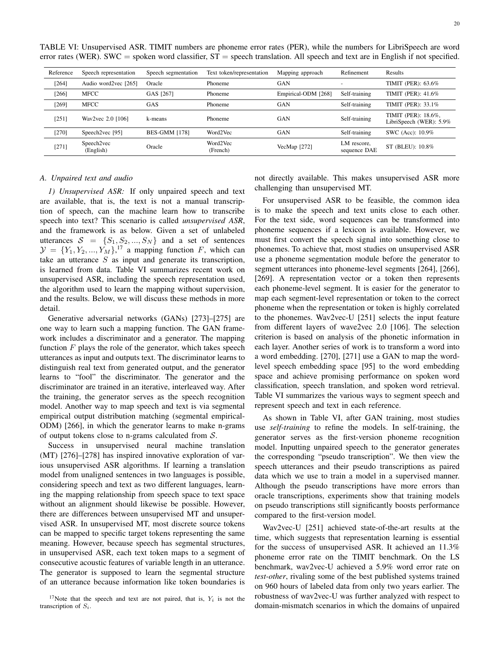| Reference | Speech representation   | Speech segmentation  | Text token/representation | Mapping approach    | Refinement                  | Results                                        |
|-----------|-------------------------|----------------------|---------------------------|---------------------|-----------------------------|------------------------------------------------|
| $[264]$   | Audio word2vec [265]    | Oracle               | Phoneme                   | <b>GAN</b>          |                             | TIMIT (PER): 63.6%                             |
| [266]     | MFCC                    | GAS [267]            | Phoneme                   | Empirical-ODM [268] | Self-training               | TIMIT (PER): 41.6%                             |
| [269]     | MFCC                    | GAS                  | Phoneme                   | <b>GAN</b>          | Self-training               | TIMIT (PER): 33.1%                             |
| [251]     | Wav2vec 2.0 [106]       | k-means              | Phoneme                   | <b>GAN</b>          | Self-training               | TIMIT (PER): 18.6%,<br>LibriSpeech (WER): 5.9% |
| [270]     | Speech2vec [95]         | <b>BES-GMM [178]</b> | Word2Vec                  | <b>GAN</b>          | Self-training               | SWC (Acc): 10.9%                               |
| $[271]$   | Speech2vec<br>(English) | Oracle               | Word2Vec<br>(French)      | VecMap $[272]$      | LM rescore,<br>sequence DAE | ST (BLEU): 10.8%                               |

<span id="page-19-1"></span>TABLE VI: Unsupervised ASR. TIMIT numbers are phoneme error rates (PER), while the numbers for LibriSpeech are word error rates (WER). SWC = spoken word classifier,  $ST$  = speech translation. All speech and text are in English if not specified.

## <span id="page-19-0"></span>*A. Unpaired text and audio*

*1) Unsupervised ASR:* If only unpaired speech and text are available, that is, the text is not a manual transcription of speech, can the machine learn how to transcribe speech into text? This scenario is called *unsupervised ASR*, and the framework is as below. Given a set of unlabeled utterances  $S = \{S_1, S_2, ..., S_N\}$  and a set of sentences  $\mathcal{Y} = \{Y_1, Y_2, ..., Y_M\}$ <sup>[17](#page-0-1)</sup> a mapping function F, which can take an utterance  $S$  as input and generate its transcription, is learned from data. Table [VI](#page-19-1) summarizes recent work on unsupervised ASR, including the speech representation used, the algorithm used to learn the mapping without supervision, and the results. Below, we will discuss these methods in more detail.

Generative adversarial networks (GANs) [\[273\]](#page-28-20)–[\[275\]](#page-28-21) are one way to learn such a mapping function. The GAN framework includes a discriminator and a generator. The mapping function  $F$  plays the role of the generator, which takes speech utterances as input and outputs text. The discriminator learns to distinguish real text from generated output, and the generator learns to "fool" the discriminator. The generator and the discriminator are trained in an iterative, interleaved way. After the training, the generator serves as the speech recognition model. Another way to map speech and text is via segmental empirical output distribution matching (segmental empirical-ODM) [\[266\]](#page-28-13), in which the generator learns to make n-grams of output tokens close to n-grams calculated from  $S$ .

Success in unsupervised neural machine translation (MT) [\[276\]](#page-28-22)–[\[278\]](#page-28-23) has inspired innovative exploration of various unsupervised ASR algorithms. If learning a translation model from unaligned sentences in two languages is possible, considering speech and text as two different languages, learning the mapping relationship from speech space to text space without an alignment should likewise be possible. However, there are differences between unsupervised MT and unsupervised ASR. In unsupervised MT, most discrete source tokens can be mapped to specific target tokens representing the same meaning. However, because speech has segmental structures, in unsupervised ASR, each text token maps to a segment of consecutive acoustic features of variable length in an utterance. The generator is supposed to learn the segmental structure of an utterance because information like token boundaries is

not directly available. This makes unsupervised ASR more challenging than unsupervised MT.

For unsupervised ASR to be feasible, the common idea is to make the speech and text units close to each other. For the text side, word sequences can be transformed into phoneme sequences if a lexicon is available. However, we must first convert the speech signal into something close to phonemes. To achieve that, most studies on unsupervised ASR use a phoneme segmentation module before the generator to segment utterances into phoneme-level segments [\[264\]](#page-28-11), [\[266\]](#page-28-13), [\[269\]](#page-28-16). A representation vector or a token then represents each phoneme-level segment. It is easier for the generator to map each segment-level representation or token to the correct phoneme when the representation or token is highly correlated to the phonemes. Wav2vec-U [\[251\]](#page-27-42) selects the input feature from different layers of wave2vec 2.0 [\[106\]](#page-24-31). The selection criterion is based on analysis of the phonetic information in each layer. Another series of work is to transform a word into a word embedding. [\[270\]](#page-28-17), [\[271\]](#page-28-18) use a GAN to map the wordlevel speech embedding space [\[95\]](#page-24-18) to the word embedding space and achieve promising performance on spoken word classification, speech translation, and spoken word retrieval. Table [VI](#page-19-1) summarizes the various ways to segment speech and represent speech and text in each reference.

As shown in Table [VI,](#page-19-1) after GAN training, most studies use *self-training* to refine the models. In self-training, the generator serves as the first-version phoneme recognition model. Inputting unpaired speech to the generator generates the corresponding "pseudo transcription". We then view the speech utterances and their pseudo transcriptions as paired data which we use to train a model in a supervised manner. Although the pseudo transcriptions have more errors than oracle transcriptions, experiments show that training models on pseudo transcriptions still significantly boosts performance compared to the first-version model.

Wav2vec-U [\[251\]](#page-27-42) achieved state-of-the-art results at the time, which suggests that representation learning is essential for the success of unsupervised ASR. It achieved an 11.3% phoneme error rate on the TIMIT benchmark. On the LS benchmark, wav2vec-U achieved a 5.9% word error rate on *test-other*, rivaling some of the best published systems trained on 960 hours of labeled data from only two years earlier. The robustness of wav2vec-U was further analyzed with respect to domain-mismatch scenarios in which the domains of unpaired

<sup>&</sup>lt;sup>17</sup>Note that the speech and text are not paired, that is,  $Y_i$  is not the transcription of  $S_i$ .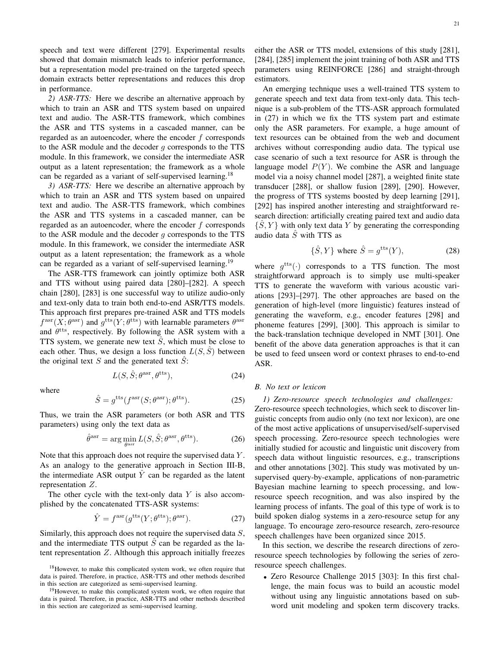speech and text were different [\[279\]](#page-28-24). Experimental results showed that domain mismatch leads to inferior performance, but a representation model pre-trained on the targeted speech domain extracts better representations and reduces this drop in performance.

*2) ASR-TTS:* Here we describe an alternative approach by which to train an ASR and TTS system based on unpaired text and audio. The ASR-TTS framework, which combines the ASR and TTS systems in a cascaded manner, can be regarded as an autoencoder, where the encoder f corresponds to the ASR module and the decoder  $g$  corresponds to the TTS module. In this framework, we consider the intermediate ASR output as a latent representation; the framework as a whole can be regarded as a variant of self-supervised learning.[18](#page-0-1)

*3) ASR-TTS:* Here we describe an alternative approach by which to train an ASR and TTS system based on unpaired text and audio. The ASR-TTS framework, which combines the ASR and TTS systems in a cascaded manner, can be regarded as an autoencoder, where the encoder  $f$  corresponds to the ASR module and the decoder  $q$  corresponds to the TTS module. In this framework, we consider the intermediate ASR output as a latent representation; the framework as a whole can be regarded as a variant of self-supervised learning.[19](#page-0-1)

The ASR-TTS framework can jointly optimize both ASR and TTS without using paired data [\[280\]](#page-28-25)–[\[282\]](#page-28-26). A speech chain [\[280\]](#page-28-25), [\[283\]](#page-28-27) is one successful way to utilize audio-only and text-only data to train both end-to-end ASR/TTS models. This approach first prepares pre-trained ASR and TTS models  $f^{\text{asr}}(X; \theta^{\text{asr}})$  and  $g^{\text{tts}}(Y; \theta^{\text{tts}})$  with learnable parameters  $\theta^{\text{asr}}$ and  $\theta$ <sup>tts</sup>, respectively. By following the ASR system with a TTS system, we generate new text  $\tilde{S}$ , which must be close to each other. Thus, we design a loss function  $L(S, \hat{S})$  between the original text  $S$  and the generated text  $S$ :

$$
L(S, \hat{S}; \theta^{\text{asr}}, \theta^{\text{tts}}), \tag{24}
$$

where

$$
\hat{S} = g^{\text{tts}}(f^{\text{asr}}(S; \theta^{\text{asr}}); \theta^{\text{tts}}).
$$
 (25)

Thus, we train the ASR parameters (or both ASR and TTS parameters) using only the text data as

$$
\hat{\theta}^{\rm asr} = \arg\min_{\theta^{\rm asr}} L(S, \hat{S}; \theta^{\rm asr}, \theta^{\rm tts}). \tag{26}
$$

Note that this approach does not require the supervised data Y . As an analogy to the generative approach in Section [III-B,](#page-3-1) the intermediate ASR output  $\overline{Y}$  can be regarded as the latent representation Z.

The other cycle with the text-only data  $Y$  is also accomplished by the concatenated TTS-ASR systems:

<span id="page-20-2"></span>
$$
\hat{Y} = f^{\text{asr}}(g^{\text{tts}}(Y; \theta^{\text{tts}}); \theta^{\text{asr}}). \tag{27}
$$

Similarly, this approach does not require the supervised data S, and the intermediate TTS output  $\ddot{S}$  can be regarded as the latent representation Z. Although this approach initially freezes

<sup>18</sup>However, to make this complicated system work, we often require that data is paired. Therefore, in practice, ASR-TTS and other methods described in this section are categorized as semi-supervised learning.

<sup>19</sup>However, to make this complicated system work, we often require that data is paired. Therefore, in practice, ASR-TTS and other methods described in this section are categorized as semi-supervised learning.

either the ASR or TTS model, extensions of this study [\[281\]](#page-28-28), [\[284\]](#page-28-29), [\[285\]](#page-28-30) implement the joint training of both ASR and TTS parameters using REINFORCE [\[286\]](#page-28-31) and straight-through estimators.

An emerging technique uses a well-trained TTS system to generate speech and text data from text-only data. This technique is a sub-problem of the TTS-ASR approach formulated in [\(27\)](#page-20-2) in which we fix the TTS system part and estimate only the ASR parameters. For example, a huge amount of text resources can be obtained from the web and document archives without corresponding audio data. The typical use case scenario of such a text resource for ASR is through the language model  $P(Y)$ . We combine the ASR and language model via a noisy channel model [\[287\]](#page-28-32), a weighted finite state transducer [\[288\]](#page-28-33), or shallow fusion [\[289\]](#page-28-34), [\[290\]](#page-28-35). However, the progress of TTS systems boosted by deep learning [\[291\]](#page-28-36), [\[292\]](#page-28-37) has inspired another interesting and straightforward research direction: artificially creating paired text and audio data  $\{\hat{S}, Y\}$  with only text data Y by generating the corresponding audio data  $\ddot{S}$  with TTS as

$$
\{\hat{S}, Y\} \text{ where } \hat{S} = g^{\text{tts}}(Y), \tag{28}
$$

where  $g^{\text{tts}}(\cdot)$  corresponds to a TTS function. The most straightforward approach is to simply use multi-speaker TTS to generate the waveform with various acoustic variations [\[293\]](#page-28-38)–[\[297\]](#page-29-0). The other approaches are based on the generation of high-level (more linguistic) features instead of generating the waveform, e.g., encoder features [\[298\]](#page-29-1) and phoneme features [\[299\]](#page-29-2), [\[300\]](#page-29-3). This approach is similar to the back-translation technique developed in NMT [\[301\]](#page-29-4). One benefit of the above data generation approaches is that it can be used to feed unseen word or context phrases to end-to-end ASR.

#### <span id="page-20-1"></span>*B. No text or lexicon*

<span id="page-20-0"></span>*1) Zero-resource speech technologies and challenges:* Zero-resource speech technologies, which seek to discover linguistic concepts from audio only (no text nor lexicon), are one of the most active applications of unsupervised/self-supervised speech processing. Zero-resource speech technologies were initially studied for acoustic and linguistic unit discovery from speech data without linguistic resources, e.g., transcriptions and other annotations [\[302\]](#page-29-5). This study was motivated by unsupervised query-by-example, applications of non-parametric Bayesian machine learning to speech processing, and lowresource speech recognition, and was also inspired by the learning process of infants. The goal of this type of work is to build spoken dialog systems in a zero-resource setup for any language. To encourage zero-resource research, zero-resource speech challenges have been organized since 2015.

In this section, we describe the research directions of zeroresource speech technologies by following the series of zeroresource speech challenges.

• Zero Resource Challenge 2015 [\[303\]](#page-29-6): In this first challenge, the main focus was to build an acoustic model without using any linguistic annotations based on subword unit modeling and spoken term discovery tracks.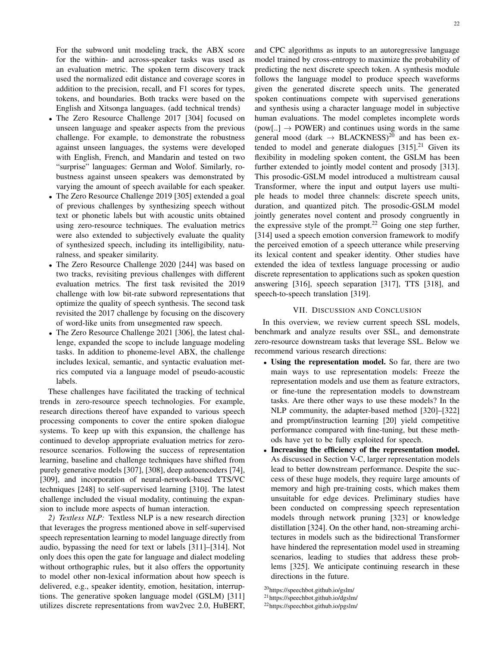For the subword unit modeling track, the ABX score for the within- and across-speaker tasks was used as an evaluation metric. The spoken term discovery track used the normalized edit distance and coverage scores in addition to the precision, recall, and F1 scores for types, tokens, and boundaries. Both tracks were based on the English and Xitsonga languages. (add technical trends)

- The Zero Resource Challenge 2017 [\[304\]](#page-29-7) focused on unseen language and speaker aspects from the previous challenge. For example, to demonstrate the robustness against unseen languages, the systems were developed with English, French, and Mandarin and tested on two "surprise" languages: German and Wolof. Similarly, robustness against unseen speakers was demonstrated by varying the amount of speech available for each speaker.
- The Zero Resource Challenge 2019 [\[305\]](#page-29-8) extended a goal of previous challenges by synthesizing speech without text or phonetic labels but with acoustic units obtained using zero-resource techniques. The evaluation metrics were also extended to subjectively evaluate the quality of synthesized speech, including its intelligibility, naturalness, and speaker similarity.
- The Zero Resource Challenge 2020 [\[244\]](#page-27-30) was based on two tracks, revisiting previous challenges with different evaluation metrics. The first task revisited the 2019 challenge with low bit-rate subword representations that optimize the quality of speech synthesis. The second task revisited the 2017 challenge by focusing on the discovery of word-like units from unsegmented raw speech.
- The Zero Resource Challenge 2021 [\[306\]](#page-29-9), the latest challenge, expanded the scope to include language modeling tasks. In addition to phoneme-level ABX, the challenge includes lexical, semantic, and syntactic evaluation metrics computed via a language model of pseudo-acoustic labels.

These challenges have facilitated the tracking of technical trends in zero-resource speech technologies. For example, research directions thereof have expanded to various speech processing components to cover the entire spoken dialogue systems. To keep up with this expansion, the challenge has continued to develop appropriate evaluation metrics for zeroresource scenarios. Following the success of representation learning, baseline and challenge techniques have shifted from purely generative models [\[307\]](#page-29-10), [\[308\]](#page-29-11), deep autoencoders [\[74\]](#page-23-38), [\[309\]](#page-29-12), and incorporation of neural-network-based TTS/VC techniques [\[248\]](#page-27-39) to self-supervised learning [\[310\]](#page-29-13). The latest challenge included the visual modality, continuing the expansion to include more aspects of human interaction.

*2) Textless NLP:* Textless NLP is a new research direction that leverages the progress mentioned above in self-supervised speech representation learning to model language directly from audio, bypassing the need for text or labels [\[311\]](#page-29-14)–[\[314\]](#page-29-15). Not only does this open the gate for language and dialect modeling without orthographic rules, but it also offers the opportunity to model other non-lexical information about how speech is delivered, e.g., speaker identity, emotion, hesitation, interruptions. The generative spoken language model (GSLM) [\[311\]](#page-29-14) utilizes discrete representations from wav2vec 2.0, HuBERT, and CPC algorithms as inputs to an autoregressive language model trained by cross-entropy to maximize the probability of predicting the next discrete speech token. A synthesis module follows the language model to produce speech waveforms given the generated discrete speech units. The generated spoken continuations compete with supervised generations and synthesis using a character language model in subjective human evaluations. The model completes incomplete words  $(pow[...] \rightarrow POWER)$  and continues using words in the same general mood (dark  $\rightarrow$  BLACKNESS)<sup>[20](#page-0-1)</sup> and has been extended to model and generate dialogues  $[315]$ .<sup>[21](#page-0-1)</sup> Given its flexibility in modeling spoken content, the GSLM has been further extended to jointly model content and prosody [\[313\]](#page-29-17). This prosodic-GSLM model introduced a multistream causal Transformer, where the input and output layers use multiple heads to model three channels: discrete speech units, duration, and quantized pitch. The prosodic-GSLM model jointly generates novel content and prosody congruently in the expressive style of the prompt.<sup>[22](#page-0-1)</sup> Going one step further, [\[314\]](#page-29-15) used a speech emotion conversion framework to modify the perceived emotion of a speech utterance while preserving its lexical content and speaker identity. Other studies have extended the idea of textless language processing or audio discrete representation to applications such as spoken question answering [\[316\]](#page-29-18), speech separation [\[317\]](#page-29-19), TTS [\[318\]](#page-29-20), and speech-to-speech translation [\[319\]](#page-29-21).

## VII. DISCUSSION AND CONCLUSION

<span id="page-21-0"></span>In this overview, we review current speech SSL models, benchmark and analyze results over SSL, and demonstrate zero-resource downstream tasks that leverage SSL. Below we recommend various research directions:

- Using the representation model. So far, there are two main ways to use representation models: Freeze the representation models and use them as feature extractors, or fine-tune the representation models to downstream tasks. Are there other ways to use these models? In the NLP community, the adapter-based method [\[320\]](#page-29-22)–[\[322\]](#page-29-23) and prompt/instruction learning [\[20\]](#page-22-23) yield competitive performance compared with fine-tuning, but these methods have yet to be fully exploited for speech.
- Increasing the efficiency of the representation model. As discussed in Section [V-C,](#page-18-2) larger representation models lead to better downstream performance. Despite the success of these huge models, they require large amounts of memory and high pre-training costs, which makes them unsuitable for edge devices. Preliminary studies have been conducted on compressing speech representation models through network pruning [\[323\]](#page-29-24) or knowledge distillation [\[324\]](#page-29-25). On the other hand, non-streaming architectures in models such as the bidirectional Transformer have hindered the representation model used in streaming scenarios, leading to studies that address these problems [\[325\]](#page-29-26). We anticipate continuing research in these directions in the future.

<sup>20</sup>https://speechbot.github.io/gslm/

<sup>21</sup>https://speechbot.github.io/dgslm/

<sup>22</sup>https://speechbot.github.io/pgslm/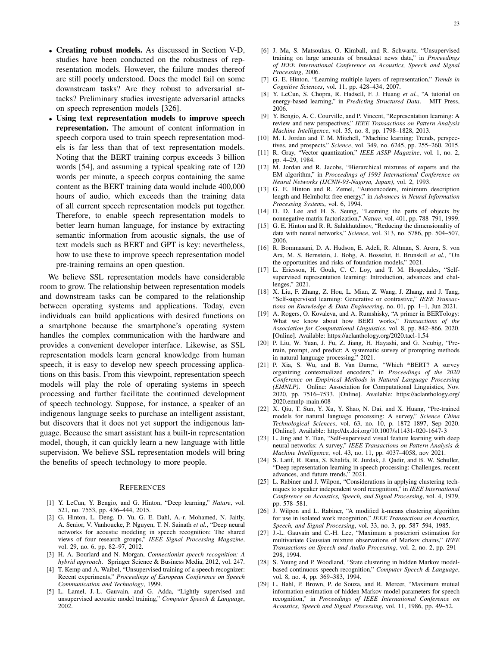- Creating robust models. As discussed in Section [V-D,](#page-18-1) studies have been conducted on the robustness of representation models. However, the failure modes thereof are still poorly understood. Does the model fail on some downstream tasks? Are they robust to adversarial attacks? Preliminary studies investigate adversarial attacks on speech represention models [\[326\]](#page-29-27).
- Using text representation models to improve speech representation. The amount of content information in speech corpora used to train speech representation models is far less than that of text representation models. Noting that the BERT training corpus exceeds 3 billion words [\[54\]](#page-23-22), and assuming a typical speaking rate of 120 words per minute, a speech corpus containing the same content as the BERT training data would include 400,000 hours of audio, which exceeds than the training data of all current speech representation models put together. Therefore, to enable speech representation models to better learn human language, for instance by extracting semantic information from acoustic signals, the use of text models such as BERT and GPT is key: nevertheless, how to use these to improve speech representation model pre-training remains an open question.

We believe SSL representation models have considerable room to grow. The relationship between representation models and downstream tasks can be compared to the relationship between operating systems and applications. Today, even individuals can build applications with desired functions on a smartphone because the smartphone's operating system handles the complex communication with the hardware and provides a convenient developer interface. Likewise, as SSL representation models learn general knowledge from human speech, it is easy to develop new speech processing applications on this basis. From this viewpoint, representation speech models will play the role of operating systems in speech processing and further facilitate the continued development of speech technology. Suppose, for instance, a speaker of an indigenous language seeks to purchase an intelligent assistant, but discovers that it does not yet support the indigenous language. Because the smart assistant has a built-in representation model, though, it can quickly learn a new language with little supervision. We believe SSL representation models will bring the benefits of speech technology to more people.

#### **REFERENCES**

- <span id="page-22-0"></span>[1] Y. LeCun, Y. Bengio, and G. Hinton, "Deep learning," *Nature*, vol. 521, no. 7553, pp. 436–444, 2015.
- [2] G. Hinton, L. Deng, D. Yu, G. E. Dahl, A.-r. Mohamed, N. Jaitly, A. Senior, V. Vanhoucke, P. Nguyen, T. N. Sainath *et al.*, "Deep neural networks for acoustic modeling in speech recognition: The shared views of four research groups," *IEEE Signal Processing Magazine*, vol. 29, no. 6, pp. 82–97, 2012.
- <span id="page-22-1"></span>[3] H. A. Bourlard and N. Morgan, *Connectionist speech recognition: A hybrid approach*. Springer Science & Business Media, 2012, vol. 247.
- <span id="page-22-2"></span>[4] T. Kemp and A. Waibel, "Unsupervised training of a speech recognizer: Recent experiments," *Proceedings of European Conference on Speech Communication and Technology*, 1999.
- [5] L. Lamel, J.-L. Gauvain, and G. Adda, "Lightly supervised and unsupervised acoustic model training," *Computer Speech & Language*, 2002.
- <span id="page-22-3"></span>[6] J. Ma, S. Matsoukas, O. Kimball, and R. Schwartz, "Unsupervised training on large amounts of broadcast news data," in *Proceedings of IEEE International Conference on Acoustics, Speech and Signal Processing*, 2006.
- <span id="page-22-4"></span>[7] G. E. Hinton, "Learning multiple layers of representation," *Trends in Cognitive Sciences*, vol. 11, pp. 428–434, 2007.
- Y. LeCun, S. Chopra, R. Hadsell, F. J. Huang et al., "A tutorial on energy-based learning," in *Predicting Structured Data*. MIT Press, 2006.
- <span id="page-22-5"></span>[9] Y. Bengio, A. C. Courville, and P. Vincent, "Representation learning: A review and new perspectives," *IEEE Transactions on Pattern Analysis Machine Intelligence*, vol. 35, no. 8, pp. 1798–1828, 2013.
- <span id="page-22-6"></span>[10] M. I. Jordan and T. M. Mitchell, "Machine learning: Trends, perspectives, and prospects," *Science*, vol. 349, no. 6245, pp. 255–260, 2015.
- <span id="page-22-7"></span>[11] R. Gray, "Vector quantization," *IEEE ASSP Magazine*, vol. 1, no. 2, pp. 4–29, 1984.
- <span id="page-22-8"></span>[12] M. Jordan and R. Jacobs, "Hierarchical mixtures of experts and the EM algorithm," in *Proceedings of 1993 International Conference on Neural Networks (IJCNN-93-Nagoya, Japan)*, vol. 2, 1993.
- <span id="page-22-9"></span>[13] G. E. Hinton and R. Zemel, "Autoencoders, minimum description length and Helmholtz free energy," in *Advances in Neural Information Processing Systems*, vol. 6, 1994.
- <span id="page-22-10"></span>[14] D. D. Lee and H. S. Seung, "Learning the parts of objects by nonnegative matrix factorization," *Nature*, vol. 401, pp. 788–791, 1999.
- <span id="page-22-11"></span>[15] G. E. Hinton and R. R. Salakhutdinov, "Reducing the dimensionality of data with neural networks," *Science*, vol. 313, no. 5786, pp. 504–507, 2006.
- <span id="page-22-12"></span>[16] R. Bommasani, D. A. Hudson, E. Adeli, R. Altman, S. Arora, S. von Arx, M. S. Bernstein, J. Bohg, A. Bosselut, E. Brunskill *et al.*, "On the opportunities and risks of foundation models," 2021.
- [17] L. Ericsson, H. Gouk, C. C. Loy, and T. M. Hospedales, "Selfsupervised representation learning: Introduction, advances and challenges," 2021.
- <span id="page-22-13"></span>[18] X. Liu, F. Zhang, Z. Hou, L. Mian, Z. Wang, J. Zhang, and J. Tang, "Self-supervised learning: Generative or contrastive," *IEEE Transactions on Knowledge & Data Engineering*, no. 01, pp. 1–1, Jun 2021.
- <span id="page-22-14"></span>[19] A. Rogers, O. Kovaleva, and A. Rumshisky, "A primer in BERTology: What we know about how BERT works," *Transactions of the Association for Computational Linguistics*, vol. 8, pp. 842–866, 2020. [Online]. Available:<https://aclanthology.org/2020.tacl-1.54>
- <span id="page-22-23"></span>[20] P. Liu, W. Yuan, J. Fu, Z. Jiang, H. Hayashi, and G. Neubig, "Pretrain, prompt, and predict: A systematic survey of prompting methods in natural language processing," 2021.
- [21] P. Xia, S. Wu, and B. Van Durme, "Which \*BERT? A survey organizing contextualized encoders," in *Proceedings of the 2020 Conference on Empirical Methods in Natural Language Processing (EMNLP)*. Online: Association for Computational Linguistics, Nov. 2020, pp. 7516–7533. [Online]. Available: [https://aclanthology.org/](https://aclanthology.org/2020.emnlp-main.608) [2020.emnlp-main.608](https://aclanthology.org/2020.emnlp-main.608)
- <span id="page-22-15"></span>[22] X. Qiu, T. Sun, Y. Xu, Y. Shao, N. Dai, and X. Huang, "Pre-trained models for natural language processing: A survey," *Science China Technological Sciences*, vol. 63, no. 10, p. 1872–1897, Sep 2020. [Online]. Available:<http://dx.doi.org/10.1007/s11431-020-1647-3>
- <span id="page-22-16"></span>[23] L. Jing and Y. Tian, "Self-supervised visual feature learning with deep neural networks: A survey," *IEEE Transactions on Pattern Analysis & Machine Intelligence*, vol. 43, no. 11, pp. 4037–4058, nov 2021.
- <span id="page-22-17"></span>[24] S. Latif, R. Rana, S. Khalifa, R. Jurdak, J. Qadir, and B. W. Schuller, "Deep representation learning in speech processing: Challenges, recent advances, and future trends," 2021.
- <span id="page-22-18"></span>[25] L. Rabiner and J. Wilpon, "Considerations in applying clustering techniques to speaker independent word recognition," in *IEEE International Conference on Acoustics, Speech, and Signal Processing*, vol. 4, 1979, pp. 578–581.
- <span id="page-22-19"></span>[26] J. Wilpon and L. Rabiner, "A modified k-means clustering algorithm for use in isolated work recognition," *IEEE Transactions on Acoustics, Speech, and Signal Processing*, vol. 33, no. 3, pp. 587–594, 1985.
- <span id="page-22-20"></span>[27] J.-L. Gauvain and C.-H. Lee, "Maximum a posteriori estimation for multivariate Gaussian mixture observations of Markov chains," *IEEE Transactions on Speech and Audio Processing*, vol. 2, no. 2, pp. 291– 298, 1994.
- <span id="page-22-21"></span>[28] S. Young and P. Woodland, "State clustering in hidden Markov modelbased continuous speech recognition," *Computer Speech & Language*, vol. 8, no. 4, pp. 369–383, 1994.
- <span id="page-22-22"></span>[29] L. Bahl, P. Brown, P. de Souza, and R. Mercer, "Maximum mutual information estimation of hidden Markov model parameters for speech recognition," in *Proceedings of IEEE International Conference on Acoustics, Speech and Signal Processing*, vol. 11, 1986, pp. 49–52.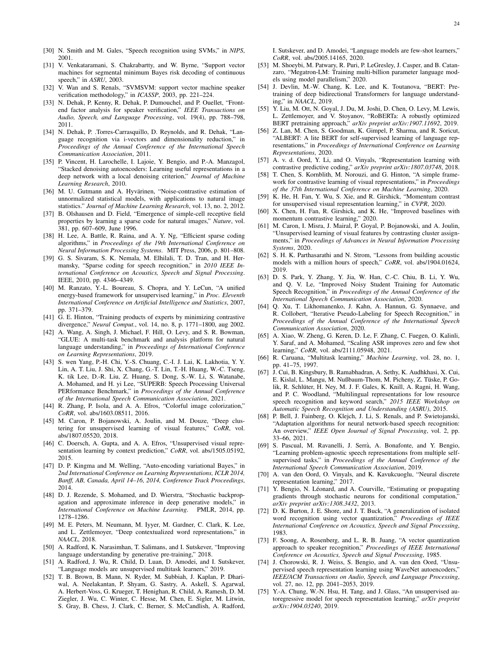- <span id="page-23-0"></span>[30] N. Smith and M. Gales, "Speech recognition using SVMs," in *NIPS*, 2001.
- <span id="page-23-1"></span>[31] V. Venkataramani, S. Chakrabartty, and W. Byrne, "Support vector machines for segmental minimum Bayes risk decoding of continuous speech," in *ASRU*, 2003.
- <span id="page-23-2"></span>[32] V. Wan and S. Renals, "SVMSVM: support vector machine speaker verification methodology," in *ICASSP*, 2003, pp. 221–224.
- <span id="page-23-3"></span>[33] N. Dehak, P. Kenny, R. Dehak, P. Dumouchel, and P. Ouellet, "Frontend factor analysis for speaker verification," *IEEE Transactions on Audio, Speech, and Language Processing*, vol. 19(4), pp. 788–798, 2011.
- <span id="page-23-4"></span>[34] N. Dehak, P. .Torres-Carrasquillo, D. Reynolds, and R. Dehak, "Language recognition via i-vectors and dimensionality reduction," in *Proceedings of the Annual Conference of the International Speech Communication Association*, 2011.
- <span id="page-23-5"></span>[35] P. Vincent, H. Larochelle, I. Lajoie, Y. Bengio, and P.-A. Manzagol, "Stacked denoising autoencoders: Learning useful representations in a deep network with a local denoising criterion," *Journal of Machine Learning Research*, 2010.
- <span id="page-23-6"></span>[36] M. U. Gutmann and A. Hyvärinen, "Noise-contrastive estimation of unnormalized statistical models, with applications to natural image statistics." *Journal of Machine Learning Research*, vol. 13, no. 2, 2012.
- <span id="page-23-7"></span>[37] B. Olshausen and D. Field, "Emergence of simple-cell receptive field properties by learning a sparse code for natural images," *Nature*, vol. 381, pp. 607–609, June 1996.
- [38] H. Lee, A. Battle, R. Raina, and A. Y. Ng, "Efficient sparse coding algorithms," in *Proceedings of the 19th International Conference on Neural Information Processing Systems*. MIT Press, 2006, p. 801–808.
- <span id="page-23-8"></span>[39] G. S. Sivaram, S. K. Nemala, M. Elhilali, T. D. Tran, and H. Hermansky, "Sparse coding for speech recognition," in *2010 IEEE International Conference on Acoustics, Speech and Signal Processing*. IEEE, 2010, pp. 4346–4349.
- <span id="page-23-9"></span>[40] M. Ranzato, Y.-L. Boureau, S. Chopra, and Y. LeCun, "A unified energy-based framework for unsupervised learning," in *Proc. Eleventh International Conference on Artificial Intelligence and Statistics*, 2007, pp. 371–379.
- <span id="page-23-10"></span>[41] G. E. Hinton, "Training products of experts by minimizing contrastive divergence," *Neural Comput.*, vol. 14, no. 8, p. 1771–1800, aug 2002.
- <span id="page-23-11"></span>[42] A. Wang, A. Singh, J. Michael, F. Hill, O. Levy, and S. R. Bowman, "GLUE: A multi-task benchmark and analysis platform for natural language understanding," in *Proceedings of International Conference on Learning Representations*, 2019.
- <span id="page-23-12"></span>[43] S. wen Yang, P.-H. Chi, Y.-S. Chuang, C.-I. J. Lai, K. Lakhotia, Y. Y. Lin, A. T. Liu, J. Shi, X. Chang, G.-T. Lin, T.-H. Huang, W.-C. Tseng, K. tik Lee, D.-R. Liu, Z. Huang, S. Dong, S.-W. Li, S. Watanabe, A. Mohamed, and H. yi Lee, "SUPERB: Speech Processing Universal PERformance Benchmark," in *Proceedings of the Annual Conference of the International Speech Communication Association*, 2021.
- <span id="page-23-13"></span>[44] R. Zhang, P. Isola, and A. A. Efros, "Colorful image colorization," *CoRR*, vol. abs/1603.08511, 2016.
- <span id="page-23-14"></span>[45] M. Caron, P. Bojanowski, A. Joulin, and M. Douze, "Deep clustering for unsupervised learning of visual features," *CoRR*, vol. abs/1807.05520, 2018.
- <span id="page-23-15"></span>[46] C. Doersch, A. Gupta, and A. A. Efros, "Unsupervised visual representation learning by context prediction," *CoRR*, vol. abs/1505.05192, 2015.
- <span id="page-23-16"></span>[47] D. P. Kingma and M. Welling, "Auto-encoding variational Bayes," in *2nd International Conference on Learning Representations, ICLR 2014, Banff, AB, Canada, April 14–16, 2014, Conference Track Proceedings*, 2014.
- <span id="page-23-17"></span>[48] D. J. Rezende, S. Mohamed, and D. Wierstra, "Stochastic backpropagation and approximate inference in deep generative models," in<br>*International Conference on Machine Learning*. PMLR, 2014, pp. *International Conference on Machine Learning.* 1278–1286.
- <span id="page-23-18"></span>[49] M. E. Peters, M. Neumann, M. Iyyer, M. Gardner, C. Clark, K. Lee, and L. Zettlemoyer, "Deep contextualized word representations," in *NAACL*, 2018.
- <span id="page-23-19"></span>[50] A. Radford, K. Narasimhan, T. Salimans, and I. Sutskever, "Improving language understanding by generative pre-training," 2018.
- [51] A. Radford, J. Wu, R. Child, D. Luan, D. Amodei, and I. Sutskever, "Language models are unsupervised multitask learners," 2019.
- <span id="page-23-20"></span>[52] T. B. Brown, B. Mann, N. Ryder, M. Subbiah, J. Kaplan, P. Dhariwal, A. Neelakantan, P. Shyam, G. Sastry, A. Askell, S. Agarwal, A. Herbert-Voss, G. Krueger, T. Henighan, R. Child, A. Ramesh, D. M. Ziegler, J. Wu, C. Winter, C. Hesse, M. Chen, E. Sigler, M. Litwin, S. Gray, B. Chess, J. Clark, C. Berner, S. McCandlish, A. Radford,

I. Sutskever, and D. Amodei, "Language models are few-shot learners," *CoRR*, vol. abs/2005.14165, 2020.

- <span id="page-23-21"></span>[53] M. Shoeybi, M. Patwary, R. Puri, P. LeGresley, J. Casper, and B. Catanzaro, "Megatron-LM: Training multi-billion parameter language models using model parallelism," 2020.
- <span id="page-23-22"></span>[54] J. Devlin, M.-W. Chang, K. Lee, and K. Toutanova, "BERT: Pretraining of deep bidirectional Transformers for language understanding," in *NAACL*, 2019.
- [55] Y. Liu, M. Ott, N. Goyal, J. Du, M. Joshi, D. Chen, O. Levy, M. Lewis, L. Zettlemoyer, and V. Stoyanov, "RoBERTa: A robustly optimized BERT pretraining approach," *arXiv preprint arXiv:1907.11692*, 2019.
- <span id="page-23-23"></span>[56] Z. Lan, M. Chen, S. Goodman, K. Gimpel, P. Sharma, and R. Soricut, "ALBERT: A lite BERT for self-supervised learning of language representations," in *Proceedings of International Conference on Learning Representations*, 2020.
- <span id="page-23-24"></span>[57] A. v. d. Oord, Y. Li, and O. Vinyals, "Representation learning with contrastive predictive coding," *arXiv preprint arXiv:1807.03748*, 2018.
- <span id="page-23-25"></span>[58] T. Chen, S. Kornblith, M. Norouzi, and G. Hinton, "A simple framework for contrastive learning of visual representations," in *Proceedings of the 37th International Conference on Machine Learning*, 2020.
- [59] K. He, H. Fan, Y. Wu, S. Xie, and R. Girshick, "Momentum contrast for unsupervised visual representation learning," in *CVPR*, 2020.
- [60] X. Chen, H. Fan, R. Girshick, and K. He, "Improved baselines with momentum contrastive learning," 2020.
- <span id="page-23-26"></span>[61] M. Caron, I. Misra, J. Mairal, P. Goyal, P. Bojanowski, and A. Joulin, "Unsupervised learning of visual features by contrasting cluster assignments," in *Proceedings of Advances in Neural Information Processing Systems*, 2020.
- <span id="page-23-27"></span>[62] S. H. K. Parthasarathi and N. Strom, "Lessons from building acoustic models with a million hours of speech," *CoRR*, vol. abs/1904.01624, 2019.
- <span id="page-23-28"></span>[63] D. S. Park, Y. Zhang, Y. Jia, W. Han, C.-C. Chiu, B. Li, Y. Wu, and Q. V. Le, "Improved Noisy Student Training for Automatic Speech Recognition," in *Proceedings of the Annual Conference of the International Speech Communication Association*, 2020.
- <span id="page-23-40"></span>[64] Q. Xu, T. Likhomanenko, J. Kahn, A. Hannun, G. Synnaeve, and R. Collobert, "Iterative Pseudo-Labeling for Speech Recognition," in *Proceedings of the Annual Conference of the International Speech Communication Association*, 2020.
- <span id="page-23-29"></span>[65] A. Xiao, W. Zheng, G. Keren, D. Le, F. Zhang, C. Fuegen, O. Kalinli, Y. Saraf, and A. Mohamed, "Scaling ASR improves zero and few shot learning," *CoRR*, vol. abs/2111.05948, 2021.
- <span id="page-23-30"></span>[66] R. Caruana, "Multitask learning," *Machine Learning*, vol. 28, no. 1, pp. 41–75, 1997.
- <span id="page-23-31"></span>[67] J. Cui, B. Kingsbury, B. Ramabhadran, A. Sethy, K. Audhkhasi, X. Cui, E. Kislal, L. Mangu, M. Nußbaum-Thom, M. Picheny, Z. Tüske, P. Golik, R. Schlüter, H. Ney, M. J. F. Gales, K. Knill, A. Ragni, H. Wang, and P. C. Woodland, "Multilingual representations for low resource speech recognition and keyword search," *2015 IEEE Workshop on Automatic Speech Recognition and Understanding (ASRU)*, 2015.
- <span id="page-23-32"></span>[68] P. Bell, J. Fainberg, O. Klejch, J. Li, S. Renals, and P. Swietojanski, "Adaptation algorithms for neural network-based speech recognition: An overview," *IEEE Open Journal of Signal Processing*, vol. 2, pp. 33–66, 2021.
- <span id="page-23-37"></span>[69] S. Pascual, M. Ravanelli, J. Serrà, A. Bonafonte, and Y. Bengio, "Learning problem-agnostic speech representations from multiple selfsupervised tasks," in *Proceedings of the Annual Conference of the International Speech Communication Association*, 2019.
- <span id="page-23-33"></span>[70] A. van den Oord, O. Vinyals, and K. Kavukcuoglu, "Neural discrete representation learning," 2017.
- <span id="page-23-34"></span>[71] Y. Bengio, N. Léonard, and A. Courville, "Estimating or propagating gradients through stochastic neurons for conditional computation," *arXiv preprint arXiv:1308.3432*, 2013.
- <span id="page-23-35"></span>[72] D. K. Burton, J. E. Shore, and J. T. Buck, "A generalization of isolated word recognition using vector quantization," *Proceedings of IEEE International Conference on Acoustics, Speech and Signal Processing*, 1983.
- <span id="page-23-36"></span>[73] F. Soong, A. Rosenberg, and L. R. B. Juang, "A vector quantization approach to speaker recognition," *Proceedings of IEEE International Conference on Acoustics, Speech and Signal Processing*, 1985.
- <span id="page-23-38"></span>[74] J. Chorowski, R. J. Weiss, S. Bengio, and A. van den Oord, "Unsupervised speech representation learning using WaveNet autoencoders," *IEEE/ACM Transactions on Audio, Speech, and Language Processing*, vol. 27, no. 12, pp. 2041–2053, 2019.
- <span id="page-23-39"></span>[75] Y.-A. Chung, W.-N. Hsu, H. Tang, and J. Glass, "An unsupervised autoregressive model for speech representation learning," *arXiv preprint arXiv:1904.03240*, 2019.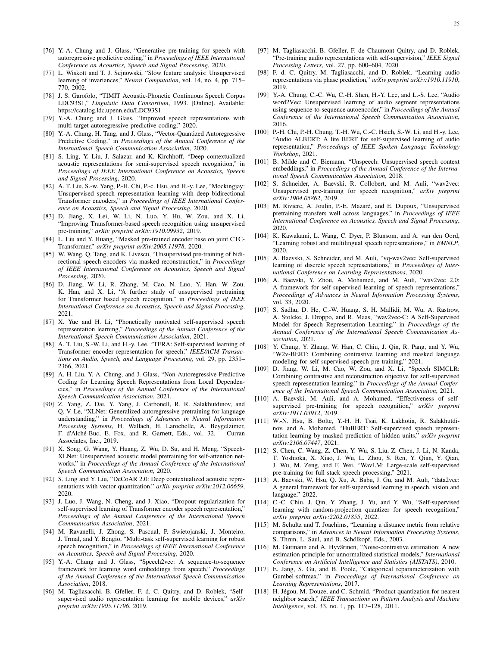- <span id="page-24-0"></span>[76] Y.-A. Chung and J. Glass, "Generative pre-training for speech with autoregressive predictive coding," in *Proceedings of IEEE International Conference on Acoustics, Speech and Signal Processing*, 2020.
- <span id="page-24-1"></span>[77] L. Wiskott and T. J. Sejnowski, "Slow feature analysis: Unsupervised learning of invariances," *Neural Computation*, vol. 14, no. 4, pp. 715– 770, 2002.
- <span id="page-24-2"></span>[78] J. S. Garofolo, "TIMIT Acoustic-Phonetic Continuous Speech Corpus LDC93S1," *Linguistic Data Consortium*, 1993. [Online]. Available: <https://catalog.ldc.upenn.edu/LDC93S1>
- <span id="page-24-3"></span>[79] Y.-A. Chung and J. Glass, "Improved speech representations with multi-target autoregressive predictive coding," 2020.
- <span id="page-24-4"></span>[80] Y.-A. Chung, H. Tang, and J. Glass, "Vector-Quantized Autoregressive Predictive Coding," in *Proceedings of the Annual Conference of the International Speech Communication Association*, 2020.
- <span id="page-24-5"></span>[81] S. Ling, Y. Liu, J. Salazar, and K. Kirchhoff, "Deep contextualized acoustic representations for semi-supervised speech recognition," in *Proceedings of IEEE International Conference on Acoustics, Speech and Signal Processing*, 2020.
- <span id="page-24-6"></span>[82] A. T. Liu, S.-w. Yang, P.-H. Chi, P.-c. Hsu, and H.-y. Lee, "Mockingjay: Unsupervised speech representation learning with deep bidirectional Transformer encoders," in *Proceedings of IEEE International Conference on Acoustics, Speech and Signal Processing*, 2020.
- <span id="page-24-42"></span>[83] D. Jiang, X. Lei, W. Li, N. Luo, Y. Hu, W. Zou, and X. Li, "Improving Transformer-based speech recognition using unsupervised pre-training," *arXiv preprint arXiv:1910.09932*, 2019.
- <span id="page-24-7"></span>[84] L. Liu and Y. Huang, "Masked pre-trained encoder base on joint CTC-Transformer," *arXiv preprint arXiv:2005.11978*, 2020.
- <span id="page-24-8"></span>[85] W. Wang, O. Tang, and K. Livescu, "Unsupervised pre-training of bidirectional speech encoders via masked reconstruction," in *Proceedings of IEEE International Conference on Acoustics, Speech and Signal Processing*, 2020.
- <span id="page-24-9"></span>[86] D. Jiang, W. Li, R. Zhang, M. Cao, N. Luo, Y. Han, W. Zou, K. Han, and X. Li, "A further study of unsupervised pretraining for Transformer based speech recognition," in *Proceedings of IEEE International Conference on Acoustics, Speech and Signal Processing*, 2021.
- <span id="page-24-10"></span>[87] X. Yue and H. Li, "Phonetically motivated self-supervised speech representation learning," *Proceedings of the Annual Conference of the International Speech Communication Association*, 2021.
- <span id="page-24-11"></span>[88] A. T. Liu, S.-W. Li, and H.-y. Lee, "TERA: Self-supervised learning of Transformer encoder representation for speech," *IEEE/ACM Transactions on Audio, Speech, and Language Processing*, vol. 29, pp. 2351– 2366, 2021.
- <span id="page-24-12"></span>[89] A. H. Liu, Y.-A. Chung, and J. Glass, "Non-Autoregressive Predictive Coding for Learning Speech Representations from Local Dependencies," in *Proceedings of the Annual Conference of the International Speech Communication Association*, 2021.
- <span id="page-24-13"></span>[90] Z. Yang, Z. Dai, Y. Yang, J. Carbonell, R. R. Salakhutdinov, and Q. V. Le, "XLNet: Generalized autoregressive pretraining for language understanding," in *Proceedings of Advances in Neural Information Processing Systems*, H. Wallach, H. Larochelle, A. Beygelzimer, F. d'Alché-Buc, E. Fox, and R. Garnett, Eds., vol. 32. Curran Associates, Inc., 2019.
- <span id="page-24-14"></span>[91] X. Song, G. Wang, Y. Huang, Z. Wu, D. Su, and H. Meng, "Speech-XLNet: Unsupervised acoustic model pretraining for self-attention networks," in *Proceedings of the Annual Conference of the International Speech Communication Association*, 2020.
- <span id="page-24-15"></span>[92] S. Ling and Y. Liu, "DeCoAR 2.0: Deep contextualized acoustic representations with vector quantization," *arXiv preprint arXiv:2012.06659*, 2020.
- <span id="page-24-16"></span>[93] J. Luo, J. Wang, N. Cheng, and J. Xiao, "Dropout regularization for self-supervised learning of Transformer encoder speech representation," *Proceedings of the Annual Conference of the International Speech Communication Association*, 2021.
- <span id="page-24-17"></span>[94] M. Ravanelli, J. Zhong, S. Pascual, P. Swietojanski, J. Monteiro, J. Trmal, and Y. Bengio, "Multi-task self-supervised learning for robust speech recognition," in *Proceedings of IEEE International Conference on Acoustics, Speech and Signal Processing*, 2020.
- <span id="page-24-18"></span>[95] Y.-A. Chung and J. Glass, "Speech2vec: A sequence-to-sequence framework for learning word embeddings from speech," *Proceedings of the Annual Conference of the International Speech Communication Association*, 2018.
- <span id="page-24-21"></span>[96] M. Tagliasacchi, B. Gfeller, F. d. C. Quitry, and D. Roblek, "Selfsupervised audio representation learning for mobile devices," *arXiv preprint arXiv:1905.11796*, 2019.
- <span id="page-24-19"></span>[97] M. Tagliasacchi, B. Gfeller, F. de Chaumont Quitry, and D. Roblek, "Pre-training audio representations with self-supervision," *IEEE Signal Processing Letters*, vol. 27, pp. 600–604, 2020.
- <span id="page-24-20"></span>[98] F. d. C. Quitry, M. Tagliasacchi, and D. Roblek, "Learning audio representations via phase prediction," *arXiv preprint arXiv:1910.11910*, 2019.
- <span id="page-24-24"></span>[99] Y.-A. Chung, C.-C. Wu, C.-H. Shen, H.-Y. Lee, and L.-S. Lee, "Audio" word2Vec: Unsupervised learning of audio segment representations using sequence-to-sequence autoencoder," in *Proceedings of the Annual Conference of the International Speech Communication Association*, 2016.
- <span id="page-24-25"></span>[100] P.-H. Chi, P.-H. Chung, T.-H. Wu, C.-C. Hsieh, S.-W. Li, and H.-y. Lee, "Audio ALBERT: A lite BERT for self-supervised learning of audio representation," *Proceedings of IEEE Spoken Language Technology Workshop*, 2021.
- <span id="page-24-26"></span>[101] B. Milde and C. Biemann, "Unspeech: Unsupervised speech context embeddings," in *Proceedings of the Annual Conference of the International Speech Communication Association*, 2018.
- <span id="page-24-27"></span>[102] S. Schneider, A. Baevski, R. Collobert, and M. Auli, "wav2vec: Unsupervised pre-training for speech recognition," *arXiv preprint arXiv:1904.05862*, 2019.
- <span id="page-24-28"></span>[103] M. Riviere, A. Joulin, P.-E. Mazaré, and E. Dupoux, "Unsupervised pretraining transfers well across languages," in *Proceedings of IEEE International Conference on Acoustics, Speech and Signal Processing*, 2020.
- <span id="page-24-29"></span>[104] K. Kawakami, L. Wang, C. Dyer, P. Blunsom, and A. van den Oord, "Learning robust and multilingual speech representations," in *EMNLP*, 2020.
- <span id="page-24-30"></span>[105] A. Baevski, S. Schneider, and M. Auli, "vq-wav2vec: Self-supervised learning of discrete speech representations," in *Proceedings of International Conference on Learning Representations*, 2020.
- <span id="page-24-31"></span>[106] A. Baevski, Y. Zhou, A. Mohamed, and M. Auli, "wav2vec 2.0: A framework for self-supervised learning of speech representations," *Proceedings of Advances in Neural Information Processing Systems*, vol. 33, 2020.
- <span id="page-24-32"></span>[107] S. Sadhu, D. He, C.-W. Huang, S. H. Mallidi, M. Wu, A. Rastrow, A. Stolcke, J. Droppo, and R. Maas, "wav2vec-C: A Self-Supervised Model for Speech Representation Learning," in *Proceedings of the Annual Conference of the International Speech Communication Association*, 2021.
- <span id="page-24-33"></span>[108] Y. Chung, Y. Zhang, W. Han, C. Chiu, J. Qin, R. Pang, and Y. Wu, "W2v-BERT: Combining contrastive learning and masked language modeling for self-supervised speech pre-training," 2021.
- <span id="page-24-34"></span>[109] D. Jiang, W. Li, M. Cao, W. Zou, and X. Li, "Speech SIMCLR: Combining contrastive and reconstruction objective for self-supervised speech representation learning," in *Proceedings of the Annual Conference of the International Speech Communication Association*, 2021.
- <span id="page-24-35"></span>[110] A. Baevski, M. Auli, and A. Mohamed, "Effectiveness of selfsupervised pre-training for speech recognition," *arXiv preprint arXiv:1911.03912*, 2019.
- <span id="page-24-36"></span>[111] W.-N. Hsu, B. Bolte, Y.-H. H. Tsai, K. Lakhotia, R. Salakhutdinov, and A. Mohamed, "HuBERT: Self-supervised speech representation learning by masked prediction of hidden units," *arXiv preprint arXiv:2106.07447*, 2021.
- <span id="page-24-37"></span>[112] S. Chen, C. Wang, Z. Chen, Y. Wu, S. Liu, Z. Chen, J. Li, N. Kanda, T. Yoshioka, X. Xiao, J. Wu, L. Zhou, S. Ren, Y. Qian, Y. Qian, J. Wu, M. Zeng, and F. Wei, "WavLM: Large-scale self-supervised pre-training for full stack speech processing," 2021.
- <span id="page-24-38"></span>[113] A. Baevski, W. Hsu, Q. Xu, A. Babu, J. Gu, and M. Auli, "data2vec: A general framework for self-supervised learning in speech, vision and language," 2022.
- <span id="page-24-39"></span>[114] C.-C. Chiu, J. Qin, Y. Zhang, J. Yu, and Y. Wu, "Self-supervised learning with random-projection quantizer for speech recognition," *arXiv preprint arXiv:2202.01855*, 2022.
- <span id="page-24-22"></span>[115] M. Schultz and T. Joachims, "Learning a distance metric from relative comparisons," in *Advances in Neural Information Processing Systems*, S. Thrun, L. Saul, and B. Schölkopf, Eds., 2003.
- <span id="page-24-23"></span>[116] M. Gutmann and A. Hyvärinen, "Noise-contrastive estimation: A new estimation principle for unnormalized statistical models," *International Conference on Artificial Intelligence and Statistics (AISTATS)*, 2010.
- <span id="page-24-40"></span>[117] E. Jang, S. Gu, and B. Poole, "Categorical reparameterization with Gumbel-softmax," in *Proceedings of International Conference on Learning Representations*, 2017.
- <span id="page-24-41"></span>[118] H. Jégou, M. Douze, and C. Schmid, "Product quantization for nearest neighbor search," *IEEE Transactions on Pattern Analysis and Machine Intelligence*, vol. 33, no. 1, pp. 117–128, 2011.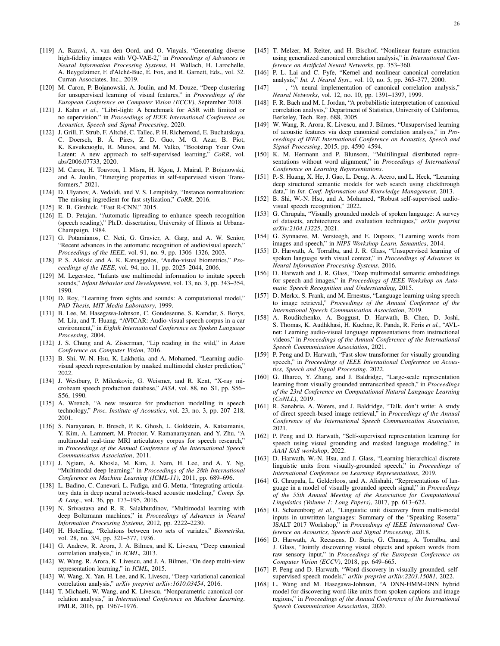- <span id="page-25-0"></span>[119] A. Razavi, A. van den Oord, and O. Vinyals, "Generating diverse high-fidelity images with VQ-VAE-2," in *Proceedings of Advances in Neural Information Processing Systems*, H. Wallach, H. Larochelle, A. Beygelzimer, F. d'Alché-Buc, E. Fox, and R. Garnett, Eds., vol. 32. Curran Associates, Inc., 2019.
- <span id="page-25-1"></span>[120] M. Caron, P. Bojanowski, A. Joulin, and M. Douze, "Deep clustering for unsupervised learning of visual features," in *Proceedings of the European Conference on Computer Vision (ECCV)*, September 2018.
- <span id="page-25-2"></span>[121] J. Kahn *et al.*, "Libri-light: A benchmark for ASR with limited or no supervision," in *Proceedings of IEEE International Conference on Acoustics, Speech and Signal Processing*, 2020.
- <span id="page-25-3"></span>[122] J. Grill, F. Strub, F. Altché, C. Tallec, P. H. Richemond, E. Buchatskaya, C. Doersch, B. A. Pires, Z. D. Guo, M. G. Azar, B. Piot, ´ K. Kavukcuoglu, R. Munos, and M. Valko, "Bootstrap Your Own Latent: A new approach to self-supervised learning," *CoRR*, vol. abs/2006.07733, 2020.
- <span id="page-25-4"></span>[123] M. Caron, H. Touvron, I. Misra, H. Jégou, J. Mairal, P. Bojanowski, and A. Joulin, "Emerging properties in self-supervised vision Transformers," 2021.
- <span id="page-25-5"></span>[124] D. Ulyanov, A. Vedaldi, and V. S. Lempitsky, "Instance normalization: The missing ingredient for fast stylization," *CoRR*, 2016.
- <span id="page-25-6"></span>[125] R. B. Girshick, "Fast R-CNN," 2015.
- <span id="page-25-7"></span>[126] E. D. Petajan, "Automatic lipreading to enhance speech recognition (speech reading)," Ph.D. dissertation, University of Illinois at Urbana-Champaign, 1984.
- <span id="page-25-8"></span>[127] G. Potamianos, C. Neti, G. Gravier, A. Garg, and A. W. Senior, "Recent advances in the automatic recognition of audiovisual speech," *Proceedings of the IEEE*, vol. 91, no. 9, pp. 1306–1326, 2003.
- <span id="page-25-9"></span>[128] P. S. Aleksic and A. K. Katsaggelos, "Audio-visual biometrics," *Proceedings of the IEEE*, vol. 94, no. 11, pp. 2025–2044, 2006.
- <span id="page-25-10"></span>[129] M. Legerstee, "Infants use multimodal information to imitate speech sounds," *Infant Behavior and Development*, vol. 13, no. 3, pp. 343–354, 1990.
- <span id="page-25-11"></span>[130] D. Roy, "Learning from sights and sounds: A computational model," *PhD Thesis, MIT Media Laboratory*, 1999.
- <span id="page-25-12"></span>[131] B. Lee, M. Hasegawa-Johnson, C. Goudeseune, S. Kamdar, S. Borys, M. Liu, and T. Huang, "AVICAR: Audio-visual speech corpus in a car environment," in *Eighth International Conference on Spoken Language Processing*, 2004.
- <span id="page-25-13"></span>[132] J. S. Chung and A. Zisserman, "Lip reading in the wild," in *Asian Conference on Computer Vision*, 2016.
- <span id="page-25-14"></span>[133] B. Shi, W.-N. Hsu, K. Lakhotia, and A. Mohamed, "Learning audiovisual speech representation by masked multimodal cluster prediction," 2022
- <span id="page-25-15"></span>[134] J. Westbury, P. Milenkovic, G. Weismer, and R. Kent, "X-ray microbeam speech production database," *JASA*, vol. 88, no. S1, pp. S56– S56, 1990.
- <span id="page-25-16"></span>[135] A. Wrench, "A new resource for production modelling in speech technology," *Proc. Institute of Acoustics*, vol. 23, no. 3, pp. 207–218, 2001.
- <span id="page-25-17"></span>[136] S. Narayanan, E. Bresch, P. K. Ghosh, L. Goldstein, A. Katsamanis, Y. Kim, A. Lammert, M. Proctor, V. Ramanarayanan, and Y. Zhu, "A multimodal real-time MRI articulatory corpus for speech research," in *Proceedings of the Annual Conference of the International Speech Communication Association*, 2011.
- <span id="page-25-18"></span>[137] J. Ngiam, A. Khosla, M. Kim, J. Nam, H. Lee, and A. Y. Ng, "Multimodal deep learning," in *Proceedings of the 28th International Conference on Machine Learning (ICML-11)*, 2011, pp. 689–696.
- <span id="page-25-19"></span>[138] L. Badino, C. Canevari, L. Fadiga, and G. Metta, "Integrating articulatory data in deep neural network-based acoustic modeling," *Comp. Sp. & Lang.*, vol. 36, pp. 173–195, 2016.
- <span id="page-25-20"></span>[139] N. Srivastava and R. R. Salakhutdinov, "Multimodal learning with deep Boltzmann machines," in *Proceedings of Advances in Neural Information Processing Systems*, 2012, pp. 2222–2230.
- <span id="page-25-21"></span>[140] H. Hotelling, "Relations between two sets of variates," *Biometrika*, vol. 28, no. 3/4, pp. 321–377, 1936.
- <span id="page-25-22"></span>[141] G. Andrew, R. Arora, J. A. Bilmes, and K. Livescu, "Deep canonical correlation analysis," in *ICML*, 2013.
- [142] W. Wang, R. Arora, K. Livescu, and J. A. Bilmes, "On deep multi-view representation learning," in *ICML*, 2015.
- [143] W. Wang, X. Yan, H. Lee, and K. Livescu, "Deep variational canonical correlation analysis," *arXiv preprint arXiv:1610.03454*, 2016.
- [144] T. Michaeli, W. Wang, and K. Livescu, "Nonparametric canonical correlation analysis," in *International Conference on Machine Learning*. PMLR, 2016, pp. 1967–1976.
- [145] T. Melzer, M. Reiter, and H. Bischof, "Nonlinear feature extraction using generalized canonical correlation analysis," in *International Conference on Artificial Neural Networks*, pp. 353–360.
- [146] P. L. Lai and C. Fyfe, "Kernel and nonlinear canonical correlation analysis," *Int. J. Neural Syst.*, vol. 10, no. 5, pp. 365–377, 2000.
- [147] ——, "A neural implementation of canonical correlation analysis," *Neural Networks*, vol. 12, no. 10, pp. 1391–1397, 1999.
- [148] F. R. Bach and M. I. Jordan, "A probabilistic interpretation of canonical correlation analysis," Department of Statistics, University of California, Berkeley, Tech. Rep. 688, 2005.
- <span id="page-25-23"></span>[149] W. Wang, R. Arora, K. Livescu, and J. Bilmes, "Unsupervised learning of acoustic features via deep canonical correlation analysis," in *Proceedings of IEEE International Conference on Acoustics, Speech and Signal Processing*, 2015, pp. 4590–4594.
- <span id="page-25-24"></span>[150] K. M. Hermann and P. Blunsom, "Multilingual distributed representations without word alignment," in *Proceedings of International Conference on Learning Representations*.
- <span id="page-25-25"></span>[151] P.-S. Huang, X. He, J. Gao, L. Deng, A. Acero, and L. Heck, "Learning deep structured semantic models for web search using clickthrough data," in *Int. Conf. Information and Knowledge Management*, 2013.
- <span id="page-25-26"></span>[152] B. Shi, W.-N. Hsu, and A. Mohamed, "Robust self-supervised audiovisual speech recognition," 2022.
- <span id="page-25-27"></span>[153] G. Chrupała, "Visually grounded models of spoken language: A survey of datasets, architectures and evaluation techniques," *arXiv preprint arXiv:2104.13225*, 2021.
- <span id="page-25-28"></span>[154] G. Synnaeve, M. Versteegh, and E. Dupoux, "Learning words from images and speech," in *NIPS Workshop Learn. Semantics*, 2014.
- [155] D. Harwath, A. Torralba, and J. R. Glass, "Unsupervised learning of spoken language with visual context," in *Proceedings of Advances in Neural Information Processing Systems*, 2016.
- [156] D. Harwath and J. R. Glass, "Deep multimodal semantic embeddings for speech and images," in *Proceedings of IEEE Workshop on Automatic Speech Recognition and Understanding*, 2015.
- [157] D. Merkx, S. Frank, and M. Ernestus, "Language learning using speech to image retrieval," *Proceedings of the Annual Conference of the International Speech Communication Association*, 2019.
- [158] A. Rouditchenko, A. Boggust, D. Harwath, B. Chen, D. Joshi, S. Thomas, K. Audhkhasi, H. Kuehne, R. Panda, R. Feris *et al.*, "AVLnet: Learning audio-visual language representations from instructional videos," in *Proceedings of the Annual Conference of the International Speech Communication Association*, 2021.
- <span id="page-25-29"></span>[159] P. Peng and D. Harwath, "Fast-slow transformer for visually grounding speech," in *Proceedings of IEEE International Conference on Acoustics, Speech and Signal Processing*, 2022.
- <span id="page-25-30"></span>[160] G. Ilharco, Y. Zhang, and J. Baldridge, "Large-scale representation learning from visually grounded untranscribed speech," in *Proceedings of the 23rd Conference on Computational Natural Language Learning (CoNLL)*, 2019.
- <span id="page-25-31"></span>[161] R. Sanabria, A. Waters, and J. Baldridge, "Talk, don't write: A study of direct speech-based image retrieval," in *Proceedings of the Annual Conference of the International Speech Communication Association*, 2021.
- <span id="page-25-32"></span>[162] P. Peng and D. Harwath, "Self-supervised representation learning for speech using visual grounding and masked language modeling," in *AAAI SAS workshop*, 2022.
- <span id="page-25-33"></span>[163] D. Harwath, W.-N. Hsu, and J. Glass, "Learning hierarchical discrete linguistic units from visually-grounded speech," in *Proceedings of International Conference on Learning Representations*, 2019.
- [164] G. Chrupała, L. Gelderloos, and A. Alishahi, "Representations of language in a model of visually grounded speech signal," in *Proceedings of the 55th Annual Meeting of the Association for Computational Linguistics (Volume 1: Long Papers)*, 2017, pp. 613–622.
- <span id="page-25-34"></span>[165] O. Scharenborg *et al.*, "Linguistic unit discovery from multi-modal inputs in unwritten languages: Summary of the "Speaking Rosetta" JSALT 2017 Workshop," in *Proceedings of IEEE International Conference on Acoustics, Speech and Signal Processing*, 2018.
- <span id="page-25-35"></span>[166] D. Harwath, A. Recasens, D. Surís, G. Chuang, A. Torralba, and J. Glass, "Jointly discovering visual objects and spoken words from raw sensory input," in *Proceedings of the European Conference on Computer Vision (ECCV)*, 2018, pp. 649–665.
- [167] P. Peng and D. Harwath, "Word discovery in visually grounded, selfsupervised speech models," *arXiv preprint arXiv:2203.15081*, 2022.
- <span id="page-25-36"></span>[168] L. Wang and M. Hasegawa-Johnson, "A DNN-HMM-DNN hybrid model for discovering word-like units from spoken captions and image regions," in *Proceedings of the Annual Conference of the International Speech Communication Association*, 2020.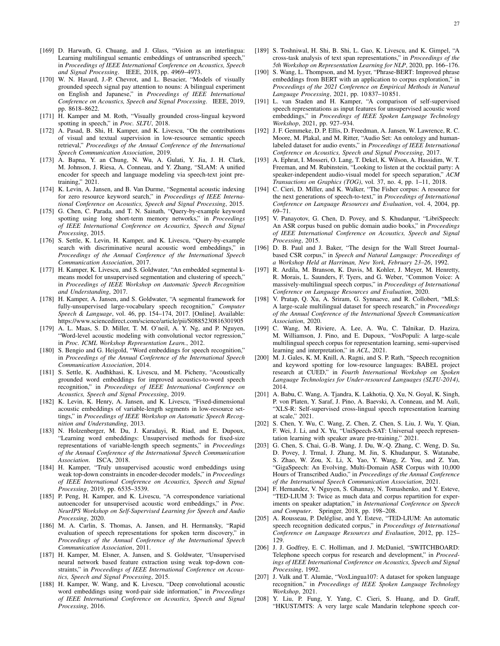- <span id="page-26-0"></span>[169] D. Harwath, G. Chuang, and J. Glass, "Vision as an interlingua: Learning multilingual semantic embeddings of untranscribed speech," in *Proceedings of IEEE International Conference on Acoustics, Speech and Signal Processing*. IEEE, 2018, pp. 4969–4973.
- [170] W. N. Havard, J.-P. Chevrot, and L. Besacier, "Models of visually grounded speech signal pay attention to nouns: A bilingual experiment on English and Japanese," in *Proceedings of IEEE International Conference on Acoustics, Speech and Signal Processing*. IEEE, 2019, pp. 8618–8622.
- <span id="page-26-1"></span>[171] H. Kamper and M. Roth, "Visually grounded cross-lingual keyword spotting in speech," in *Proc. SLTU*, 2018.
- <span id="page-26-2"></span>[172] A. Pasad, B. Shi, H. Kamper, and K. Livescu, "On the contributions of visual and textual supervision in low-resource semantic speech retrieval," *Proceedings of the Annual Conference of the International Speech Communication Association*, 2019.
- <span id="page-26-3"></span>[173] A. Bapna, Y. an Chung, N. Wu, A. Gulati, Y. Jia, J. H. Clark, M. Johnson, J. Riesa, A. Conneau, and Y. Zhang, "SLAM: A unified encoder for speech and language modeling via speech-text joint pretraining," 2021.
- <span id="page-26-4"></span>[174] K. Levin, A. Jansen, and B. Van Durme, "Segmental acoustic indexing for zero resource keyword search," in *Proceedings of IEEE International Conference on Acoustics, Speech and Signal Processing*, 2015.
- [175] G. Chen, C. Parada, and T. N. Sainath, "Query-by-example keyword spotting using long short-term memory networks," in *Proceedings of IEEE International Conference on Acoustics, Speech and Signal Processing*, 2015.
- <span id="page-26-5"></span>[176] S. Settle, K. Levin, H. Kamper, and K. Livescu, "Query-by-example search with discriminative neural acoustic word embeddings," in *Proceedings of the Annual Conference of the International Speech Communication Association*, 2017.
- <span id="page-26-6"></span>[177] H. Kamper, K. Livescu, and S. Goldwater, "An embedded segmental kmeans model for unsupervised segmentation and clustering of speech," in *Proceedings of IEEE Workshop on Automatic Speech Recognition and Understanding*, 2017.
- <span id="page-26-7"></span>[178] H. Kamper, A. Jansen, and S. Goldwater, "A segmental framework for fully-unsupervised large-vocabulary speech recognition," *Computer Speech & Language*, vol. 46, pp. 154–174, 2017. [Online]. Available: <https://www.sciencedirect.com/science/article/pii/S0885230816301905>
- <span id="page-26-8"></span>[179] A. L. Maas, S. D. Miller, T. M. O'neil, A. Y. Ng, and P. Nguyen, "Word-level acoustic modeling with convolutional vector regression," in *Proc. ICML Workshop Representation Learn.*, 2012.
- [180] S. Bengio and G. Heigold, "Word embeddings for speech recognition," in *Proceedings of the Annual Conference of the International Speech Communication Association*, 2014.
- <span id="page-26-9"></span>[181] S. Settle, K. Audhkhasi, K. Livescu, and M. Picheny, "Acoustically grounded word embeddings for improved acoustics-to-word speech recognition," in *Proceedings of IEEE International Conference on Acoustics, Speech and Signal Processing*, 2019.
- <span id="page-26-10"></span>[182] K. Levin, K. Henry, A. Jansen, and K. Livescu, "Fixed-dimensional acoustic embeddings of variable-length segments in low-resource settings," in *Proceedings of IEEE Workshop on Automatic Speech Recognition and Understanding*, 2013.
- <span id="page-26-11"></span>[183] N. Holzenberger, M. Du, J. Karadayi, R. Riad, and E. Dupoux, "Learning word embeddings: Unsupervised methods for fixed-size representations of variable-length speech segments," in *Proceedings of the Annual Conference of the International Speech Communication Association*. ISCA, 2018.
- [184] H. Kamper, "Truly unsupervised acoustic word embeddings using weak top-down constraints in encoder-decoder models," in *Proceedings of IEEE International Conference on Acoustics, Speech and Signal Processing*, 2019, pp. 6535–3539.
- <span id="page-26-12"></span>[185] P. Peng, H. Kamper, and K. Livescu, "A correspondence variational autoencoder for unsupervised acoustic word embeddings," in *Proc. NeurIPS Workshop on Self-Supervised Learning for Speech and Audio Processing*, 2020.
- <span id="page-26-13"></span>[186] M. A. Carlin, S. Thomas, A. Jansen, and H. Hermansky, "Rapid evaluation of speech representations for spoken term discovery," in *Proceedings of the Annual Conference of the International Speech Communication Association*, 2011.
- <span id="page-26-14"></span>[187] H. Kamper, M. Elsner, A. Jansen, and S. Goldwater, "Unsupervised neural network based feature extraction using weak top-down constraints," in *Proceedings of IEEE International Conference on Acoustics, Speech and Signal Processing*, 2015.
- <span id="page-26-15"></span>[188] H. Kamper, W. Wang, and K. Livescu, "Deep convolutional acoustic word embeddings using word-pair side information," in *Proceedings of IEEE International Conference on Acoustics, Speech and Signal Processing*, 2016.
- <span id="page-26-16"></span>[189] S. Toshniwal, H. Shi, B. Shi, L. Gao, K. Livescu, and K. Gimpel, "A cross-task analysis of text span representations," in *Proceedings of the 5th Workshop on Representation Learning for NLP*, 2020, pp. 166–176.
- <span id="page-26-17"></span>[190] S. Wang, L. Thompson, and M. Iyyer, "Phrase-BERT: Improved phrase embeddings from BERT with an application to corpus exploration," in *Proceedings of the 2021 Conference on Empirical Methods in Natural Language Processing*, 2021, pp. 10 837–10 851.
- <span id="page-26-18"></span>[191] L. van Staden and H. Kamper, "A comparison of self-supervised speech representations as input features for unsupervised acoustic word embeddings," in *Proceedings of IEEE Spoken Language Technology Workshop*, 2021, pp. 927–934.
- <span id="page-26-19"></span>[192] J. F. Gemmeke, D. P. Ellis, D. Freedman, A. Jansen, W. Lawrence, R. C. Moore, M. Plakal, and M. Ritter, "Audio Set: An ontology and humanlabeled dataset for audio events," in *Proceedings of IEEE International Conference on Acoustics, Speech and Signal Processing*, 2017.
- <span id="page-26-20"></span>[193] A. Ephrat, I. Mosseri, O. Lang, T. Dekel, K. Wilson, A. Hassidim, W. T. Freeman, and M. Rubinstein, "Looking to listen at the cocktail party: A speaker-independent audio-visual model for speech separation," *ACM Transactions on Graphics (TOG)*, vol. 37, no. 4, pp. 1–11, 2018.
- <span id="page-26-21"></span>[194] C. Cieri, D. Miller, and K. Walker, "The Fisher corpus: A resource for the next generations of speech-to-text," in *Proceedings of International Conference on Language Resources and Evaluation*, vol. 4, 2004, pp. 69–71.
- <span id="page-26-22"></span>[195] V. Panayotov, G. Chen, D. Povey, and S. Khudanpur, "LibriSpeech: An ASR corpus based on public domain audio books," in *Proceedings of IEEE International Conference on Acoustics, Speech and Signal Processing*, 2015.
- <span id="page-26-23"></span>[196] D. B. Paul and J. Baker, "The design for the Wall Street Journalbased CSR corpus," in *Speech and Natural Language: Proceedings of a Workshop Held at Harriman, New York, February 23–26*, 1992.
- <span id="page-26-24"></span>[197] R. Ardila, M. Branson, K. Davis, M. Kohler, J. Meyer, M. Henretty, R. Morais, L. Saunders, F. Tyers, and G. Weber, "Common Voice: A massively-multilingual speech corpus," in *Proceedings of International Conference on Language Resources and Evaluation*, 2020.
- <span id="page-26-25"></span>[198] V. Pratap, Q. Xu, A. Sriram, G. Synnaeve, and R. Collobert, "MLS: A large-scale multilingual dataset for speech research," in *Proceedings of the Annual Conference of the International Speech Communication Association*, 2020.
- <span id="page-26-26"></span>[199] C. Wang, M. Riviere, A. Lee, A. Wu, C. Talnikar, D. Haziza, M. Williamson, J. Pino, and E. Dupoux, "VoxPopuli: A large-scale multilingual speech corpus for representation learning, semi-supervised learning and interpretation," in *ACL*, 2021.
- <span id="page-26-27"></span>[200] M. J. Gales, K. M. Knill, A. Ragni, and S. P. Rath, "Speech recognition and keyword spotting for low-resource languages: BABEL project research at CUED," in *Fourth International Workshop on Spoken Language Technologies for Under-resourced Languages (SLTU-2014)*, 2014.
- <span id="page-26-28"></span>[201] A. Babu, C. Wang, A. Tjandra, K. Lakhotia, Q. Xu, N. Goyal, K. Singh, P. von Platen, Y. Saraf, J. Pino, A. Baevski, A. Conneau, and M. Auli, "XLS-R: Self-supervised cross-lingual speech representation learning at scale," 2021.
- <span id="page-26-29"></span>[202] S. Chen, Y. Wu, C. Wang, Z. Chen, Z. Chen, S. Liu, J. Wu, Y. Qian, F. Wei, J. Li, and X. Yu, "UniSpeech-SAT: Universal speech representation learning with speaker aware pre-training," 2021.
- <span id="page-26-30"></span>[203] G. Chen, S. Chai, G.-B. Wang, J. Du, W.-Q. Zhang, C. Weng, D. Su, D. Povey, J. Trmal, J. Zhang, M. Jin, S. Khudanpur, S. Watanabe, S. Zhao, W. Zou, X. Li, X. Yao, Y. Wang, Z. You, and Z. Yan, "GigaSpeech: An Evolving, Multi-Domain ASR Corpus with 10,000 Hours of Transcribed Audio," in *Proceedings of the Annual Conference of the International Speech Communication Association*, 2021.
- <span id="page-26-31"></span>[204] F. Hernandez, V. Nguyen, S. Ghannay, N. Tomashenko, and Y. Esteve, "TED-LIUM 3: Twice as much data and corpus repartition for experiments on speaker adaptation," in *International Conference on Speech and Computer*. Springer, 2018, pp. 198–208.
- <span id="page-26-32"></span>[205] A. Rousseau, P. Deléglise, and Y. Esteve, "TED-LIUM: An automatic speech recognition dedicated corpus," in *Proceedings of International Conference on Language Resources and Evaluation*, 2012, pp. 125– 129.
- <span id="page-26-33"></span>[206] J. J. Godfrey, E. C. Holliman, and J. McDaniel, "SWITCHBOARD: Telephone speech corpus for research and development," in *Proceedings of IEEE International Conference on Acoustics, Speech and Signal Processing*, 1992.
- <span id="page-26-34"></span>[207] J. Valk and T. Alumäe, "VoxLingua107: A dataset for spoken language recognition," in *Proceedings of IEEE Spoken Language Technology Workshop*, 2021.
- <span id="page-26-35"></span>[208] Y. Liu, P. Fung, Y. Yang, C. Cieri, S. Huang, and D. Graff, "HKUST/MTS: A very large scale Mandarin telephone speech cor-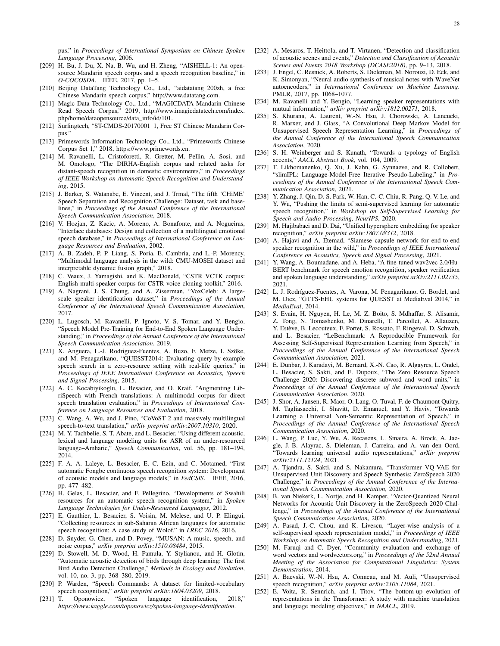pus," in *Proceedings of International Symposium on Chinese Spoken Language Processing*, 2006.

- <span id="page-27-0"></span>[209] H. Bu, J. Du, X. Na, B. Wu, and H. Zheng, "AISHELL-1: An opensource Mandarin speech corpus and a speech recognition baseline," in *O-COCOSDA*. IEEE, 2017, pp. 1–5.
- <span id="page-27-1"></span>[210] Beijing DataTang Technology Co., Ltd., "aidatatang\_200zh, a free Chinese Mandarin speech corpus," [http://www.datatang.com.](http://www.datatang.com)
- <span id="page-27-2"></span>[211] Magic Data Technology Co., Ltd., "MAGICDATA Mandarin Chinese Read Speech Corpus," 2019, [http://www.imagicdatatech.com/index.](http://www.imagicdatatech.com/index.php/home/ dataopensource/data_info/id/101) [php/home/dataopensource/data](http://www.imagicdatatech.com/index.php/home/ dataopensource/data_info/id/101) info/id/101.
- <span id="page-27-3"></span>[212] Surfingtech, "ST-CMDS-20170001\_1, Free ST Chinese Mandarin Corpus."
- <span id="page-27-4"></span>[213] Primewords Information Technology Co., Ltd., "Primewords Chinese Corpus Set 1," 2018, [https://www.primewords.cn.](https://www.primewords.cn)
- <span id="page-27-5"></span>[214] M. Ravanelli, L. Cristoforetti, R. Gretter, M. Pellin, A. Sosi, and M. Omologo, "The DIRHA-English corpus and related tasks for distant-speech recognition in domestic environments," in *Proceedings of IEEE Workshop on Automatic Speech Recognition and Understanding*, 2015.
- <span id="page-27-6"></span>[215] J. Barker, S. Watanabe, E. Vincent, and J. Trmal, "The fifth 'CHiME' Speech Separation and Recognition Challenge: Dataset, task and baselines," in *Proceedings of the Annual Conference of the International Speech Communication Association*, 2018.
- <span id="page-27-7"></span>[216] V. Hozjan, Z. Kacic, A. Moreno, A. Bonafonte, and A. Nogueiras, "Interface databases: Design and collection of a multilingual emotional speech database," in *Proceedings of International Conference on Language Resources and Evaluation*, 2002.
- <span id="page-27-8"></span>[217] A. B. Zadeh, P. P. Liang, S. Poria, E. Cambria, and L.-P. Morency, "Multimodal language analysis in the wild: CMU-MOSEI dataset and interpretable dynamic fusion graph," 2018.
- <span id="page-27-9"></span>[218] C. Veaux, J. Yamagishi, and K. MacDonald, "CSTR VCTK corpus: English multi-speaker corpus for CSTR voice cloning toolkit," 2016.
- <span id="page-27-10"></span>[219] A. Nagrani, J. S. Chung, and A. Zisserman, "VoxCeleb: A largescale speaker identification dataset," in *Proceedings of the Annual Conference of the International Speech Communication Association*, 2017.
- <span id="page-27-11"></span>[220] L. Lugosch, M. Ravanelli, P. Ignoto, V. S. Tomar, and Y. Bengio, "Speech Model Pre-Training for End-to-End Spoken Language Understanding," in *Proceedings of the Annual Conference of the International Speech Communication Association*, 2019.
- <span id="page-27-12"></span>[221] X. Anguera, L.-J. Rodriguez-Fuentes, A. Buzo, F. Metze, I. Szöke, and M. Penagarikano, "QUESST2014: Evaluating query-by-example speech search in a zero-resource setting with real-life queries," in *Proceedings of IEEE International Conference on Acoustics, Speech and Signal Processing*, 2015.
- <span id="page-27-13"></span>[222] A. C. Kocabiyikoglu, L. Besacier, and O. Kraif, "Augmenting LibriSpeech with French translations: A multimodal corpus for direct speech translation evaluation," in *Proceedings of International Conference on Language Resources and Evaluation*, 2018.
- <span id="page-27-14"></span>[223] C. Wang, A. Wu, and J. Pino, "CoVoST 2 and massively multilingual speech-to-text translation," *arXiv preprint arXiv:2007.10310*, 2020.
- <span id="page-27-15"></span>[224] M. Y. Tachbelie, S. T. Abate, and L. Besacier, "Using different acoustic, lexical and language modeling units for ASR of an under-resourced language–Amharic," *Speech Communication*, vol. 56, pp. 181–194, 2014.
- <span id="page-27-16"></span>[225] F. A. A. Laleye, L. Besacier, E. C. Ezin, and C. Motamed, "First automatic Fongbe continuous speech recognition system: Development of acoustic models and language models," in *FedCSIS*. IEEE, 2016, pp. 477–482.
- <span id="page-27-17"></span>[226] H. Gelas, L. Besacier, and F. Pellegrino, "Developments of Swahili resources for an automatic speech recognition system," in *Spoken Language Technologies for Under-Resourced Languages*, 2012.
- <span id="page-27-18"></span>[227] E. Gauthier, L. Besacier, S. Voisin, M. Melese, and U. P. Elingui, "Collecting resources in sub-Saharan African languages for automatic speech recognition: A case study of Wolof," in *LREC 2016*, 2016.
- <span id="page-27-19"></span>[228] D. Snyder, G. Chen, and D. Povey, "MUSAN: A music, speech, and noise corpus," *arXiv preprint arXiv:1510.08484*, 2015.
- <span id="page-27-20"></span>[229] D. Stowell, M. D. Wood, H. Pamuła, Y. Stylianou, and H. Glotin, "Automatic acoustic detection of birds through deep learning: The first Bird Audio Detection Challenge," *Methods in Ecology and Evolution*, vol. 10, no. 3, pp. 368–380, 2019.
- <span id="page-27-21"></span>[230] P. Warden, "Speech Commands: A dataset for limited-vocabulary speech recognition," *arXiv preprint arXiv:1804.03209*, 2018.
- <span id="page-27-22"></span>[231] T. Oponowicz, "Spoken language identification, 2018," *https://www.kaggle.com/toponowicz/spoken-language-identification*.
- <span id="page-27-23"></span>[232] A. Mesaros, T. Heittola, and T. Virtanen, "Detection and classification of acoustic scenes and events," *Detection and Classification of Acoustic Scenes and Events 2018 Workshop (DCASE2018)*, pp. 9–13, 2018.
- <span id="page-27-24"></span>[233] J. Engel, C. Resnick, A. Roberts, S. Dieleman, M. Norouzi, D. Eck, and K. Simonyan, "Neural audio synthesis of musical notes with WaveNet autoencoders," in *International Conference on Machine Learning*. PMLR, 2017, pp. 1068–1077.
- <span id="page-27-28"></span>[234] M. Ravanelli and Y. Bengio, "Learning speaker representations with mutual information," *arXiv preprint arXiv:1812.00271*, 2018.
- <span id="page-27-31"></span>[235] S. Khurana, A. Laurent, W.-N. Hsu, J. Chorowski, A. Lancucki, R. Marxer, and J. Glass, "A Convolutional Deep Markov Model for Unsupervised Speech Representation Learning," in *Proceedings of the Annual Conference of the International Speech Communication Association*, 2020.
- <span id="page-27-25"></span>[236] S. H. Weinberger and S. Kunath, "Towards a typology of English accents," *AACL Abstract Book*, vol. 104, 2009.
- <span id="page-27-26"></span>[237] T. Likhomanenko, Q. Xu, J. Kahn, G. Synnaeve, and R. Collobert, "slimIPL: Language-Model-Free Iterative Pseudo-Labeling," in *Proceedings of the Annual Conference of the International Speech Communication Association*, 2021.
- <span id="page-27-27"></span>[238] Y. Zhang, J. Qin, D. S. Park, W. Han, C.-C. Chiu, R. Pang, Q. V. Le, and Y. Wu, "Pushing the limits of semi-supervised learning for automatic speech recognition," in *Workshop on Self-Supervised Learning for Speech and Audio Processing, NeurIPS*, 2020.
- <span id="page-27-32"></span>[239] M. Hajibabaei and D. Dai, "Unified hypersphere embedding for speaker recognition," *arXiv preprint arXiv:1807.08312*, 2018.
- <span id="page-27-33"></span>[240] A. Hajavi and A. Etemad, "Siamese capsule network for end-to-end speaker recognition in the wild," in *Proceedings of IEEE International Conference on Acoustics, Speech and Signal Processing*, 2021.
- <span id="page-27-34"></span>[241] Y. Wang, A. Boumadane, and A. Heba, "A fine-tuned wav2vec 2.0/Hu-BERT benchmark for speech emotion recognition, speaker verification and spoken language understanding," *arXiv preprint arXiv:2111.02735*, 2021.
- <span id="page-27-35"></span>[242] L. J. Rodríguez-Fuentes, A. Varona, M. Penagarikano, G. Bordel, and M. Diez, "GTTS-EHU systems for QUESST at MediaEval 2014," in *MediaEval*, 2014.
- <span id="page-27-29"></span>[243] S. Evain, H. Nguyen, H. Le, M. Z. Boito, S. Mdhaffar, S. Alisamir, Z. Tong, N. Tomashenko, M. Dinarelli, T. Parcollet, A. Allauzen, Y. Estève, B. Lecouteux, F. Portet, S. Rossato, F. Ringeval, D. Schwab, and L. Besacier, "LeBenchmark: A Reproducible Framework for Assessing Self-Supervised Representation Learning from Speech," in *Proceedings of the Annual Conference of the International Speech Communication Association*, 2021.
- <span id="page-27-30"></span>[244] E. Dunbar, J. Karadayi, M. Bernard, X.-N. Cao, R. Algayres, L. Ondel, L. Besacier, S. Sakti, and E. Dupoux, "The Zero Resource Speech Challenge 2020: Discovering discrete subword and word units," in *Proceedings of the Annual Conference of the International Speech Communication Association*, 2020.
- <span id="page-27-36"></span>[245] J. Shor, A. Jansen, R. Maor, O. Lang, O. Tuval, F. de Chaumont Quitry, M. Tagliasacchi, I. Shavitt, D. Emanuel, and Y. Haviv, "Towards Learning a Universal Non-Semantic Representation of Speech," in *Proceedings of the Annual Conference of the International Speech Communication Association*, 2020.
- <span id="page-27-37"></span>[246] L. Wang, P. Luc, Y. Wu, A. Recasens, L. Smaira, A. Brock, A. Jaegle, J.-B. Alayrac, S. Dieleman, J. Carreira, and A. van den Oord, "Towards learning universal audio representations," *arXiv preprint arXiv:2111.12124*, 2021.
- <span id="page-27-38"></span>[247] A. Tjandra, S. Sakti, and S. Nakamura, "Transformer VQ-VAE for Unsupervised Unit Discovery and Speech Synthesis: ZeroSpeech 2020 Challenge," in *Proceedings of the Annual Conference of the International Speech Communication Association*, 2020.
- <span id="page-27-39"></span>[248] B. van Niekerk, L. Nortje, and H. Kamper, "Vector-Quantized Neural Networks for Acoustic Unit Discovery in the ZeroSpeech 2020 Challenge," in *Proceedings of the Annual Conference of the International Speech Communication Association*, 2020.
- <span id="page-27-40"></span>[249] A. Pasad, J.-C. Chou, and K. Livescu, "Layer-wise analysis of a self-supervised speech representation model," in *Proceedings of IEEE Workshop on Automatic Speech Recognition and Understanding*, 2021.
- <span id="page-27-41"></span>[250] M. Faruqi and C. Dyer, "Community evaluation and exchange of word vectors and wordvectors.org," in *Proceedings of the 52nd Annual Meeting of the Association for Computational Linguistics: System Demonstration*, 2014.
- <span id="page-27-42"></span>[251] A. Baevski, W.-N. Hsu, A. Conneau, and M. Auli, "Unsupervised speech recognition," *arXiv preprint arXiv:2105.11084*, 2021.
- <span id="page-27-43"></span>[252] E. Voita, R. Sennrich, and I. Titov, "The bottom-up evolution of representations in the Transformer: A study with machine translation and language modeling objectives," in *NAACL*, 2019.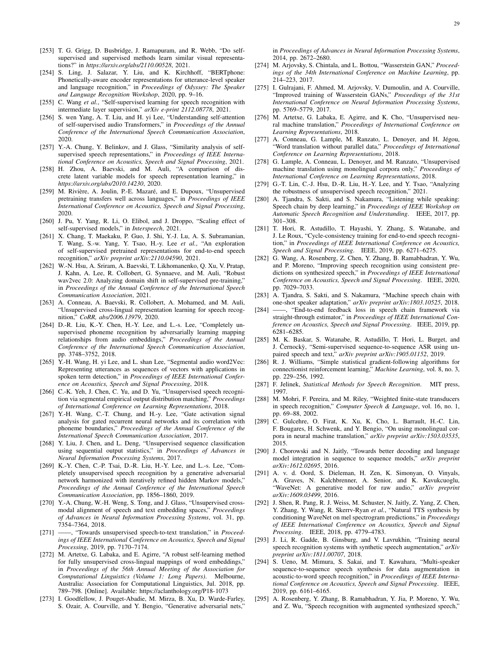- <span id="page-28-0"></span>[253] T. G. Grigg, D. Busbridge, J. Ramapuram, and R. Webb, "Do selfsupervised and supervised methods learn similar visual representations?" in *https://arxiv.org/abs/2110.00528*, 2021.
- <span id="page-28-1"></span>[254] S. Ling, J. Salazar, Y. Liu, and K. Kirchhoff, "BERTphone: Phonetically-aware encoder representations for utterance-level speaker and language recognition," in *Proceedings of Odyssey: The Speaker and Language Recognition Workshop*, 2020, pp. 9–16.
- <span id="page-28-2"></span>[255] C. Wang et al., "Self-supervised learning for speech recognition with intermediate layer supervision," *arXiv e-print 2112.08778*, 2021.
- <span id="page-28-3"></span>[256] S. wen Yang, A. T. Liu, and H. yi Lee, "Understanding self-attention of self-supervised audio Transformers," in *Proceedings of the Annual Conference of the International Speech Communication Association*, 2020.
- <span id="page-28-4"></span>[257] Y.-A. Chung, Y. Belinkov, and J. Glass, "Similarity analysis of selfsupervised speech representations," in *Proceedings of IEEE International Conference on Acoustics, Speech and Signal Processing*, 2021.
- <span id="page-28-5"></span>[258] H. Zhou, A. Baevski, and M. Auli, "A comparison of discrete latent variable models for speech representation learning," in *https://arxiv.org/abs/2010.14230*, 2020.
- <span id="page-28-6"></span>[259] M. Rivière, A. Joulin, P.-E. Mazaré, and E. Dupoux, "Unsupervised pretraining transfers well across languages," in *Proceedings of IEEE International Conference on Acoustics, Speech and Signal Processing*, 2020.
- <span id="page-28-7"></span>[260] J. Pu, Y. Yang, R. Li, O. Elibol, and J. Droppo, "Scaling effect of self-supervised models," in *Interspeech*, 2021.
- <span id="page-28-8"></span>[261] X. Chang, T. Maekaku, P. Guo, J. Shi, Y.-J. Lu, A. S. Subramanian, T. Wang, S.-w. Yang, Y. Tsao, H.-y. Lee *et al.*, "An exploration of self-supervised pretrained representations for end-to-end speech recognition," *arXiv preprint arXiv:2110.04590*, 2021.
- <span id="page-28-9"></span>[262] W.-N. Hsu, A. Sriram, A. Baevski, T. Likhomanenko, Q. Xu, V. Pratap, J. Kahn, A. Lee, R. Collobert, G. Synnaeve, and M. Auli, "Robust wav2vec 2.0: Analyzing domain shift in self-supervised pre-training," in *Proceedings of the Annual Conference of the International Speech Communication Association*, 2021.
- <span id="page-28-10"></span>[263] A. Conneau, A. Baevski, R. Collobert, A. Mohamed, and M. Auli, "Unsupervised cross-lingual representation learning for speech recognition," *CoRR, abs/2006.13979*, 2020.
- <span id="page-28-11"></span>[264] D.-R. Liu, K.-Y. Chen, H.-Y. Lee, and L.-s. Lee, "Completely unsupervised phoneme recognition by adversarially learning mapping relationships from audio embeddings," *Proceedings of the Annual Conference of the International Speech Communication Association*, pp. 3748–3752, 2018.
- <span id="page-28-12"></span>[265] Y.-H. Wang, H. yi Lee, and L. shan Lee, "Segmental audio word2Vec: Representing utterances as sequences of vectors with applications in spoken term detection," in *Proceedings of IEEE International Conference on Acoustics, Speech and Signal Processing*, 2018.
- <span id="page-28-13"></span>[266] C.-K. Yeh, J. Chen, C. Yu, and D. Yu, "Unsupervised speech recognition via segmental empirical output distribution matching," *Proceedings of International Conference on Learning Representations*, 2018.
- <span id="page-28-14"></span>[267] Y.-H. Wang, C.-T. Chung, and H.-y. Lee, "Gate activation signal analysis for gated recurrent neural networks and its correlation with phoneme boundaries," *Proceedings of the Annual Conference of the International Speech Communication Association*, 2017.
- <span id="page-28-15"></span>[268] Y. Liu, J. Chen, and L. Deng, "Unsupervised sequence classification using sequential output statistics," in *Proceedings of Advances in Neural Information Processing Systems*, 2017.
- <span id="page-28-16"></span>[269] K.-Y. Chen, C.-P. Tsai, D.-R. Liu, H.-Y. Lee, and L.-s. Lee, "Completely unsupervised speech recognition by a generative adversarial network harmonized with iteratively refined hidden Markov models," *Proceedings of the Annual Conference of the International Speech Communication Association*, pp. 1856–1860, 2019.
- <span id="page-28-17"></span>[270] Y.-A. Chung, W.-H. Weng, S. Tong, and J. Glass, "Unsupervised crossmodal alignment of speech and text embedding spaces," *Proceedings of Advances in Neural Information Processing Systems*, vol. 31, pp. 7354–7364, 2018.
- <span id="page-28-18"></span>[271] ——, "Towards unsupervised speech-to-text translation," in *Proceedings of IEEE International Conference on Acoustics, Speech and Signal Processing*, 2019, pp. 7170–7174.
- <span id="page-28-19"></span>[272] M. Artetxe, G. Labaka, and E. Agirre, "A robust self-learning method for fully unsupervised cross-lingual mappings of word embeddings," in *Proceedings of the 56th Annual Meeting of the Association for Computational Linguistics (Volume 1: Long Papers)*. Melbourne, Australia: Association for Computational Linguistics, Jul. 2018, pp. 789–798. [Online]. Available:<https://aclanthology.org/P18-1073>
- <span id="page-28-20"></span>[273] I. Goodfellow, J. Pouget-Abadie, M. Mirza, B. Xu, D. Warde-Farley, S. Ozair, A. Courville, and Y. Bengio, "Generative adversarial nets,"

in *Proceedings of Advances in Neural Information Processing Systems*, 2014, pp. 2672–2680.

- [274] M. Arjovsky, S. Chintala, and L. Bottou, "Wasserstein GAN," Proceed*ings of the 34th International Conference on Machine Learning*, pp. 214–223, 2017.
- <span id="page-28-21"></span>[275] I. Gulrajani, F. Ahmed, M. Arjovsky, V. Dumoulin, and A. Courville, "Improved training of Wasserstein GANs," *Proceedings of the 31st International Conference on Neural Information Processing Systems*, pp. 5769–5779, 2017.
- <span id="page-28-22"></span>[276] M. Artetxe, G. Labaka, E. Agirre, and K. Cho, "Unsupervised neural machine translation," *Proceedings of International Conference on Learning Representations*, 2018.
- [277] A. Conneau, G. Lample, M. Ranzato, L. Denoyer, and H. Jégou, "Word translation without parallel data," *Proceedings of International Conference on Learning Representations*, 2018.
- <span id="page-28-23"></span>[278] G. Lample, A. Conneau, L. Denoyer, and M. Ranzato, "Unsupervised machine translation using monolingual corpora only," *Proceedings of International Conference on Learning Representations*, 2018.
- <span id="page-28-24"></span>[279] G.-T. Lin, C.-J. Hsu, D.-R. Liu, H.-Y. Lee, and Y. Tsao, "Analyzing the robustness of unsupervised speech recognition," 2021.
- <span id="page-28-25"></span>[280] A. Tjandra, S. Sakti, and S. Nakamura, "Listening while speaking: Speech chain by deep learning," in *Proceedings of IEEE Workshop on Automatic Speech Recognition and Understanding*. IEEE, 2017, pp. 301–308.
- <span id="page-28-28"></span>[281] T. Hori, R. Astudillo, T. Hayashi, Y. Zhang, S. Watanabe, and J. Le Roux, "Cycle-consistency training for end-to-end speech recognition," in *Proceedings of IEEE International Conference on Acoustics, Speech and Signal Processing*. IEEE, 2019, pp. 6271–6275.
- <span id="page-28-26"></span>[282] G. Wang, A. Rosenberg, Z. Chen, Y. Zhang, B. Ramabhadran, Y. Wu, and P. Moreno, "Improving speech recognition using consistent predictions on synthesized speech," in *Proceedings of IEEE International Conference on Acoustics, Speech and Signal Processing*. IEEE, 2020, pp. 7029–7033.
- <span id="page-28-27"></span>[283] A. Tjandra, S. Sakti, and S. Nakamura, "Machine speech chain with one-shot speaker adaptation," *arXiv preprint arXiv:1803.10525*, 2018.
- <span id="page-28-29"></span>[284] -, "End-to-end feedback loss in speech chain framework via straight-through estimator," in *Proceedings of IEEE International Conference on Acoustics, Speech and Signal Processing*. IEEE, 2019, pp. 6281–6285.
- <span id="page-28-30"></span>[285] M. K. Baskar, S. Watanabe, R. Astudillo, T. Hori, L. Burget, and J. Černockỳ, "Semi-supervised sequence-to-sequence ASR using unpaired speech and text," *arXiv preprint arXiv:1905.01152*, 2019.
- <span id="page-28-31"></span>[286] R. J. Williams, "Simple statistical gradient-following algorithms for connectionist reinforcement learning," *Machine Learning*, vol. 8, no. 3, pp. 229–256, 1992.
- <span id="page-28-32"></span>[287] F. Jelinek, *Statistical Methods for Speech Recognition*. MIT press, 1997.
- <span id="page-28-33"></span>[288] M. Mohri, F. Pereira, and M. Riley, "Weighted finite-state transducers in speech recognition," *Computer Speech & Language*, vol. 16, no. 1, pp. 69–88, 2002.
- <span id="page-28-34"></span>[289] C. Gulcehre, O. Firat, K. Xu, K. Cho, L. Barrault, H.-C. Lin, F. Bougares, H. Schwenk, and Y. Bengio, "On using monolingual corpora in neural machine translation," *arXiv preprint arXiv:1503.03535*, 2015.
- <span id="page-28-35"></span>[290] J. Chorowski and N. Jaitly, "Towards better decoding and language model integration in sequence to sequence models," *arXiv preprint arXiv:1612.02695*, 2016.
- <span id="page-28-36"></span>[291] A. v. d. Oord, S. Dieleman, H. Zen, K. Simonyan, O. Vinyals, A. Graves, N. Kalchbrenner, A. Senior, and K. Kavukcuoglu, "WaveNet: A generative model for raw audio," *arXiv preprint arXiv:1609.03499*, 2016.
- <span id="page-28-37"></span>[292] J. Shen, R. Pang, R. J. Weiss, M. Schuster, N. Jaitly, Z. Yang, Z. Chen, Y. Zhang, Y. Wang, R. Skerrv-Ryan *et al.*, "Natural TTS synthesis by conditioning WaveNet on mel spectrogram predictions," in *Proceedings of IEEE International Conference on Acoustics, Speech and Signal Processing*. IEEE, 2018, pp. 4779–4783.
- <span id="page-28-38"></span>[293] J. Li, R. Gadde, B. Ginsburg, and V. Lavrukhin, "Training neural speech recognition systems with synthetic speech augmentation," *arXiv preprint arXiv:1811.00707*, 2018.
- [294] S. Ueno, M. Mimura, S. Sakai, and T. Kawahara, "Multi-speaker sequence-to-sequence speech synthesis for data augmentation in acoustic-to-word speech recognition," in *Proceedings of IEEE International Conference on Acoustics, Speech and Signal Processing*. IEEE, 2019, pp. 6161–6165.
- [295] A. Rosenberg, Y. Zhang, B. Ramabhadran, Y. Jia, P. Moreno, Y. Wu, and Z. Wu, "Speech recognition with augmented synthesized speech,"